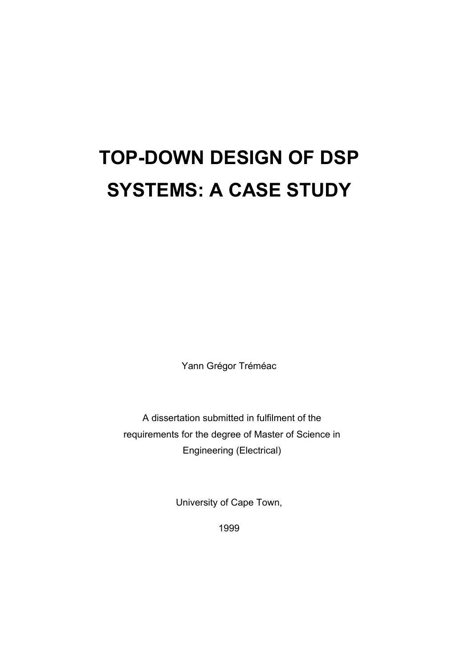# **TOP-DOWN DESIGN OF DSP SYSTEMS: A CASE STUDY**

Yann Grégor Tréméac

A dissertation submitted in fulfilment of the requirements for the degree of Master of Science in Engineering (Electrical)

University of Cape Town,

1999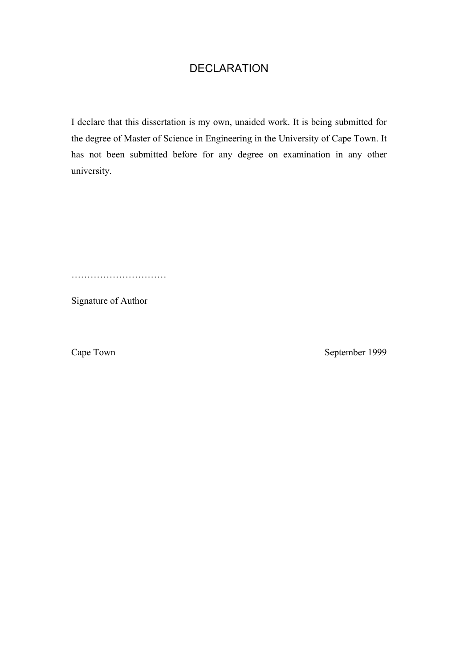### **DECLARATION**

I declare that this dissertation is my own, unaided work. It is being submitted for the degree of Master of Science in Engineering in the University of Cape Town. It has not been submitted before for any degree on examination in any other university.

………………………………………

Signature of Author

Cape Town September 1999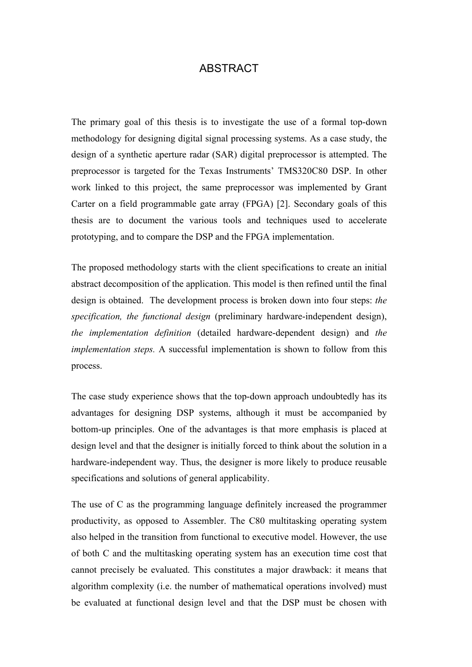#### ABSTRACT

The primary goal of this thesis is to investigate the use of a formal top-down methodology for designing digital signal processing systems. As a case study, the design of a synthetic aperture radar (SAR) digital preprocessor is attempted. The preprocessor is targeted for the Texas Instruments' TMS320C80 DSP. In other work linked to this project, the same preprocessor was implemented by Grant Carter on a field programmable gate array (FPGA) [2]. Secondary goals of this thesis are to document the various tools and techniques used to accelerate prototyping, and to compare the DSP and the FPGA implementation.

The proposed methodology starts with the client specifications to create an initial abstract decomposition of the application. This model is then refined until the final design is obtained. The development process is broken down into four steps: *the specification, the functional design* (preliminary hardware-independent design), *the implementation definition* (detailed hardware-dependent design) and *the implementation steps.* A successful implementation is shown to follow from this process.

The case study experience shows that the top-down approach undoubtedly has its advantages for designing DSP systems, although it must be accompanied by bottom-up principles. One of the advantages is that more emphasis is placed at design level and that the designer is initially forced to think about the solution in a hardware-independent way. Thus, the designer is more likely to produce reusable specifications and solutions of general applicability.

The use of C as the programming language definitely increased the programmer productivity, as opposed to Assembler. The C80 multitasking operating system also helped in the transition from functional to executive model. However, the use of both C and the multitasking operating system has an execution time cost that cannot precisely be evaluated. This constitutes a major drawback: it means that algorithm complexity (i.e. the number of mathematical operations involved) must be evaluated at functional design level and that the DSP must be chosen with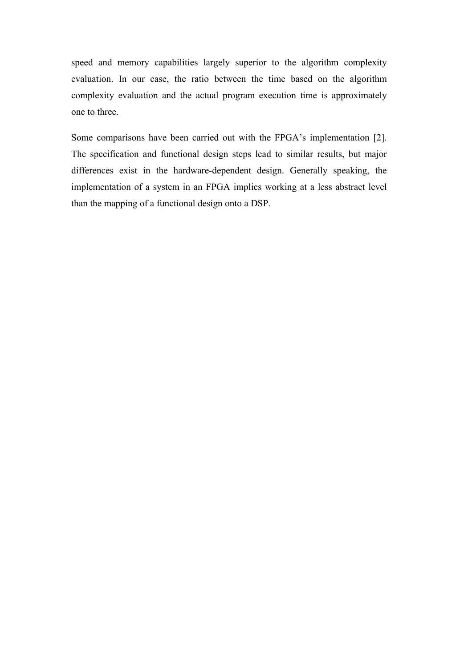speed and memory capabilities largely superior to the algorithm complexity evaluation. In our case, the ratio between the time based on the algorithm complexity evaluation and the actual program execution time is approximately one to three.

Some comparisons have been carried out with the FPGA's implementation [2]. The specification and functional design steps lead to similar results, but major differences exist in the hardware-dependent design. Generally speaking, the implementation of a system in an FPGA implies working at a less abstract level than the mapping of a functional design onto a DSP.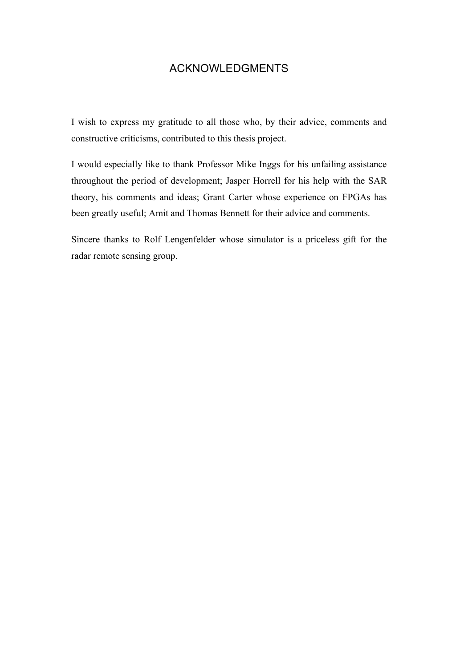#### ACKNOWLEDGMENTS

I wish to express my gratitude to all those who, by their advice, comments and constructive criticisms, contributed to this thesis project.

I would especially like to thank Professor Mike Inggs for his unfailing assistance throughout the period of development; Jasper Horrell for his help with the SAR theory, his comments and ideas; Grant Carter whose experience on FPGAs has been greatly useful; Amit and Thomas Bennett for their advice and comments.

Sincere thanks to Rolf Lengenfelder whose simulator is a priceless gift for the radar remote sensing group.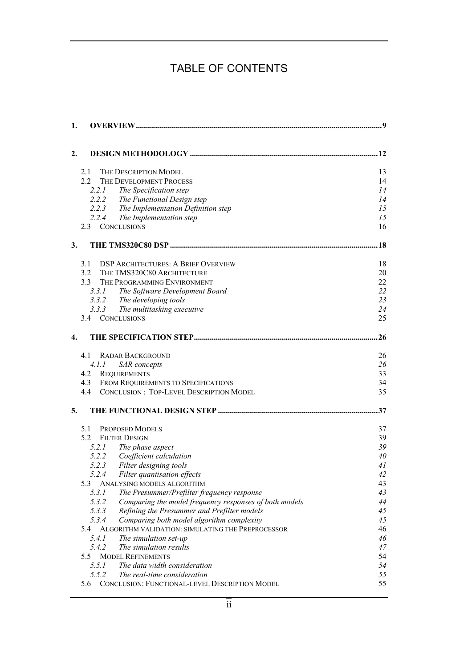## TABLE OF CONTENTS

| 1. |                                                                 |     |
|----|-----------------------------------------------------------------|-----|
| 2. |                                                                 |     |
|    |                                                                 |     |
|    | 2.1<br>THE DESCRIPTION MODEL                                    | 13  |
|    | 2.2<br>THE DEVELOPMENT PROCESS                                  | 14  |
|    | The Specification step<br>2.2.1                                 | 14  |
|    | 2.2.2<br>The Functional Design step                             | 14  |
|    | 2.2.3 The Implementation Definition step                        | 15  |
|    | The Implementation step<br>2.2.4                                | 15  |
|    | 2.3 CONCLUSIONS                                                 | 16  |
| 3. |                                                                 | .18 |
|    | <b>DSP ARCHITECTURES: A BRIEF OVERVIEW</b><br>3.1               | 18  |
|    | 3.2<br>THE TMS320C80 ARCHITECTURE                               | 20  |
|    | 3.3<br>THE PROGRAMMING ENVIRONMENT                              | 22  |
|    | The Software Development Board<br>3.3.1                         | 22  |
|    | 3.3.2<br>The developing tools                                   | 23  |
|    | The multitasking executive<br>3.3.3                             | 24  |
|    | 3.4 CONCLUSIONS                                                 | 25  |
| 4. |                                                                 | .26 |
|    |                                                                 |     |
|    | <b>RADAR BACKGROUND</b><br>4.1                                  | 26  |
|    | 4.1.1<br>SAR concepts                                           | 26  |
|    | 4.2 REQUIREMENTS                                                | 33  |
|    | 4.3<br>FROM REQUIREMENTS TO SPECIFICATIONS                      | 34  |
|    | 4.4<br><b>CONCLUSION: TOP-LEVEL DESCRIPTION MODEL</b>           | 35  |
| 5. |                                                                 | .37 |
|    | 5.1<br><b>PROPOSED MODELS</b>                                   | 37  |
|    | 5.2<br><b>FILTER DESIGN</b>                                     | 39  |
|    | The phase aspect<br>5.2.1                                       | 39  |
|    | 5.2.2 Coefficient calculation                                   | 40  |
|    | 5.2.3 Filter designing tools                                    | 41  |
|    | Filter quantisation effects<br>5.2.4                            | 42  |
|    | 5.3 ANALYSING MODELS ALGORITHM                                  | 43  |
|    | The Presummer/Prefilter frequency response<br>5.3.1             | 43  |
|    | 5.3.2<br>Comparing the model frequency responses of both models | 44  |
|    | 5.3.3<br>Refining the Presummer and Prefilter models            | 45  |
|    | 5.3.4<br>Comparing both model algorithm complexity              | 45  |
|    | 5.4<br>ALGORITHM VALIDATION: SIMULATING THE PREPROCESSOR        | 46  |
|    | 5.4.1<br>The simulation set-up                                  | 46  |
|    | 5.4.2<br>The simulation results                                 | 47  |
|    | <b>MODEL REFINEMENTS</b><br>5.5                                 | 54  |
|    | The data width consideration<br>5.5.1                           | 54  |
|    | 5.5.2<br>The real-time consideration                            | 55  |
|    | CONCLUSION: FUNCTIONAL-LEVEL DESCRIPTION MODEL<br>5.6           | 55  |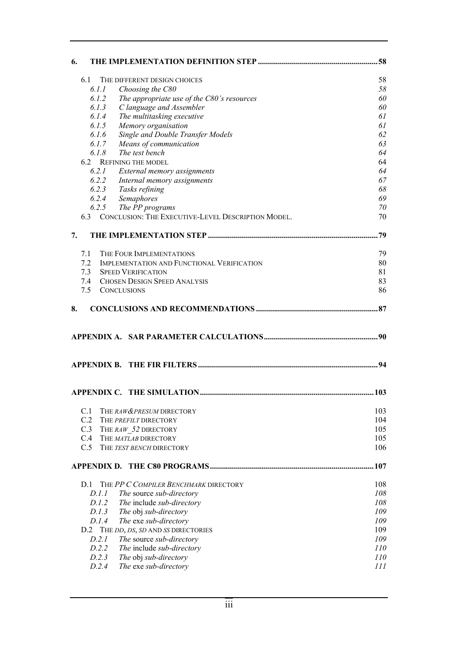| 6.                                                                   |            |
|----------------------------------------------------------------------|------------|
| 6.1<br>THE DIFFERENT DESIGN CHOICES                                  | 58         |
| 6.1.1<br>Choosing the C80                                            | 58         |
| 6.1.2<br>The appropriate use of the C80's resources                  | 60         |
| 6.1.3<br>C language and Assembler                                    | 60         |
| The multitasking executive<br>6.1.4                                  | 61         |
| 6.1.5<br>Memory organisation                                         | 61         |
| 6.1.6<br>Single and Double Transfer Models                           | 62         |
| 6.1.7<br>Means of communication                                      | 63         |
| The test bench<br>6.1.8<br>6.2 REFINING THE MODEL                    | 64<br>64   |
| 6.2.1<br>External memory assignments                                 | 64         |
| 6.2.2 Internal memory assignments                                    | 67         |
| 6.2.3 Tasks refining                                                 | 68         |
| 6.2.4 Semaphores                                                     | 69         |
| 6.2.5 The PP programs                                                | 70         |
| 6.3 CONCLUSION: THE EXECUTIVE-LEVEL DESCRIPTION MODEL.               | 70         |
| 7.                                                                   | .79        |
| 7.1<br>THE FOUR IMPLEMENTATIONS                                      | 79         |
| 7.2<br>IMPLEMENTATION AND FUNCTIONAL VERIFICATION                    | 80         |
| 7.3<br><b>SPEED VERIFICATION</b>                                     | 81         |
| 7.4 CHOSEN DESIGN SPEED ANALYSIS                                     | 83         |
| 7.5<br><b>CONCLUSIONS</b>                                            | 86         |
| 8.                                                                   |            |
|                                                                      |            |
|                                                                      |            |
|                                                                      |            |
|                                                                      |            |
|                                                                      |            |
| C.1<br>THE RAW & PRESUM DIRECTORY<br>C.2<br>THE PREFILT DIRECTORY    | 103<br>104 |
| C.3                                                                  | 105        |
| THE RAW 52 DIRECTORY<br>C.4<br>THE MATLAB DIRECTORY                  | 105        |
| C.5<br>THE TEST BENCH DIRECTORY                                      | 106        |
|                                                                      |            |
| THE PP C COMPILER BENCHMARK DIRECTORY<br>D.1                         | 108        |
| D.1.1<br>The source sub-directory                                    | 108        |
| D.1.2<br>The include sub-directory                                   | 108        |
| D.1.3<br>The obj sub-directory                                       | 109        |
| The exe sub-directory<br>D.1.4                                       | 109        |
| D.2 THE DD, DS, SD AND SS DIRECTORIES                                | 109        |
| D.2.1<br>The source sub-directory                                    | 109        |
| D.2.2<br>The include sub-directory<br>D.2.3<br>The obj sub-directory | 110<br>110 |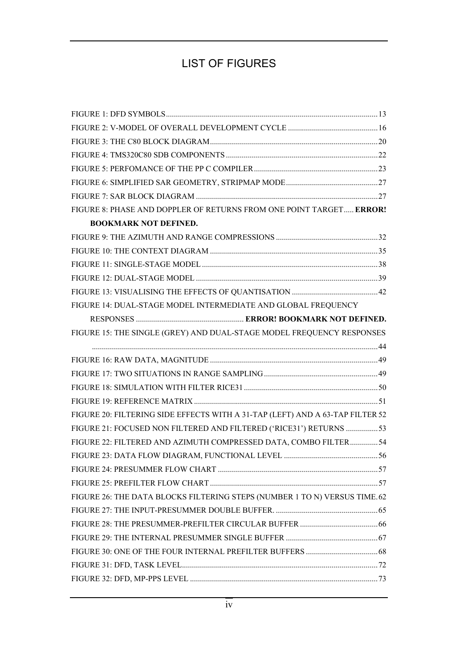## LIST OF FIGURES

| FIGURE 8: PHASE AND DOPPLER OF RETURNS FROM ONE POINT TARGET ERROR!           |  |
|-------------------------------------------------------------------------------|--|
| <b>BOOKMARK NOT DEFINED.</b>                                                  |  |
|                                                                               |  |
|                                                                               |  |
|                                                                               |  |
|                                                                               |  |
|                                                                               |  |
| FIGURE 14: DUAL-STAGE MODEL INTERMEDIATE AND GLOBAL FREQUENCY                 |  |
|                                                                               |  |
| FIGURE 15: THE SINGLE (GREY) AND DUAL-STAGE MODEL FREQUENCY RESPONSES         |  |
|                                                                               |  |
|                                                                               |  |
|                                                                               |  |
|                                                                               |  |
|                                                                               |  |
| FIGURE 20: FILTERING SIDE EFFECTS WITH A 31-TAP (LEFT) AND A 63-TAP FILTER 52 |  |
| FIGURE 21: FOCUSED NON FILTERED AND FILTERED ('RICE31') RETURNS 53            |  |
| FIGURE 22: FILTERED AND AZIMUTH COMPRESSED DATA, COMBO FILTER54               |  |
|                                                                               |  |
|                                                                               |  |
|                                                                               |  |
| FIGURE 26: THE DATA BLOCKS FILTERING STEPS (NUMBER 1 TO N) VERSUS TIME.62     |  |
|                                                                               |  |
|                                                                               |  |
|                                                                               |  |
|                                                                               |  |
|                                                                               |  |
|                                                                               |  |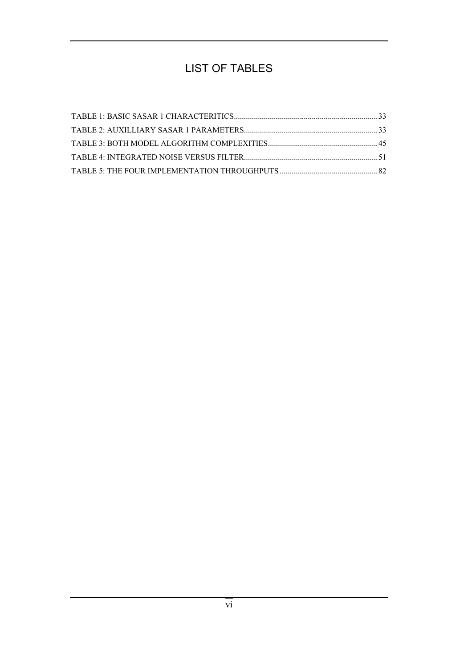## LIST OF TABLES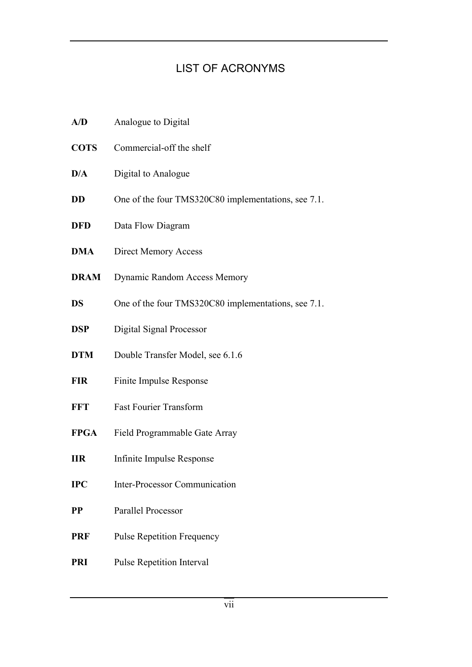## LIST OF ACRONYMS

| A/D         | Analogue to Digital                                 |
|-------------|-----------------------------------------------------|
| <b>COTS</b> | Commercial-off the shelf                            |
| D/A         | Digital to Analogue                                 |
| <b>DD</b>   | One of the four TMS320C80 implementations, see 7.1. |
| <b>DFD</b>  | Data Flow Diagram                                   |
| <b>DMA</b>  | <b>Direct Memory Access</b>                         |
| <b>DRAM</b> | <b>Dynamic Random Access Memory</b>                 |
| <b>DS</b>   | One of the four TMS320C80 implementations, see 7.1. |
| <b>DSP</b>  | Digital Signal Processor                            |
| <b>DTM</b>  | Double Transfer Model, see 6.1.6                    |
| <b>FIR</b>  | <b>Finite Impulse Response</b>                      |
| FFT         | <b>Fast Fourier Transform</b>                       |
| <b>FPGA</b> | Field Programmable Gate Array                       |
| <b>IIR</b>  | Infinite Impulse Response                           |
| <b>IPC</b>  | <b>Inter-Processor Communication</b>                |
| <b>PP</b>   | <b>Parallel Processor</b>                           |
| <b>PRF</b>  | <b>Pulse Repetition Frequency</b>                   |
| <b>PRI</b>  | <b>Pulse Repetition Interval</b>                    |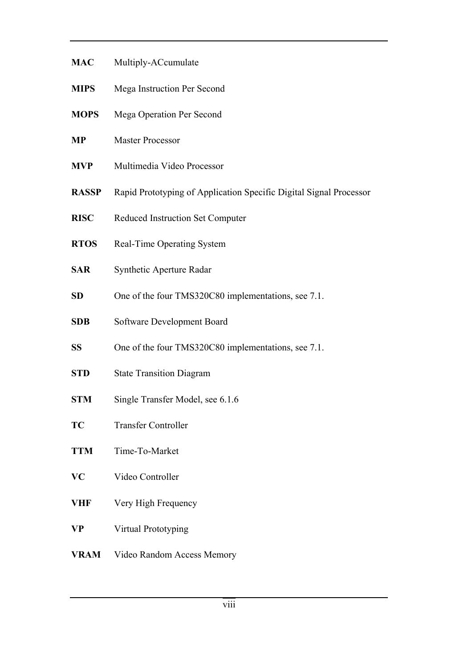- **MAC** Multiply-ACcumulate
- **MIPS** Mega Instruction Per Second
- **MOPS** Mega Operation Per Second
- **MP** Master Processor
- **MVP** Multimedia Video Processor
- **RASSP** Rapid Prototyping of Application Specific Digital Signal Processor
- **RISC** Reduced Instruction Set Computer
- **RTOS** Real-Time Operating System
- **SAR** Synthetic Aperture Radar
- **SD** One of the four TMS320C80 implementations, see 7.1.
- **SDB** Software Development Board
- **SS** One of the four TMS320C80 implementations, see 7.1.
- **STD** State Transition Diagram
- **STM** Single Transfer Model, see 6.1.6
- **TC** Transfer Controller
- **TTM** Time-To-Market
- **VC** Video Controller
- **VHF** Very High Frequency
- **VP** Virtual Prototyping
- **VRAM** Video Random Access Memory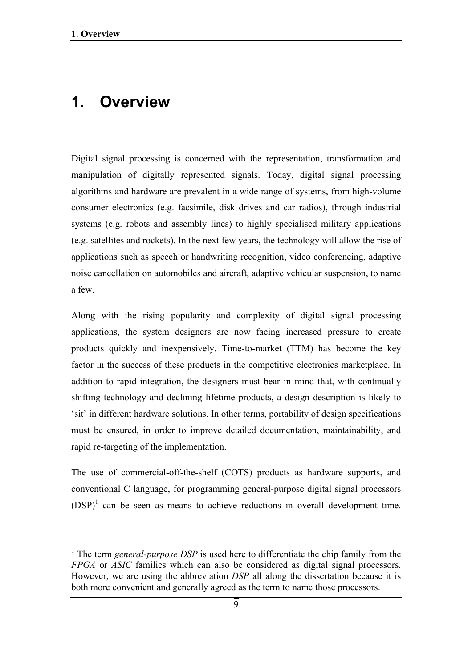$\overline{a}$ 

## **1. Overview**

Digital signal processing is concerned with the representation, transformation and manipulation of digitally represented signals. Today, digital signal processing algorithms and hardware are prevalent in a wide range of systems, from high-volume consumer electronics (e.g. facsimile, disk drives and car radios), through industrial systems (e.g. robots and assembly lines) to highly specialised military applications (e.g. satellites and rockets). In the next few years, the technology will allow the rise of applications such as speech or handwriting recognition, video conferencing, adaptive noise cancellation on automobiles and aircraft, adaptive vehicular suspension, to name a few.

Along with the rising popularity and complexity of digital signal processing applications, the system designers are now facing increased pressure to create products quickly and inexpensively. Time-to-market (TTM) has become the key factor in the success of these products in the competitive electronics marketplace. In addition to rapid integration, the designers must bear in mind that, with continually shifting technology and declining lifetime products, a design description is likely to 'sit' in different hardware solutions. In other terms, portability of design specifications must be ensured, in order to improve detailed documentation, maintainability, and rapid re-targeting of the implementation.

The use of commercial-off-the-shelf (COTS) products as hardware supports, and conventional C language, for programming general-purpose digital signal processors  $(DSP)<sup>1</sup>$  can be seen as means to achieve reductions in overall development time.

<sup>&</sup>lt;sup>1</sup> The term *general-purpose DSP* is used here to differentiate the chip family from the *FPGA* or *ASIC* families which can also be considered as digital signal processors. However, we are using the abbreviation *DSP* all along the dissertation because it is both more convenient and generally agreed as the term to name those processors.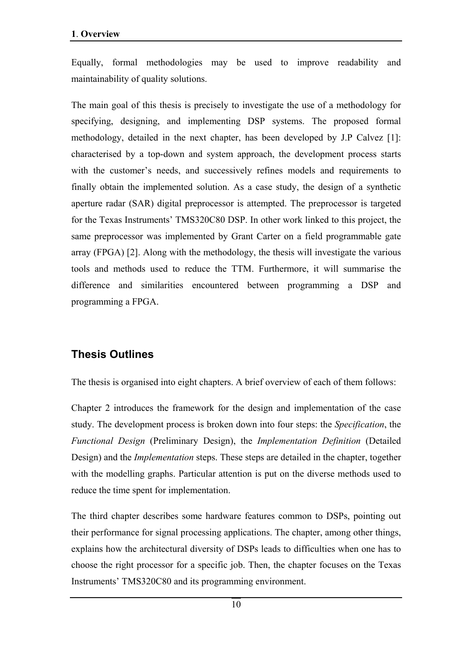Equally, formal methodologies may be used to improve readability and maintainability of quality solutions.

The main goal of this thesis is precisely to investigate the use of a methodology for specifying, designing, and implementing DSP systems. The proposed formal methodology, detailed in the next chapter, has been developed by J.P Calvez [1]: characterised by a top-down and system approach, the development process starts with the customer's needs, and successively refines models and requirements to finally obtain the implemented solution. As a case study, the design of a synthetic aperture radar (SAR) digital preprocessor is attempted. The preprocessor is targeted for the Texas Instruments' TMS320C80 DSP. In other work linked to this project, the same preprocessor was implemented by Grant Carter on a field programmable gate array (FPGA) [2]. Along with the methodology, the thesis will investigate the various tools and methods used to reduce the TTM. Furthermore, it will summarise the difference and similarities encountered between programming a DSP and programming a FPGA.

## **Thesis Outlines**

The thesis is organised into eight chapters. A brief overview of each of them follows:

Chapter 2 introduces the framework for the design and implementation of the case study. The development process is broken down into four steps: the *Specification*, the *Functional Design* (Preliminary Design), the *Implementation Definition* (Detailed Design) and the *Implementation* steps. These steps are detailed in the chapter, together with the modelling graphs. Particular attention is put on the diverse methods used to reduce the time spent for implementation.

The third chapter describes some hardware features common to DSPs, pointing out their performance for signal processing applications. The chapter, among other things, explains how the architectural diversity of DSPs leads to difficulties when one has to choose the right processor for a specific job. Then, the chapter focuses on the Texas Instruments' TMS320C80 and its programming environment.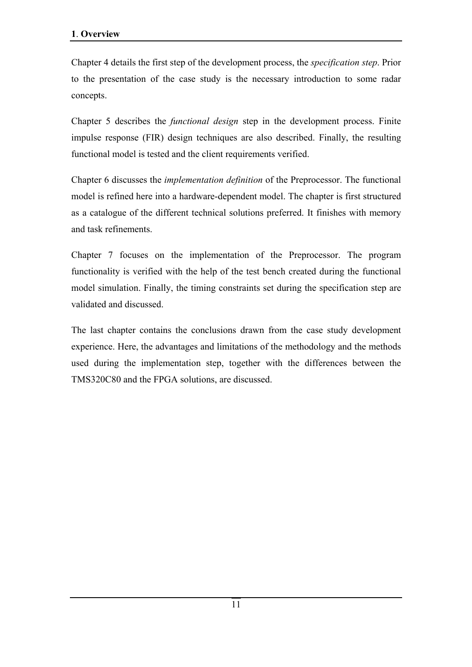Chapter 4 details the first step of the development process, the *specification step*. Prior to the presentation of the case study is the necessary introduction to some radar concepts.

Chapter 5 describes the *functional design* step in the development process. Finite impulse response (FIR) design techniques are also described. Finally, the resulting functional model is tested and the client requirements verified.

Chapter 6 discusses the *implementation definition* of the Preprocessor. The functional model is refined here into a hardware-dependent model. The chapter is first structured as a catalogue of the different technical solutions preferred. It finishes with memory and task refinements.

Chapter 7 focuses on the implementation of the Preprocessor. The program functionality is verified with the help of the test bench created during the functional model simulation. Finally, the timing constraints set during the specification step are validated and discussed.

The last chapter contains the conclusions drawn from the case study development experience. Here, the advantages and limitations of the methodology and the methods used during the implementation step, together with the differences between the TMS320C80 and the FPGA solutions, are discussed.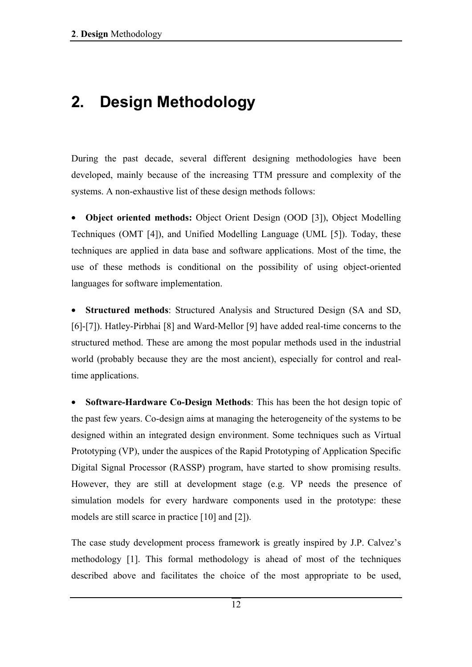## **2. Design Methodology**

During the past decade, several different designing methodologies have been developed, mainly because of the increasing TTM pressure and complexity of the systems. A non-exhaustive list of these design methods follows:

• **Object oriented methods:** Object Orient Design (OOD [3]), Object Modelling Techniques (OMT [4]), and Unified Modelling Language (UML [5]). Today, these techniques are applied in data base and software applications. Most of the time, the use of these methods is conditional on the possibility of using object-oriented languages for software implementation.

• **Structured methods**: Structured Analysis and Structured Design (SA and SD, [6]-[7]). Hatley-Pirbhai [8] and Ward-Mellor [9] have added real-time concerns to the structured method. These are among the most popular methods used in the industrial world (probably because they are the most ancient), especially for control and realtime applications.

• **Software-Hardware Co-Design Methods**: This has been the hot design topic of the past few years. Co-design aims at managing the heterogeneity of the systems to be designed within an integrated design environment. Some techniques such as Virtual Prototyping (VP), under the auspices of the Rapid Prototyping of Application Specific Digital Signal Processor (RASSP) program, have started to show promising results. However, they are still at development stage (e.g. VP needs the presence of simulation models for every hardware components used in the prototype: these models are still scarce in practice [10] and [2]).

The case study development process framework is greatly inspired by J.P. Calvez's methodology [1]. This formal methodology is ahead of most of the techniques described above and facilitates the choice of the most appropriate to be used,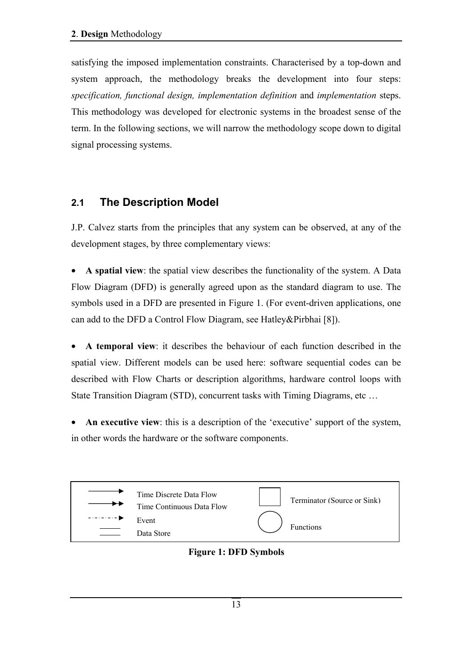satisfying the imposed implementation constraints. Characterised by a top-down and system approach, the methodology breaks the development into four steps: *specification, functional design, implementation definition* and *implementation* steps. This methodology was developed for electronic systems in the broadest sense of the term. In the following sections, we will narrow the methodology scope down to digital signal processing systems.

#### **2.1 The Description Model**

J.P. Calvez starts from the principles that any system can be observed, at any of the development stages, by three complementary views:

• **A spatial view**: the spatial view describes the functionality of the system. A Data Flow Diagram (DFD) is generally agreed upon as the standard diagram to use. The symbols used in a DFD are presented in Figure 1. (For event-driven applications, one can add to the DFD a Control Flow Diagram, see Hatley&Pirbhai [8]).

• **A temporal view**: it describes the behaviour of each function described in the spatial view. Different models can be used here: software sequential codes can be described with Flow Charts or description algorithms, hardware control loops with State Transition Diagram (STD), concurrent tasks with Timing Diagrams, etc …

• **An executive view**: this is a description of the 'executive' support of the system, in other words the hardware or the software components.



**Figure 1: DFD Symbols**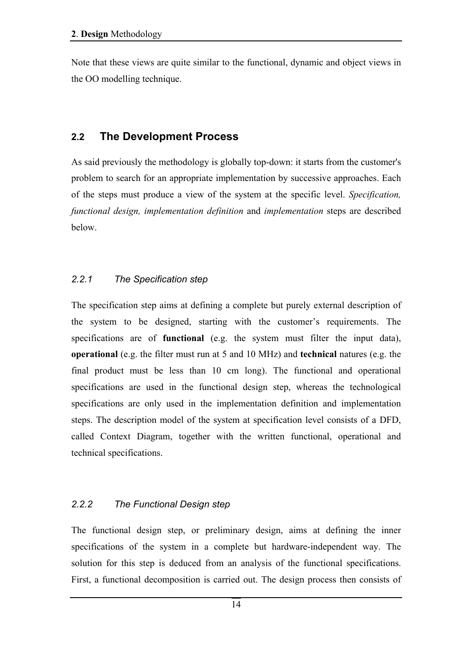Note that these views are quite similar to the functional, dynamic and object views in the OO modelling technique.

#### **2.2 The Development Process**

As said previously the methodology is globally top-down: it starts from the customer's problem to search for an appropriate implementation by successive approaches. Each of the steps must produce a view of the system at the specific level. *Specification, functional design, implementation definition* and *implementation* steps are described below.

#### *2.2.1 The Specification step*

The specification step aims at defining a complete but purely external description of the system to be designed, starting with the customer's requirements. The specifications are of **functional** (e.g. the system must filter the input data), **operational** (e.g. the filter must run at 5 and 10 MHz) and **technical** natures (e.g. the final product must be less than 10 cm long). The functional and operational specifications are used in the functional design step, whereas the technological specifications are only used in the implementation definition and implementation steps. The description model of the system at specification level consists of a DFD, called Context Diagram, together with the written functional, operational and technical specifications.

#### *2.2.2 The Functional Design step*

The functional design step, or preliminary design, aims at defining the inner specifications of the system in a complete but hardware-independent way. The solution for this step is deduced from an analysis of the functional specifications. First, a functional decomposition is carried out. The design process then consists of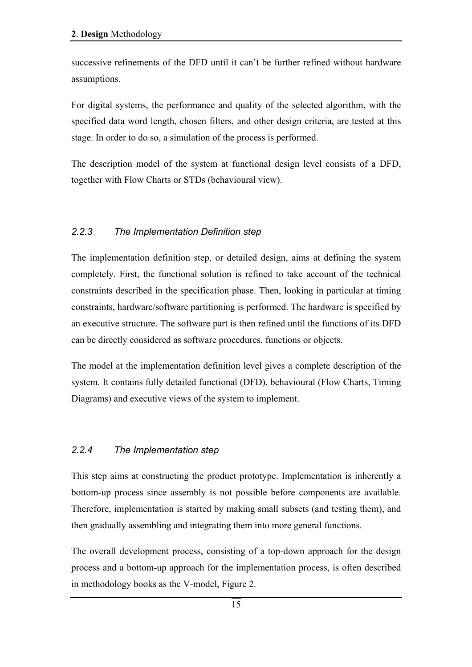successive refinements of the DFD until it can't be further refined without hardware assumptions.

For digital systems, the performance and quality of the selected algorithm, with the specified data word length, chosen filters, and other design criteria, are tested at this stage. In order to do so, a simulation of the process is performed.

The description model of the system at functional design level consists of a DFD, together with Flow Charts or STDs (behavioural view).

#### *2.2.3 The Implementation Definition step*

The implementation definition step, or detailed design, aims at defining the system completely. First, the functional solution is refined to take account of the technical constraints described in the specification phase. Then, looking in particular at timing constraints, hardware/software partitioning is performed. The hardware is specified by an executive structure. The software part is then refined until the functions of its DFD can be directly considered as software procedures, functions or objects.

The model at the implementation definition level gives a complete description of the system. It contains fully detailed functional (DFD), behavioural (Flow Charts, Timing Diagrams) and executive views of the system to implement.

#### *2.2.4 The Implementation step*

This step aims at constructing the product prototype. Implementation is inherently a bottom-up process since assembly is not possible before components are available. Therefore, implementation is started by making small subsets (and testing them), and then gradually assembling and integrating them into more general functions.

The overall development process, consisting of a top-down approach for the design process and a bottom-up approach for the implementation process, is often described in methodology books as the V-model, Figure 2.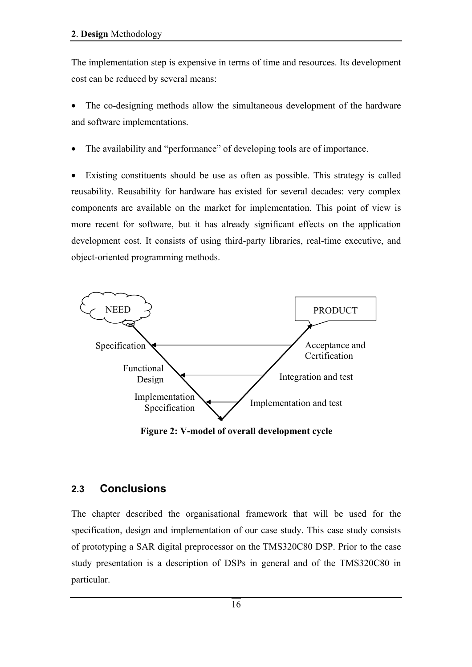The implementation step is expensive in terms of time and resources. Its development cost can be reduced by several means:

The co-designing methods allow the simultaneous development of the hardware and software implementations.

• The availability and "performance" of developing tools are of importance.

• Existing constituents should be use as often as possible. This strategy is called reusability. Reusability for hardware has existed for several decades: very complex components are available on the market for implementation. This point of view is more recent for software, but it has already significant effects on the application development cost. It consists of using third-party libraries, real-time executive, and object-oriented programming methods.



**Figure 2: V-model of overall development cycle** 

### **2.3 Conclusions**

The chapter described the organisational framework that will be used for the specification, design and implementation of our case study. This case study consists of prototyping a SAR digital preprocessor on the TMS320C80 DSP. Prior to the case study presentation is a description of DSPs in general and of the TMS320C80 in particular.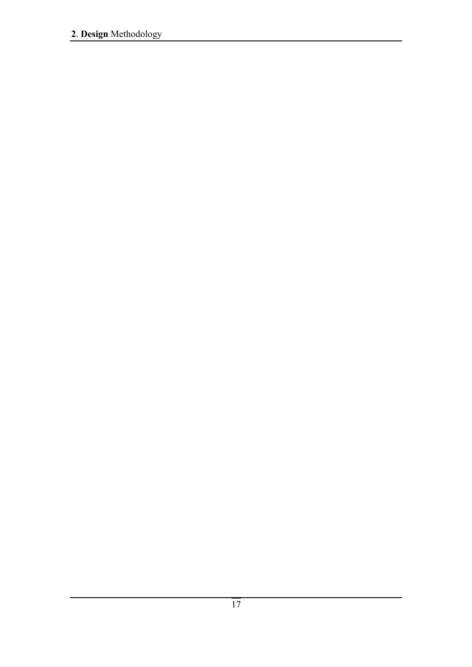#### . **Design** Methodology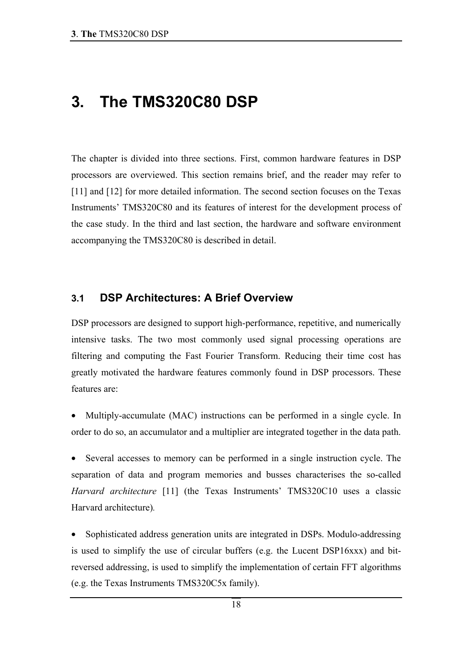## **3. The TMS320C80 DSP**

The chapter is divided into three sections. First, common hardware features in DSP processors are overviewed. This section remains brief, and the reader may refer to [11] and [12] for more detailed information. The second section focuses on the Texas Instruments' TMS320C80 and its features of interest for the development process of the case study. In the third and last section, the hardware and software environment accompanying the TMS320C80 is described in detail.

### **3.1 DSP Architectures: A Brief Overview**

DSP processors are designed to support high-performance, repetitive, and numerically intensive tasks. The two most commonly used signal processing operations are filtering and computing the Fast Fourier Transform. Reducing their time cost has greatly motivated the hardware features commonly found in DSP processors. These features are:

• Multiply-accumulate (MAC) instructions can be performed in a single cycle. In order to do so, an accumulator and a multiplier are integrated together in the data path.

• Several accesses to memory can be performed in a single instruction cycle. The separation of data and program memories and busses characterises the so-called *Harvard architecture* [11] (the Texas Instruments' TMS320C10 uses a classic Harvard architecture)*.*

• Sophisticated address generation units are integrated in DSPs. Modulo-addressing is used to simplify the use of circular buffers (e.g. the Lucent DSP16xxx) and bitreversed addressing, is used to simplify the implementation of certain FFT algorithms (e.g. the Texas Instruments TMS320C5x family).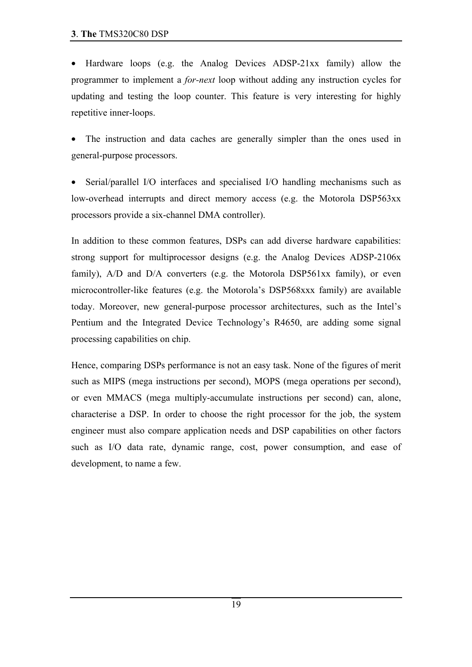• Hardware loops (e.g. the Analog Devices ADSP-21xx family) allow the programmer to implement a *for-next* loop without adding any instruction cycles for updating and testing the loop counter. This feature is very interesting for highly repetitive inner-loops.

The instruction and data caches are generally simpler than the ones used in general-purpose processors.

• Serial/parallel I/O interfaces and specialised I/O handling mechanisms such as low-overhead interrupts and direct memory access (e.g. the Motorola DSP563xx processors provide a six-channel DMA controller).

In addition to these common features, DSPs can add diverse hardware capabilities: strong support for multiprocessor designs (e.g. the Analog Devices ADSP-2106x family), A/D and D/A converters (e.g. the Motorola DSP561xx family), or even microcontroller-like features (e.g. the Motorola's DSP568xxx family) are available today. Moreover, new general-purpose processor architectures, such as the Intel's Pentium and the Integrated Device Technology's R4650, are adding some signal processing capabilities on chip.

Hence, comparing DSPs performance is not an easy task. None of the figures of merit such as MIPS (mega instructions per second), MOPS (mega operations per second), or even MMACS (mega multiply-accumulate instructions per second) can, alone, characterise a DSP. In order to choose the right processor for the job, the system engineer must also compare application needs and DSP capabilities on other factors such as I/O data rate, dynamic range, cost, power consumption, and ease of development, to name a few.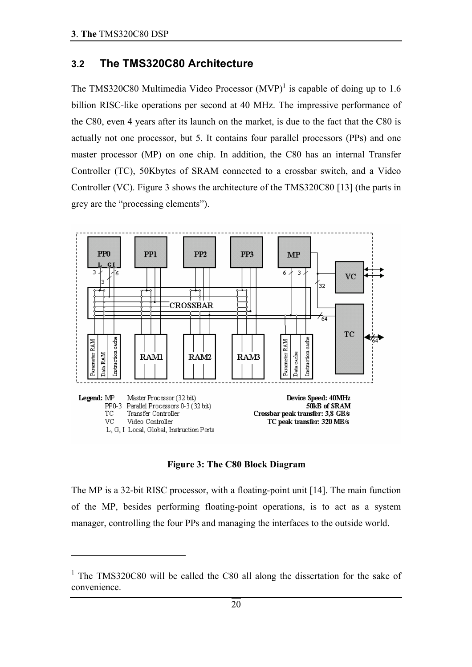$\overline{a}$ 

#### **3.2 The TMS320C80 Architecture**

The TMS320C80 Multimedia Video Processor  $(MVP)^1$  is capable of doing up to 1.6 billion RISC-like operations per second at 40 MHz. The impressive performance of the C80, even 4 years after its launch on the market, is due to the fact that the C80 is actually not one processor, but 5. It contains four parallel processors (PPs) and one master processor (MP) on one chip. In addition, the C80 has an internal Transfer Controller (TC), 50Kbytes of SRAM connected to a crossbar switch, and a Video Controller (VC). Figure 3 shows the architecture of the TMS320C80 [13] (the parts in grey are the "processing elements").



**Figure 3: The C80 Block Diagram** 

The MP is a 32-bit RISC processor, with a floating-point unit [14]. The main function of the MP, besides performing floating-point operations, is to act as a system manager, controlling the four PPs and managing the interfaces to the outside world.

<sup>&</sup>lt;sup>1</sup> The TMS320C80 will be called the C80 all along the dissertation for the sake of convenience.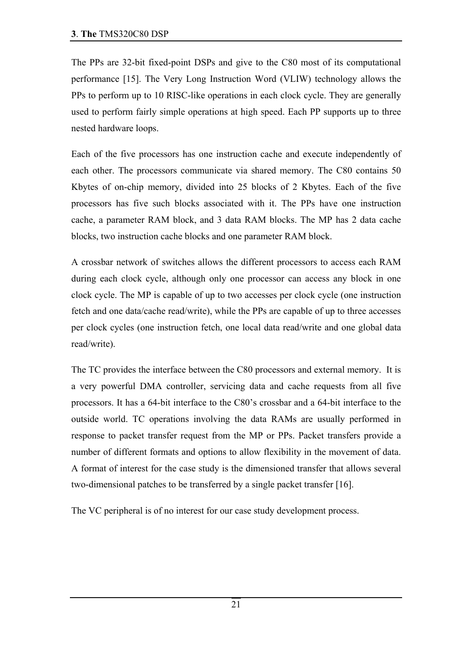The PPs are 32-bit fixed-point DSPs and give to the C80 most of its computational performance [15]. The Very Long Instruction Word (VLIW) technology allows the PPs to perform up to 10 RISC-like operations in each clock cycle. They are generally used to perform fairly simple operations at high speed. Each PP supports up to three nested hardware loops.

Each of the five processors has one instruction cache and execute independently of each other. The processors communicate via shared memory. The C80 contains 50 Kbytes of on-chip memory, divided into 25 blocks of 2 Kbytes. Each of the five processors has five such blocks associated with it. The PPs have one instruction cache, a parameter RAM block, and 3 data RAM blocks. The MP has 2 data cache blocks, two instruction cache blocks and one parameter RAM block.

A crossbar network of switches allows the different processors to access each RAM during each clock cycle, although only one processor can access any block in one clock cycle. The MP is capable of up to two accesses per clock cycle (one instruction fetch and one data/cache read/write), while the PPs are capable of up to three accesses per clock cycles (one instruction fetch, one local data read/write and one global data read/write).

The TC provides the interface between the C80 processors and external memory. It is a very powerful DMA controller, servicing data and cache requests from all five processors. It has a 64-bit interface to the C80's crossbar and a 64-bit interface to the outside world. TC operations involving the data RAMs are usually performed in response to packet transfer request from the MP or PPs. Packet transfers provide a number of different formats and options to allow flexibility in the movement of data. A format of interest for the case study is the dimensioned transfer that allows several two-dimensional patches to be transferred by a single packet transfer [16].

The VC peripheral is of no interest for our case study development process.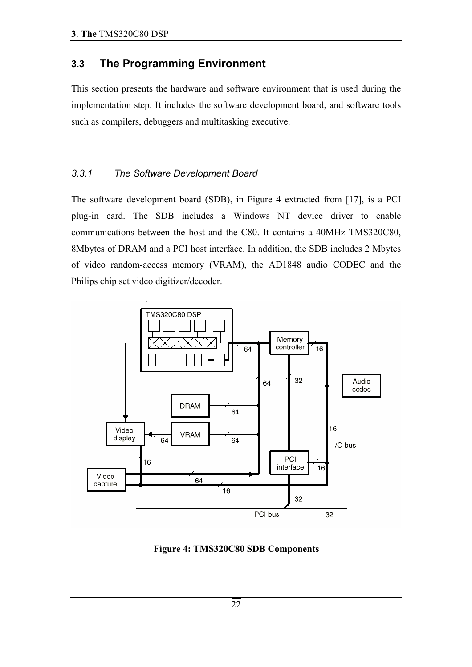#### **3.3 The Programming Environment**

This section presents the hardware and software environment that is used during the implementation step. It includes the software development board, and software tools such as compilers, debuggers and multitasking executive.

#### *3.3.1 The Software Development Board*

The software development board (SDB), in Figure 4 extracted from [17], is a PCI plug-in card. The SDB includes a Windows NT device driver to enable communications between the host and the C80. It contains a 40MHz TMS320C80, 8Mbytes of DRAM and a PCI host interface. In addition, the SDB includes 2 Mbytes of video random-access memory (VRAM), the AD1848 audio CODEC and the Philips chip set video digitizer/decoder.



**Figure 4: TMS320C80 SDB Components**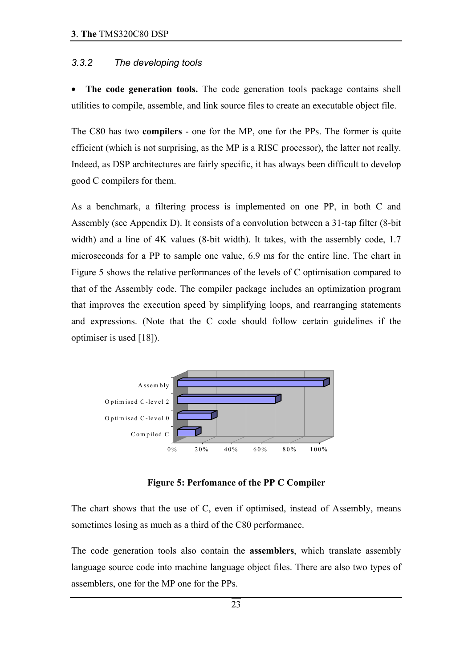#### *3.3.2 The developing tools*

The code generation tools. The code generation tools package contains shell utilities to compile, assemble, and link source files to create an executable object file.

The C80 has two **compilers** - one for the MP, one for the PPs. The former is quite efficient (which is not surprising, as the MP is a RISC processor), the latter not really. Indeed, as DSP architectures are fairly specific, it has always been difficult to develop good C compilers for them.

As a benchmark, a filtering process is implemented on one PP, in both C and Assembly (see Appendix D). It consists of a convolution between a 31-tap filter (8-bit width) and a line of 4K values (8-bit width). It takes, with the assembly code, 1.7 microseconds for a PP to sample one value, 6.9 ms for the entire line. The chart in Figure 5 shows the relative performances of the levels of C optimisation compared to that of the Assembly code. The compiler package includes an optimization program that improves the execution speed by simplifying loops, and rearranging statements and expressions. (Note that the C code should follow certain guidelines if the optimiser is used [18]).



**Figure 5: Perfomance of the PP C Compiler** 

The chart shows that the use of C, even if optimised, instead of Assembly, means sometimes losing as much as a third of the C80 performance.

The code generation tools also contain the **assemblers**, which translate assembly language source code into machine language object files. There are also two types of assemblers, one for the MP one for the PPs.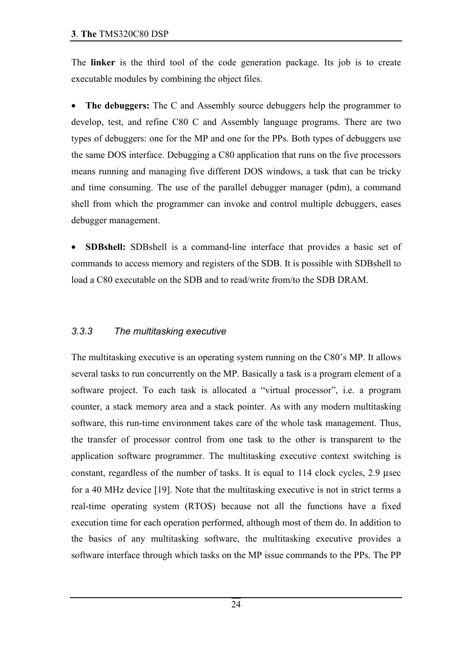The **linker** is the third tool of the code generation package. Its job is to create executable modules by combining the object files.

• **The debuggers:** The C and Assembly source debuggers help the programmer to develop, test, and refine C80 C and Assembly language programs. There are two types of debuggers: one for the MP and one for the PPs. Both types of debuggers use the same DOS interface. Debugging a C80 application that runs on the five processors means running and managing five different DOS windows, a task that can be tricky and time consuming. The use of the parallel debugger manager (pdm), a command shell from which the programmer can invoke and control multiple debuggers, eases debugger management.

• **SDBshell:** SDBshell is a command-line interface that provides a basic set of commands to access memory and registers of the SDB. It is possible with SDBshell to load a C80 executable on the SDB and to read/write from/to the SDB DRAM.

#### *3.3.3 The multitasking executive*

The multitasking executive is an operating system running on the C80's MP. It allows several tasks to run concurrently on the MP. Basically a task is a program element of a software project. To each task is allocated a "virtual processor", i.e. a program counter, a stack memory area and a stack pointer. As with any modern multitasking software, this run-time environment takes care of the whole task management. Thus, the transfer of processor control from one task to the other is transparent to the application software programmer. The multitasking executive context switching is constant, regardless of the number of tasks. It is equal to 114 clock cycles, 2.9 µsec for a 40 MHz device [19]. Note that the multitasking executive is not in strict terms a real-time operating system (RTOS) because not all the functions have a fixed execution time for each operation performed, although most of them do. In addition to the basics of any multitasking software, the multitasking executive provides a software interface through which tasks on the MP issue commands to the PPs. The PP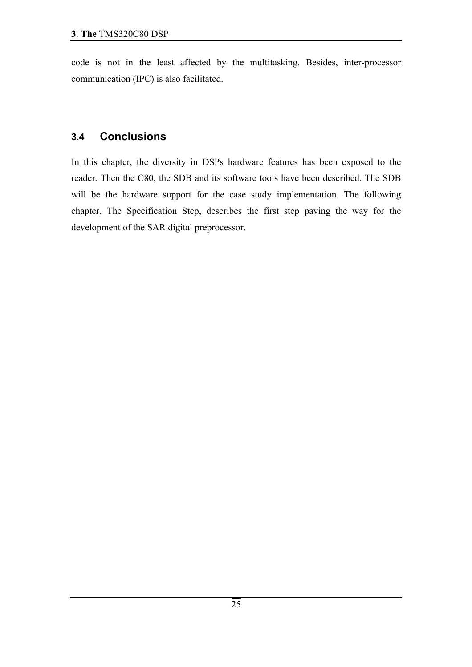code is not in the least affected by the multitasking. Besides, inter-processor communication (IPC) is also facilitated.

### **3.4 Conclusions**

In this chapter, the diversity in DSPs hardware features has been exposed to the reader. Then the C80, the SDB and its software tools have been described. The SDB will be the hardware support for the case study implementation. The following chapter, The Specification Step, describes the first step paving the way for the development of the SAR digital preprocessor.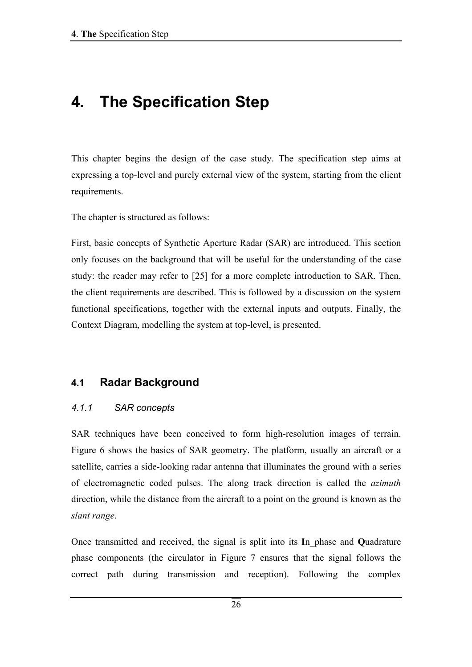## **4. The Specification Step**

This chapter begins the design of the case study. The specification step aims at expressing a top-level and purely external view of the system, starting from the client requirements.

The chapter is structured as follows:

First, basic concepts of Synthetic Aperture Radar (SAR) are introduced. This section only focuses on the background that will be useful for the understanding of the case study: the reader may refer to [25] for a more complete introduction to SAR. Then, the client requirements are described. This is followed by a discussion on the system functional specifications, together with the external inputs and outputs. Finally, the Context Diagram, modelling the system at top-level, is presented.

### **4.1 Radar Background**

#### *4.1.1 SAR concepts*

SAR techniques have been conceived to form high-resolution images of terrain. Figure 6 shows the basics of SAR geometry. The platform, usually an aircraft or a satellite, carries a side-looking radar antenna that illuminates the ground with a series of electromagnetic coded pulses. The along track direction is called the *azimuth* direction, while the distance from the aircraft to a point on the ground is known as the *slant range*.

Once transmitted and received, the signal is split into its **I**n\_phase and **Q**uadrature phase components (the circulator in Figure 7 ensures that the signal follows the correct path during transmission and reception). Following the complex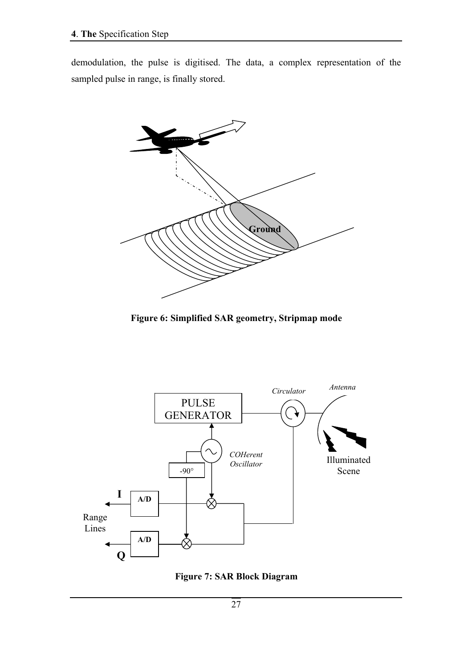demodulation, the pulse is digitised. The data, a complex representation of the sampled pulse in range, is finally stored.



**Figure 6: Simplified SAR geometry, Stripmap mode** 



**Figure 7: SAR Block Diagram**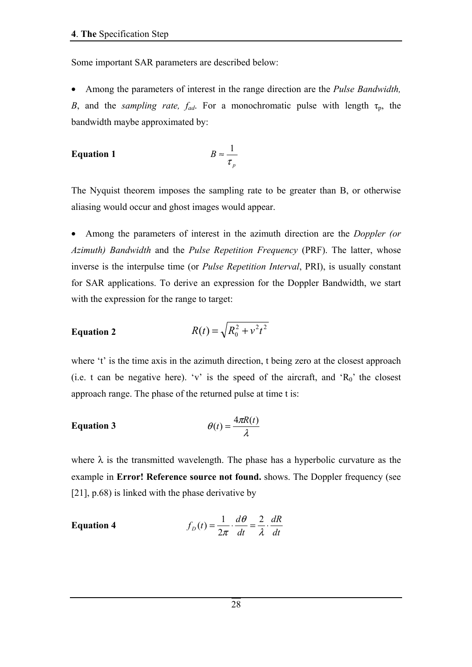Some important SAR parameters are described below:

• Among the parameters of interest in the range direction are the *Pulse Bandwidth, B*, and the *sampling rate,*  $f_{ad}$ . For a monochromatic pulse with length  $\tau_p$ , the bandwidth maybe approximated by:

**Equation 1** 
$$
B \approx \frac{1}{\tau_p}
$$

The Nyquist theorem imposes the sampling rate to be greater than B, or otherwise aliasing would occur and ghost images would appear.

• Among the parameters of interest in the azimuth direction are the *Doppler (or Azimuth) Bandwidth* and the *Pulse Repetition Frequency* (PRF). The latter, whose inverse is the interpulse time (or *Pulse Repetition Interval*, PRI), is usually constant for SAR applications. To derive an expression for the Doppler Bandwidth, we start with the expression for the range to target:

$$
Equation 2 \qquad R(t) = \sqrt{R_0^2 + v^2 t^2}
$$

where 't' is the time axis in the azimuth direction, t being zero at the closest approach (i.e. t can be negative here). 'v' is the speed of the aircraft, and ' $R_0$ ' the closest approach range. The phase of the returned pulse at time t is:

Equation 3 
$$
\theta(t) = \frac{4\pi R(t)}{\lambda}
$$

where  $\lambda$  is the transmitted wavelength. The phase has a hyperbolic curvature as the example in **Error! Reference source not found.** shows. The Doppler frequency (see [21], p.68) is linked with the phase derivative by

**Equation 4** 
$$
f_D(t) = \frac{1}{2\pi} \cdot \frac{d\theta}{dt} = \frac{2}{\lambda} \cdot \frac{dR}{dt}
$$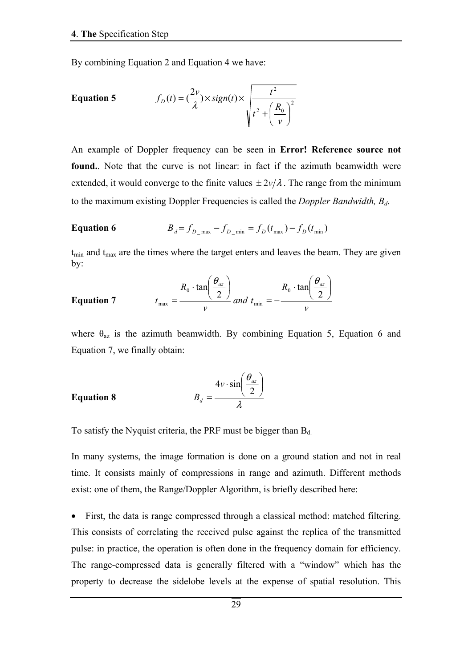By combining Equation 2 and Equation 4 we have:

**Equation 5** 
$$
f_D(t) = \left(\frac{2v}{\lambda}\right) \times sign(t) \times \sqrt{\frac{t^2}{t^2 + \left(\frac{R_0}{v}\right)^2}}
$$

An example of Doppler frequency can be seen in **Error! Reference source not found.**. Note that the curve is not linear: in fact if the azimuth beamwidth were extended, it would converge to the finite values  $\pm 2v/\lambda$ . The range from the minimum to the maximum existing Doppler Frequencies is called the *Doppler Bandwidth, Bd*.

**Equation 6** 
$$
B_d = f_{D_{\text{max}}} - f_{D_{\text{min}}} = f_D(t_{\text{max}}) - f_D(t_{\text{min}})
$$

 $t_{min}$  and  $t_{max}$  are the times where the target enters and leaves the beam. They are given by:

**Equation 7** 
$$
t_{\text{max}} = \frac{R_0 \cdot \tan\left(\frac{\theta_{az}}{2}\right)}{v}
$$
 and  $t_{\text{min}} = -\frac{R_0 \cdot \tan\left(\frac{\theta_{az}}{2}\right)}{v}$ 

where  $\theta_{az}$  is the azimuth beamwidth. By combining Equation 5, Equation 6 and Equation 7, we finally obtain:

#### **Equation 8**

$$
B_d = \frac{4v \cdot \sin\left(\frac{\theta_{az}}{2}\right)}{\lambda}
$$

To satisfy the Nyquist criteria, the PRF must be bigger than  $B_d$ .

In many systems, the image formation is done on a ground station and not in real time. It consists mainly of compressions in range and azimuth. Different methods exist: one of them, the Range/Doppler Algorithm, is briefly described here:

• First, the data is range compressed through a classical method: matched filtering. This consists of correlating the received pulse against the replica of the transmitted pulse: in practice, the operation is often done in the frequency domain for efficiency. The range-compressed data is generally filtered with a "window" which has the property to decrease the sidelobe levels at the expense of spatial resolution. This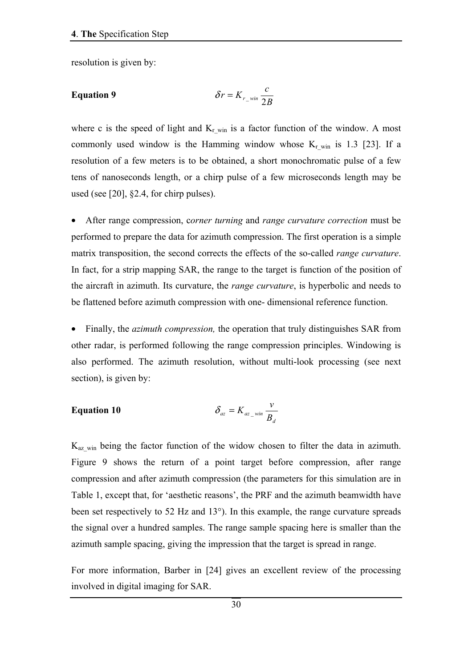resolution is given by:

## **Equation 9**  $\delta r = K_{r_{w}} \frac{c}{2B}$

where c is the speed of light and  $K_r$ <sub>win</sub> is a factor function of the window. A most commonly used window is the Hamming window whose  $K_{r,win}$  is 1.3 [23]. If a resolution of a few meters is to be obtained, a short monochromatic pulse of a few tens of nanoseconds length, or a chirp pulse of a few microseconds length may be used (see [20], §2.4, for chirp pulses).

• After range compression, c*orner turning* and *range curvature correction* must be performed to prepare the data for azimuth compression. The first operation is a simple matrix transposition, the second corrects the effects of the so-called *range curvature*. In fact, for a strip mapping SAR, the range to the target is function of the position of the aircraft in azimuth. Its curvature, the *range curvature*, is hyperbolic and needs to be flattened before azimuth compression with one- dimensional reference function.

• Finally, the *azimuth compression,* the operation that truly distinguishes SAR from other radar, is performed following the range compression principles. Windowing is also performed. The azimuth resolution, without multi-look processing (see next section), is given by:

**Equation 10** 
$$
\delta_{az} = K_{az\_win} \frac{v}{B_d}
$$

K<sub>az win</sub> being the factor function of the widow chosen to filter the data in azimuth. Figure 9 shows the return of a point target before compression, after range compression and after azimuth compression (the parameters for this simulation are in Table 1, except that, for 'aesthetic reasons', the PRF and the azimuth beamwidth have been set respectively to 52 Hz and 13°). In this example, the range curvature spreads the signal over a hundred samples. The range sample spacing here is smaller than the azimuth sample spacing, giving the impression that the target is spread in range.

For more information, Barber in [24] gives an excellent review of the processing involved in digital imaging for SAR.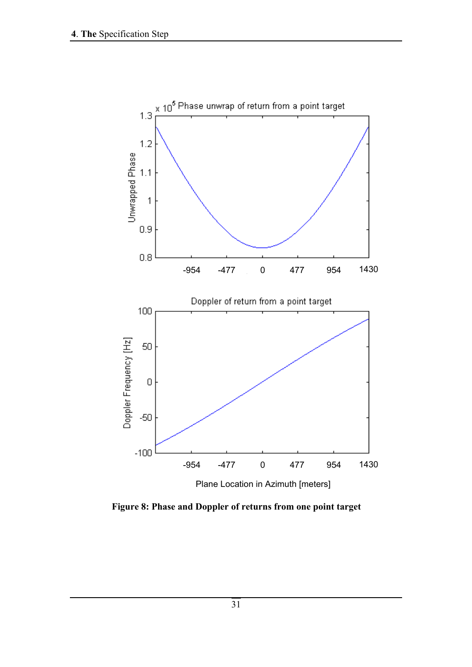

**Figure 8: Phase and Doppler of returns from one point target**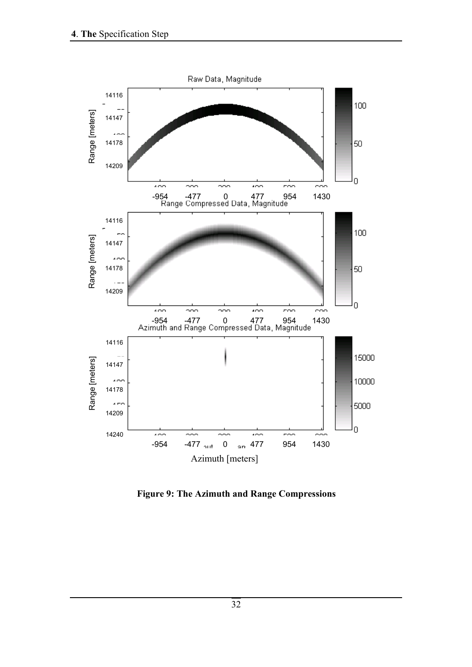

**Figure 9: The Azimuth and Range Compressions**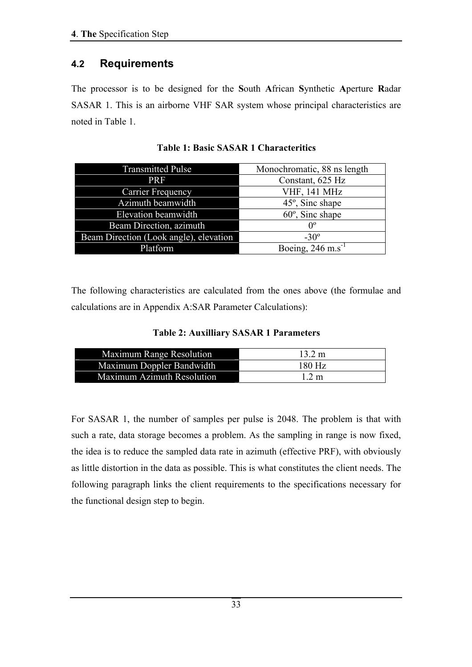## **4.2 Requirements**

The processor is to be designed for the **S**outh **A**frican **S**ynthetic **A**perture **R**adar SASAR 1. This is an airborne VHF SAR system whose principal characteristics are noted in Table 1.

| <b>Transmitted Pulse</b>               | Monochromatic, 88 ns length    |
|----------------------------------------|--------------------------------|
| PRF                                    | Constant, 625 Hz               |
| <b>Carrier Frequency</b>               | <b>VHF, 141 MHz</b>            |
| Azimuth beamwidth                      | $45^\circ$ , Sinc shape        |
| Elevation beamwidth                    | $60^\circ$ , Sinc shape        |
| Beam Direction, azimuth                | Ω°                             |
| Beam Direction (Look angle), elevation | $-30^\circ$                    |
| Platform                               | Boeing, $246 \text{ m.s}^{-1}$ |

**Table 1: Basic SASAR 1 Characteritics** 

The following characteristics are calculated from the ones above (the formulae and calculations are in Appendix A:SAR Parameter Calculations):

**Table 2: Auxilliary SASAR 1 Parameters** 

| <b>Maximum Range Resolution</b>   | 13.2 m          |
|-----------------------------------|-----------------|
| Maximum Doppler Bandwidth         | 180 Hz          |
| <b>Maximum Azimuth Resolution</b> | $1.2 \text{ m}$ |

For SASAR 1, the number of samples per pulse is 2048. The problem is that with such a rate, data storage becomes a problem. As the sampling in range is now fixed, the idea is to reduce the sampled data rate in azimuth (effective PRF), with obviously as little distortion in the data as possible. This is what constitutes the client needs. The following paragraph links the client requirements to the specifications necessary for the functional design step to begin.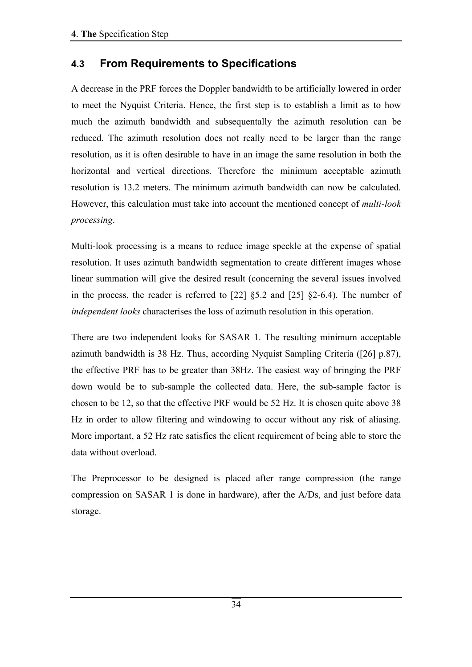## **4.3 From Requirements to Specifications**

A decrease in the PRF forces the Doppler bandwidth to be artificially lowered in order to meet the Nyquist Criteria. Hence, the first step is to establish a limit as to how much the azimuth bandwidth and subsequentally the azimuth resolution can be reduced. The azimuth resolution does not really need to be larger than the range resolution, as it is often desirable to have in an image the same resolution in both the horizontal and vertical directions. Therefore the minimum acceptable azimuth resolution is 13.2 meters. The minimum azimuth bandwidth can now be calculated. However, this calculation must take into account the mentioned concept of *multi-look processing*.

Multi-look processing is a means to reduce image speckle at the expense of spatial resolution. It uses azimuth bandwidth segmentation to create different images whose linear summation will give the desired result (concerning the several issues involved in the process, the reader is referred to [22] §5.2 and [25] §2-6.4). The number of *independent looks* characterises the loss of azimuth resolution in this operation.

There are two independent looks for SASAR 1. The resulting minimum acceptable azimuth bandwidth is 38 Hz. Thus, according Nyquist Sampling Criteria ([26] p.87), the effective PRF has to be greater than 38Hz. The easiest way of bringing the PRF down would be to sub-sample the collected data. Here, the sub-sample factor is chosen to be 12, so that the effective PRF would be 52 Hz. It is chosen quite above 38 Hz in order to allow filtering and windowing to occur without any risk of aliasing. More important, a 52 Hz rate satisfies the client requirement of being able to store the data without overload.

The Preprocessor to be designed is placed after range compression (the range compression on SASAR 1 is done in hardware), after the A/Ds, and just before data storage.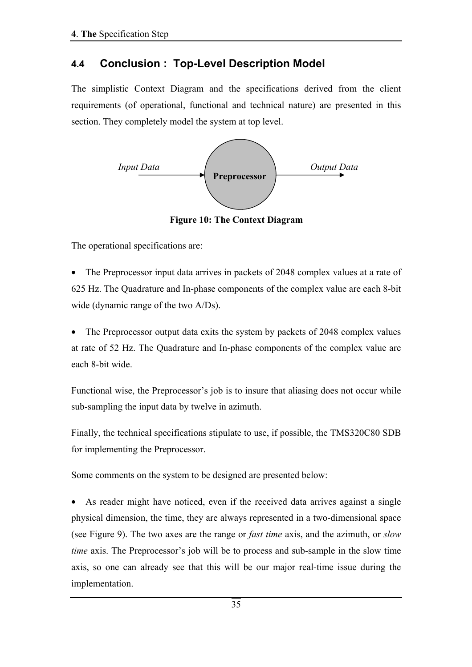# **4.4 Conclusion : Top-Level Description Model**

The simplistic Context Diagram and the specifications derived from the client requirements (of operational, functional and technical nature) are presented in this section. They completely model the system at top level.



**Figure 10: The Context Diagram** 

The operational specifications are:

• The Preprocessor input data arrives in packets of 2048 complex values at a rate of 625 Hz. The Quadrature and In-phase components of the complex value are each 8-bit wide (dynamic range of the two A/Ds).

• The Preprocessor output data exits the system by packets of 2048 complex values at rate of 52 Hz. The Quadrature and In-phase components of the complex value are each 8-bit wide.

Functional wise, the Preprocessor's job is to insure that aliasing does not occur while sub-sampling the input data by twelve in azimuth.

Finally, the technical specifications stipulate to use, if possible, the TMS320C80 SDB for implementing the Preprocessor.

Some comments on the system to be designed are presented below:

As reader might have noticed, even if the received data arrives against a single physical dimension, the time, they are always represented in a two-dimensional space (see Figure 9). The two axes are the range or *fast time* axis, and the azimuth, or *slow time* axis. The Preprocessor's job will be to process and sub-sample in the slow time axis, so one can already see that this will be our major real-time issue during the implementation.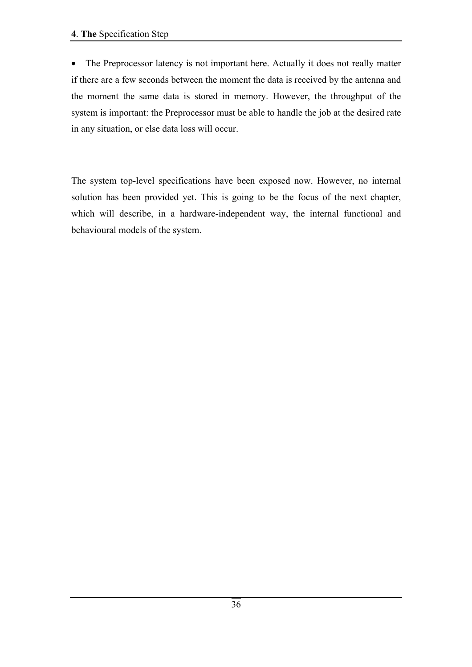• The Preprocessor latency is not important here. Actually it does not really matter if there are a few seconds between the moment the data is received by the antenna and the moment the same data is stored in memory. However, the throughput of the system is important: the Preprocessor must be able to handle the job at the desired rate in any situation, or else data loss will occur.

The system top-level specifications have been exposed now. However, no internal solution has been provided yet. This is going to be the focus of the next chapter, which will describe, in a hardware-independent way, the internal functional and behavioural models of the system.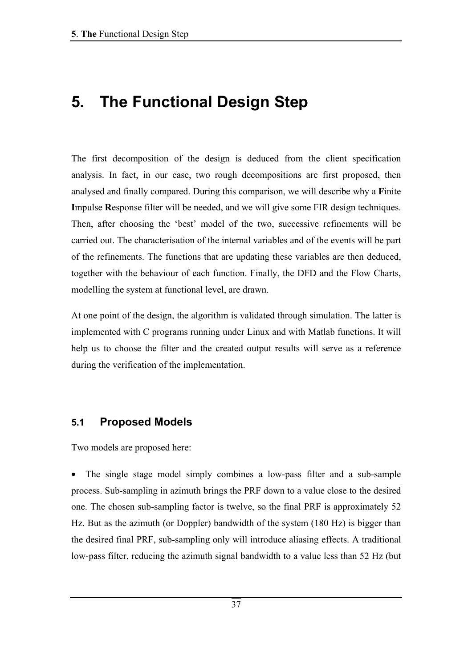# **5. The Functional Design Step**

The first decomposition of the design is deduced from the client specification analysis. In fact, in our case, two rough decompositions are first proposed, then analysed and finally compared. During this comparison, we will describe why a **F**inite **I**mpulse **R**esponse filter will be needed, and we will give some FIR design techniques. Then, after choosing the 'best' model of the two, successive refinements will be carried out. The characterisation of the internal variables and of the events will be part of the refinements. The functions that are updating these variables are then deduced, together with the behaviour of each function. Finally, the DFD and the Flow Charts, modelling the system at functional level, are drawn.

At one point of the design, the algorithm is validated through simulation. The latter is implemented with C programs running under Linux and with Matlab functions. It will help us to choose the filter and the created output results will serve as a reference during the verification of the implementation.

## **5.1 Proposed Models**

Two models are proposed here:

• The single stage model simply combines a low-pass filter and a sub-sample process. Sub-sampling in azimuth brings the PRF down to a value close to the desired one. The chosen sub-sampling factor is twelve, so the final PRF is approximately 52 Hz. But as the azimuth (or Doppler) bandwidth of the system (180 Hz) is bigger than the desired final PRF, sub-sampling only will introduce aliasing effects. A traditional low-pass filter, reducing the azimuth signal bandwidth to a value less than 52 Hz (but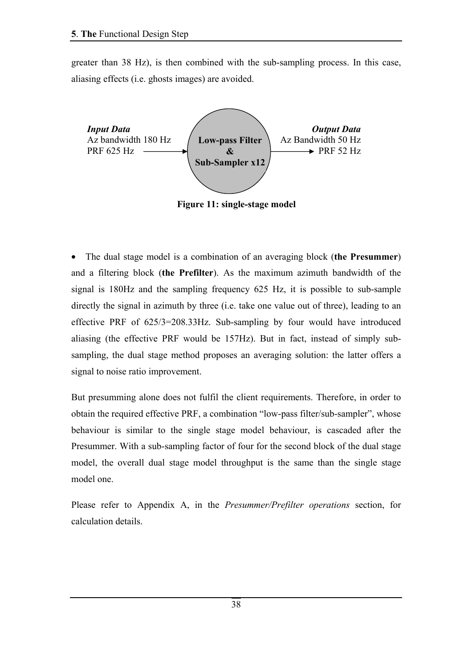greater than 38 Hz), is then combined with the sub-sampling process. In this case, aliasing effects (i.e. ghosts images) are avoided.



**Figure 11: single-stage model** 

• The dual stage model is a combination of an averaging block (**the Presummer**) and a filtering block (**the Prefilter**). As the maximum azimuth bandwidth of the signal is 180Hz and the sampling frequency 625 Hz, it is possible to sub-sample directly the signal in azimuth by three (i.e. take one value out of three), leading to an effective PRF of 625/3=208.33Hz. Sub-sampling by four would have introduced aliasing (the effective PRF would be 157Hz). But in fact, instead of simply subsampling, the dual stage method proposes an averaging solution: the latter offers a signal to noise ratio improvement.

But presumming alone does not fulfil the client requirements. Therefore, in order to obtain the required effective PRF, a combination "low-pass filter/sub-sampler", whose behaviour is similar to the single stage model behaviour, is cascaded after the Presummer. With a sub-sampling factor of four for the second block of the dual stage model, the overall dual stage model throughput is the same than the single stage model one.

Please refer to Appendix A, in the *Presummer/Prefilter operations* section, for calculation details.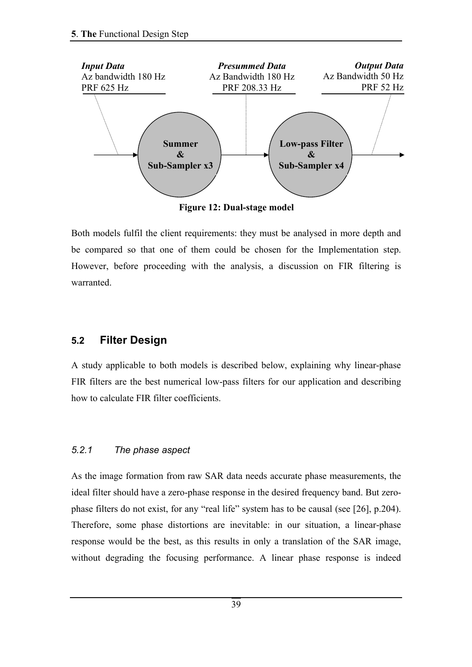

Both models fulfil the client requirements: they must be analysed in more depth and be compared so that one of them could be chosen for the Implementation step. However, before proceeding with the analysis, a discussion on FIR filtering is warranted.

## **5.2 Filter Design**

A study applicable to both models is described below, explaining why linear-phase FIR filters are the best numerical low-pass filters for our application and describing how to calculate FIR filter coefficients.

### *5.2.1 The phase aspect*

As the image formation from raw SAR data needs accurate phase measurements, the ideal filter should have a zero-phase response in the desired frequency band. But zerophase filters do not exist, for any "real life" system has to be causal (see [26], p.204). Therefore, some phase distortions are inevitable: in our situation, a linear-phase response would be the best, as this results in only a translation of the SAR image, without degrading the focusing performance. A linear phase response is indeed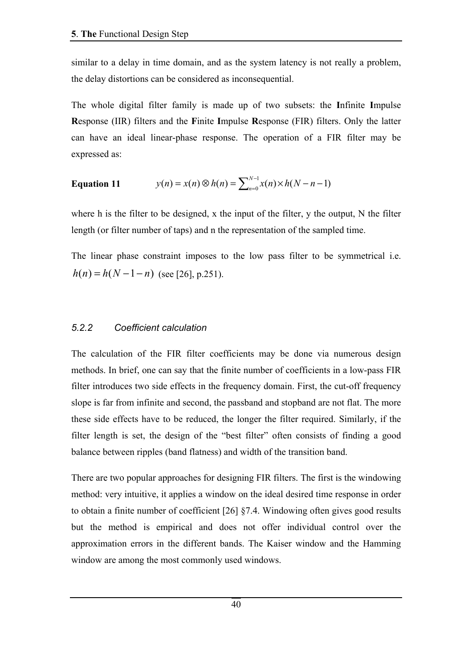similar to a delay in time domain, and as the system latency is not really a problem, the delay distortions can be considered as inconsequential.

The whole digital filter family is made up of two subsets: the **I**nfinite **I**mpulse **R**esponse (IIR) filters and the **F**inite **I**mpulse **R**esponse (FIR) filters. Only the latter can have an ideal linear-phase response. The operation of a FIR filter may be expressed as:

**Equation 11** 
$$
y(n) = x(n) \otimes h(n) = \sum_{n=0}^{N-1} x(n) \times h(N-n-1)
$$

where h is the filter to be designed, x the input of the filter, y the output, N the filter length (or filter number of taps) and n the representation of the sampled time.

The linear phase constraint imposes to the low pass filter to be symmetrical i.e.  $h(n) = h(N-1-n)$  (see [26], p.251).

#### *5.2.2 Coefficient calculation*

The calculation of the FIR filter coefficients may be done via numerous design methods. In brief, one can say that the finite number of coefficients in a low-pass FIR filter introduces two side effects in the frequency domain. First, the cut-off frequency slope is far from infinite and second, the passband and stopband are not flat. The more these side effects have to be reduced, the longer the filter required. Similarly, if the filter length is set, the design of the "best filter" often consists of finding a good balance between ripples (band flatness) and width of the transition band.

There are two popular approaches for designing FIR filters. The first is the windowing method: very intuitive, it applies a window on the ideal desired time response in order to obtain a finite number of coefficient [26] §7.4. Windowing often gives good results but the method is empirical and does not offer individual control over the approximation errors in the different bands. The Kaiser window and the Hamming window are among the most commonly used windows.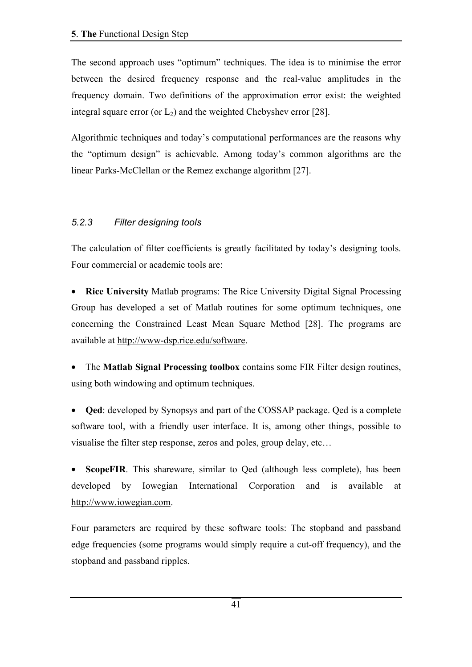The second approach uses "optimum" techniques. The idea is to minimise the error between the desired frequency response and the real-value amplitudes in the frequency domain. Two definitions of the approximation error exist: the weighted integral square error (or  $L_2$ ) and the weighted Chebyshev error [28].

Algorithmic techniques and today's computational performances are the reasons why the "optimum design" is achievable. Among today's common algorithms are the linear Parks-McClellan or the Remez exchange algorithm [27].

## *5.2.3 Filter designing tools*

The calculation of filter coefficients is greatly facilitated by today's designing tools. Four commercial or academic tools are:

• **Rice University** Matlab programs: The Rice University Digital Signal Processing Group has developed a set of Matlab routines for some optimum techniques, one concerning the Constrained Least Mean Square Method [28]. The programs are available at http://www-dsp.rice.edu/software.

• The **Matlab Signal Processing toolbox** contains some FIR Filter design routines, using both windowing and optimum techniques.

• **Qed**: developed by Synopsys and part of the COSSAP package. Qed is a complete software tool, with a friendly user interface. It is, among other things, possible to visualise the filter step response, zeros and poles, group delay, etc…

**ScopeFIR**. This shareware, similar to Qed (although less complete), has been developed by Iowegian International Corporation and is available at http://www.iowegian.com.

Four parameters are required by these software tools: The stopband and passband edge frequencies (some programs would simply require a cut-off frequency), and the stopband and passband ripples.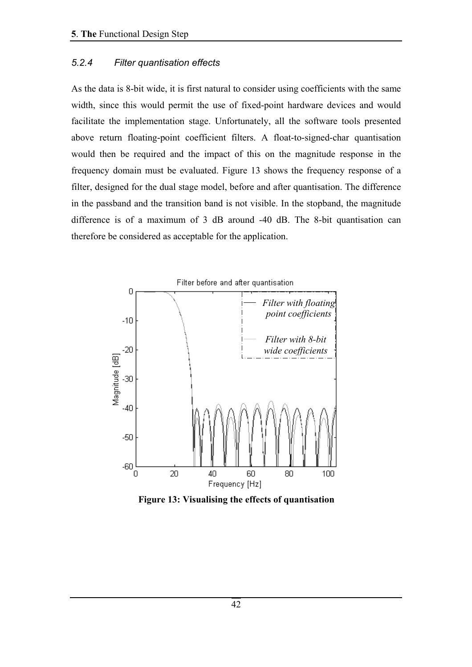#### *5.2.4 Filter quantisation effects*

As the data is 8-bit wide, it is first natural to consider using coefficients with the same width, since this would permit the use of fixed-point hardware devices and would facilitate the implementation stage. Unfortunately, all the software tools presented above return floating-point coefficient filters. A float-to-signed-char quantisation would then be required and the impact of this on the magnitude response in the frequency domain must be evaluated. Figure 13 shows the frequency response of a filter, designed for the dual stage model, before and after quantisation. The difference in the passband and the transition band is not visible. In the stopband, the magnitude difference is of a maximum of 3 dB around -40 dB. The 8-bit quantisation can therefore be considered as acceptable for the application.



**Figure 13: Visualising the effects of quantisation**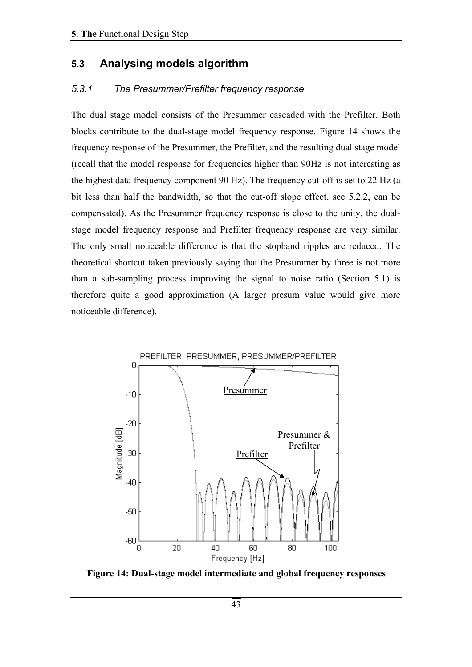## **5.3 Analysing models algorithm**

#### *5.3.1 The Presummer/Prefilter frequency response*

The dual stage model consists of the Presummer cascaded with the Prefilter. Both blocks contribute to the dual-stage model frequency response. Figure 14 shows the frequency response of the Presummer, the Prefilter, and the resulting dual stage model (recall that the model response for frequencies higher than 90Hz is not interesting as the highest data frequency component 90 Hz). The frequency cut-off is set to 22 Hz (a bit less than half the bandwidth, so that the cut-off slope effect, see 5.2.2, can be compensated). As the Presummer frequency response is close to the unity, the dualstage model frequency response and Prefilter frequency response are very similar. The only small noticeable difference is that the stopband ripples are reduced. The theoretical shortcut taken previously saying that the Presummer by three is not more than a sub-sampling process improving the signal to noise ratio (Section 5.1) is therefore quite a good approximation (A larger presum value would give more noticeable difference).



**Figure 14: Dual-stage model intermediate and global frequency responses**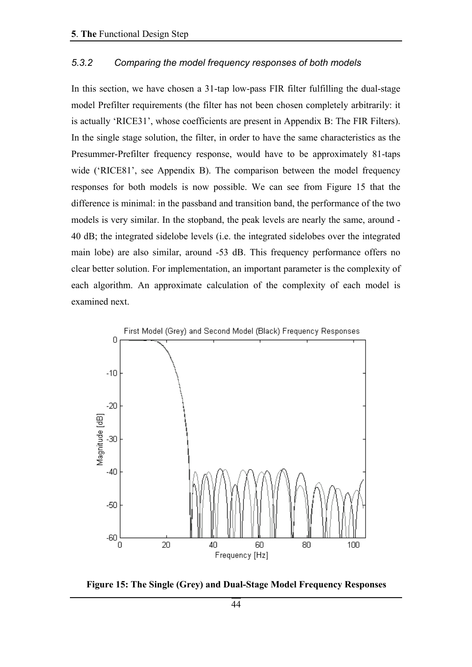#### *5.3.2 Comparing the model frequency responses of both models*

In this section, we have chosen a 31-tap low-pass FIR filter fulfilling the dual-stage model Prefilter requirements (the filter has not been chosen completely arbitrarily: it is actually 'RICE31', whose coefficients are present in Appendix B: The FIR Filters). In the single stage solution, the filter, in order to have the same characteristics as the Presummer-Prefilter frequency response, would have to be approximately 81-taps wide ('RICE81', see Appendix B). The comparison between the model frequency responses for both models is now possible. We can see from Figure 15 that the difference is minimal: in the passband and transition band, the performance of the two models is very similar. In the stopband, the peak levels are nearly the same, around - 40 dB; the integrated sidelobe levels (i.e. the integrated sidelobes over the integrated main lobe) are also similar, around -53 dB. This frequency performance offers no clear better solution. For implementation, an important parameter is the complexity of each algorithm. An approximate calculation of the complexity of each model is examined next.



**Figure 15: The Single (Grey) and Dual-Stage Model Frequency Responses**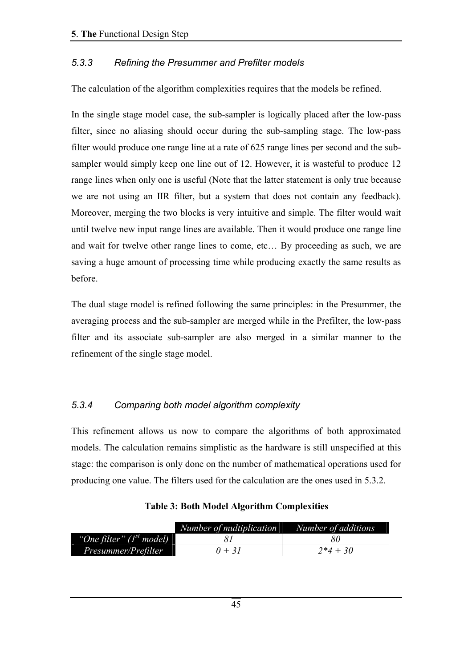#### *5.3.3 Refining the Presummer and Prefilter models*

The calculation of the algorithm complexities requires that the models be refined.

In the single stage model case, the sub-sampler is logically placed after the low-pass filter, since no aliasing should occur during the sub-sampling stage. The low-pass filter would produce one range line at a rate of 625 range lines per second and the subsampler would simply keep one line out of 12. However, it is wasteful to produce 12 range lines when only one is useful (Note that the latter statement is only true because we are not using an IIR filter, but a system that does not contain any feedback). Moreover, merging the two blocks is very intuitive and simple. The filter would wait until twelve new input range lines are available. Then it would produce one range line and wait for twelve other range lines to come, etc… By proceeding as such, we are saving a huge amount of processing time while producing exactly the same results as before.

The dual stage model is refined following the same principles: in the Presummer, the averaging process and the sub-sampler are merged while in the Prefilter, the low-pass filter and its associate sub-sampler are also merged in a similar manner to the refinement of the single stage model.

## *5.3.4 Comparing both model algorithm complexity*

This refinement allows us now to compare the algorithms of both approximated models. The calculation remains simplistic as the hardware is still unspecified at this stage: the comparison is only done on the number of mathematical operations used for producing one value. The filters used for the calculation are the ones used in 5.3.2.

|                             | Number of multiplication | Number of additions |
|-----------------------------|--------------------------|---------------------|
| "One filter" ( $Ist$ model) |                          |                     |
| Presummer/Prefilter         | $0 + 31$                 | $2*4 + 30$          |

| <b>Table 3: Both Model Algorithm Complexities</b> |  |
|---------------------------------------------------|--|
|---------------------------------------------------|--|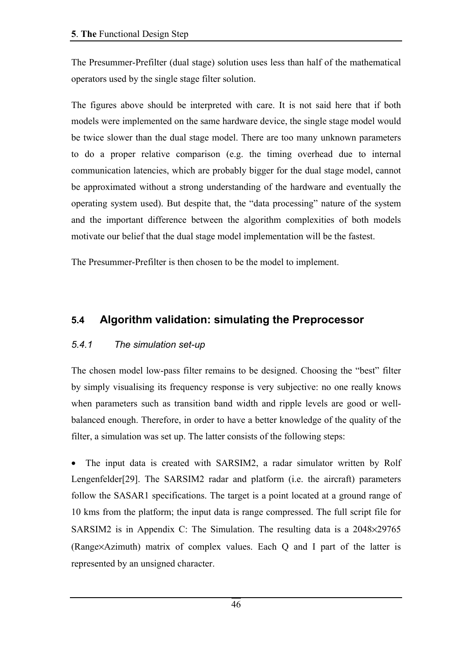The Presummer-Prefilter (dual stage) solution uses less than half of the mathematical operators used by the single stage filter solution.

The figures above should be interpreted with care. It is not said here that if both models were implemented on the same hardware device, the single stage model would be twice slower than the dual stage model. There are too many unknown parameters to do a proper relative comparison (e.g. the timing overhead due to internal communication latencies, which are probably bigger for the dual stage model, cannot be approximated without a strong understanding of the hardware and eventually the operating system used). But despite that, the "data processing" nature of the system and the important difference between the algorithm complexities of both models motivate our belief that the dual stage model implementation will be the fastest.

The Presummer-Prefilter is then chosen to be the model to implement.

## **5.4 Algorithm validation: simulating the Preprocessor**

### *5.4.1 The simulation set-up*

The chosen model low-pass filter remains to be designed. Choosing the "best" filter by simply visualising its frequency response is very subjective: no one really knows when parameters such as transition band width and ripple levels are good or wellbalanced enough. Therefore, in order to have a better knowledge of the quality of the filter, a simulation was set up. The latter consists of the following steps:

• The input data is created with SARSIM2, a radar simulator written by Rolf Lengenfelder[29]. The SARSIM2 radar and platform (i.e. the aircraft) parameters follow the SASAR1 specifications. The target is a point located at a ground range of 10 kms from the platform; the input data is range compressed. The full script file for SARSIM2 is in Appendix C: The Simulation. The resulting data is a 2048×29765 (Range×Azimuth) matrix of complex values. Each Q and I part of the latter is represented by an unsigned character.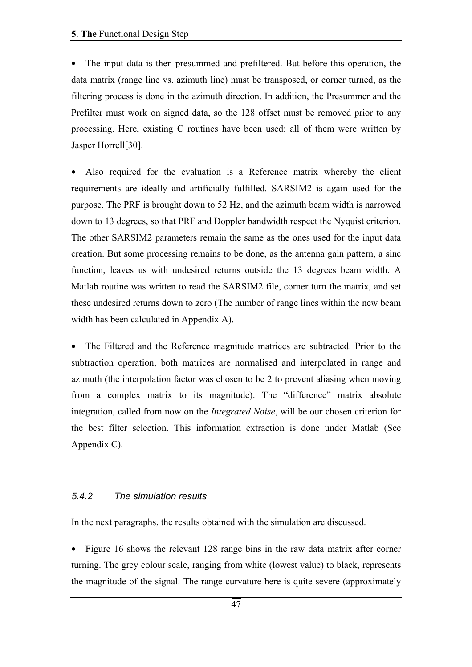• The input data is then presummed and prefiltered. But before this operation, the data matrix (range line vs. azimuth line) must be transposed, or corner turned, as the filtering process is done in the azimuth direction. In addition, the Presummer and the Prefilter must work on signed data, so the 128 offset must be removed prior to any processing. Here, existing C routines have been used: all of them were written by Jasper Horrell[30].

• Also required for the evaluation is a Reference matrix whereby the client requirements are ideally and artificially fulfilled. SARSIM2 is again used for the purpose. The PRF is brought down to 52 Hz, and the azimuth beam width is narrowed down to 13 degrees, so that PRF and Doppler bandwidth respect the Nyquist criterion. The other SARSIM2 parameters remain the same as the ones used for the input data creation. But some processing remains to be done, as the antenna gain pattern, a sinc function, leaves us with undesired returns outside the 13 degrees beam width. A Matlab routine was written to read the SARSIM2 file, corner turn the matrix, and set these undesired returns down to zero (The number of range lines within the new beam width has been calculated in Appendix A).

• The Filtered and the Reference magnitude matrices are subtracted. Prior to the subtraction operation, both matrices are normalised and interpolated in range and azimuth (the interpolation factor was chosen to be 2 to prevent aliasing when moving from a complex matrix to its magnitude). The "difference" matrix absolute integration, called from now on the *Integrated Noise*, will be our chosen criterion for the best filter selection. This information extraction is done under Matlab (See Appendix C).

### *5.4.2 The simulation results*

In the next paragraphs, the results obtained with the simulation are discussed.

• Figure 16 shows the relevant 128 range bins in the raw data matrix after corner turning. The grey colour scale, ranging from white (lowest value) to black, represents the magnitude of the signal. The range curvature here is quite severe (approximately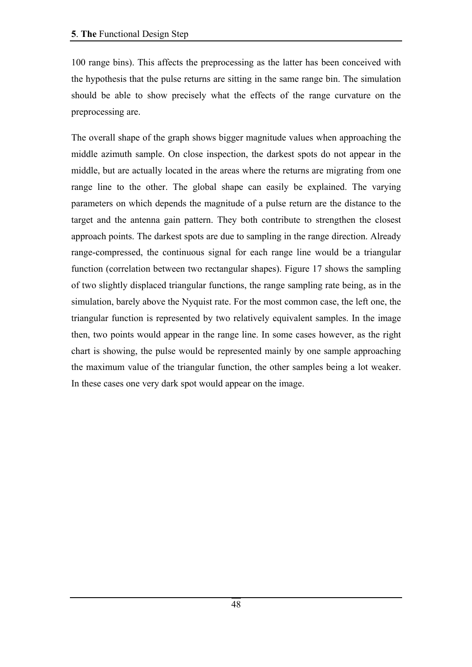100 range bins). This affects the preprocessing as the latter has been conceived with the hypothesis that the pulse returns are sitting in the same range bin. The simulation should be able to show precisely what the effects of the range curvature on the preprocessing are.

The overall shape of the graph shows bigger magnitude values when approaching the middle azimuth sample. On close inspection, the darkest spots do not appear in the middle, but are actually located in the areas where the returns are migrating from one range line to the other. The global shape can easily be explained. The varying parameters on which depends the magnitude of a pulse return are the distance to the target and the antenna gain pattern. They both contribute to strengthen the closest approach points. The darkest spots are due to sampling in the range direction. Already range-compressed, the continuous signal for each range line would be a triangular function (correlation between two rectangular shapes). Figure 17 shows the sampling of two slightly displaced triangular functions, the range sampling rate being, as in the simulation, barely above the Nyquist rate. For the most common case, the left one, the triangular function is represented by two relatively equivalent samples. In the image then, two points would appear in the range line. In some cases however, as the right chart is showing, the pulse would be represented mainly by one sample approaching the maximum value of the triangular function, the other samples being a lot weaker. In these cases one very dark spot would appear on the image.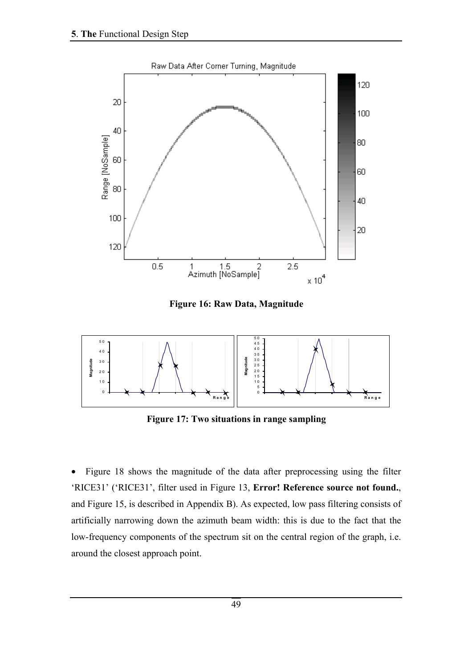

**Figure 16: Raw Data, Magnitude** 



**Figure 17: Two situations in range sampling** 

• Figure 18 shows the magnitude of the data after preprocessing using the filter 'RICE31' ('RICE31', filter used in Figure 13, **Error! Reference source not found.**, and Figure 15, is described in Appendix B). As expected, low pass filtering consists of artificially narrowing down the azimuth beam width: this is due to the fact that the low-frequency components of the spectrum sit on the central region of the graph, i.e. around the closest approach point.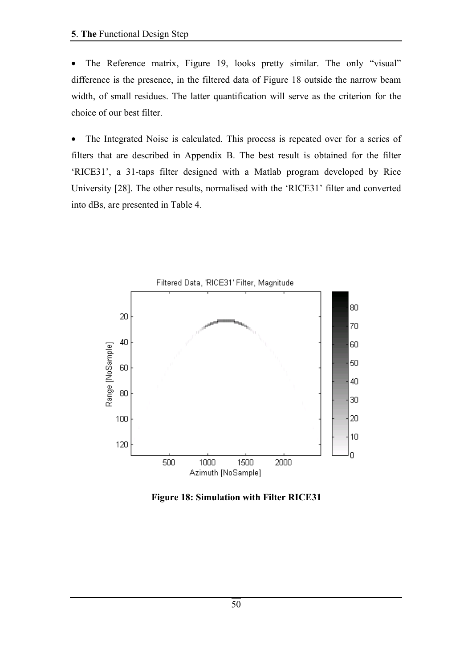• The Reference matrix, Figure 19, looks pretty similar. The only "visual" difference is the presence, in the filtered data of Figure 18 outside the narrow beam width, of small residues. The latter quantification will serve as the criterion for the choice of our best filter.

• The Integrated Noise is calculated. This process is repeated over for a series of filters that are described in Appendix B. The best result is obtained for the filter 'RICE31', a 31-taps filter designed with a Matlab program developed by Rice University [28]. The other results, normalised with the 'RICE31' filter and converted into dBs, are presented in Table 4.



**Figure 18: Simulation with Filter RICE31**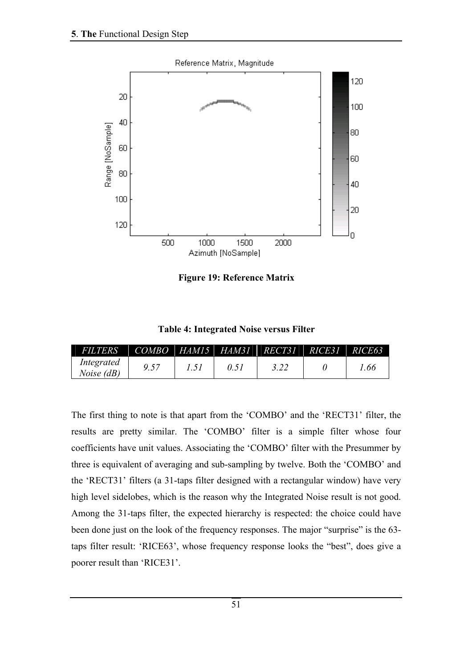

**Figure 19: Reference Matrix** 

| <b>FILTERS</b>           | <b>COMBO</b> | $HAM15$ $HAM31$ | RECT31 RICE31 | <i>RICE63</i> |
|--------------------------|--------------|-----------------|---------------|---------------|
| Integrated<br>Noise (dB) | 0.57         |                 |               | .66           |

The first thing to note is that apart from the 'COMBO' and the 'RECT31' filter, the results are pretty similar. The 'COMBO' filter is a simple filter whose four coefficients have unit values. Associating the 'COMBO' filter with the Presummer by three is equivalent of averaging and sub-sampling by twelve. Both the 'COMBO' and the 'RECT31' filters (a 31-taps filter designed with a rectangular window) have very high level sidelobes, which is the reason why the Integrated Noise result is not good. Among the 31-taps filter, the expected hierarchy is respected: the choice could have been done just on the look of the frequency responses. The major "surprise" is the 63 taps filter result: 'RICE63', whose frequency response looks the "best", does give a poorer result than 'RICE31'.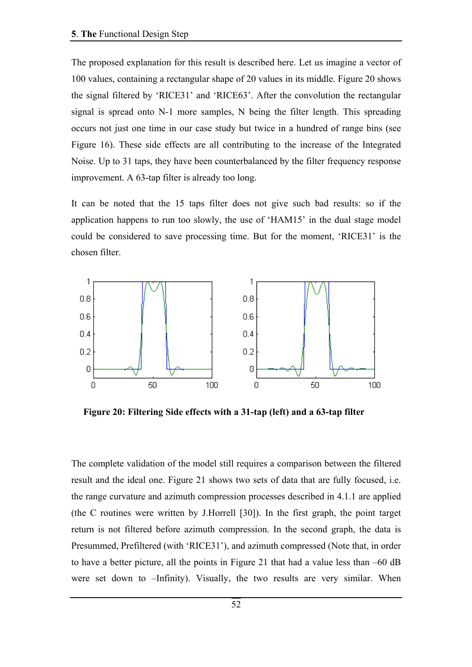The proposed explanation for this result is described here. Let us imagine a vector of 100 values, containing a rectangular shape of 20 values in its middle. Figure 20 shows the signal filtered by 'RICE31' and 'RICE63'. After the convolution the rectangular signal is spread onto N-1 more samples, N being the filter length. This spreading occurs not just one time in our case study but twice in a hundred of range bins (see Figure 16). These side effects are all contributing to the increase of the Integrated Noise. Up to 31 taps, they have been counterbalanced by the filter frequency response improvement. A 63-tap filter is already too long.

It can be noted that the 15 taps filter does not give such bad results: so if the application happens to run too slowly, the use of 'HAM15' in the dual stage model could be considered to save processing time. But for the moment, 'RICE31' is the chosen filter.



**Figure 20: Filtering Side effects with a 31-tap (left) and a 63-tap filter** 

The complete validation of the model still requires a comparison between the filtered result and the ideal one. Figure 21 shows two sets of data that are fully focused, i.e. the range curvature and azimuth compression processes described in 4.1.1 are applied (the C routines were written by J.Horrell [30]). In the first graph, the point target return is not filtered before azimuth compression. In the second graph, the data is Presummed, Prefiltered (with 'RICE31'), and azimuth compressed (Note that, in order to have a better picture, all the points in Figure 21 that had a value less than –60 dB were set down to –Infinity). Visually, the two results are very similar. When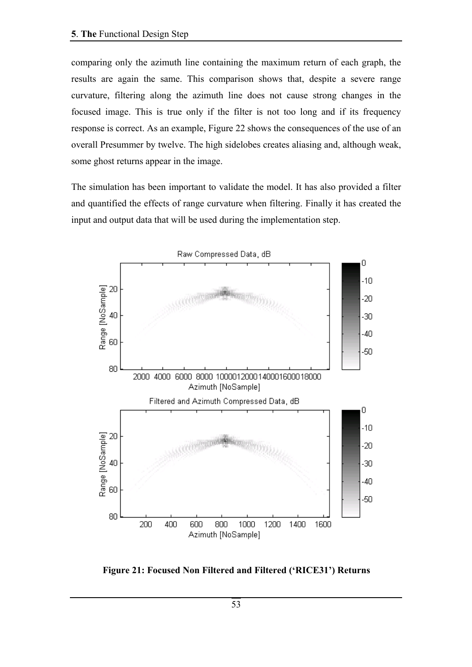comparing only the azimuth line containing the maximum return of each graph, the results are again the same. This comparison shows that, despite a severe range curvature, filtering along the azimuth line does not cause strong changes in the focused image. This is true only if the filter is not too long and if its frequency response is correct. As an example, Figure 22 shows the consequences of the use of an overall Presummer by twelve. The high sidelobes creates aliasing and, although weak, some ghost returns appear in the image.

The simulation has been important to validate the model. It has also provided a filter and quantified the effects of range curvature when filtering. Finally it has created the input and output data that will be used during the implementation step.



**Figure 21: Focused Non Filtered and Filtered ('RICE31') Returns**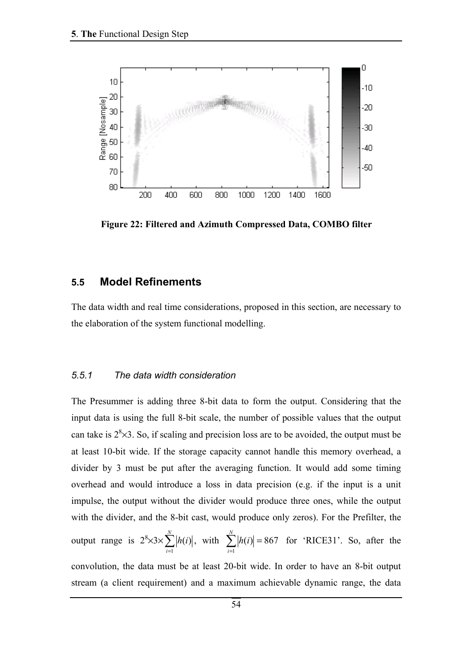

**Figure 22: Filtered and Azimuth Compressed Data, COMBO filter** 

#### **5.5 Model Refinements**

The data width and real time considerations, proposed in this section, are necessary to the elaboration of the system functional modelling.

#### *5.5.1 The data width consideration*

The Presummer is adding three 8-bit data to form the output. Considering that the input data is using the full 8-bit scale, the number of possible values that the output can take is  $2^8 \times 3$ . So, if scaling and precision loss are to be avoided, the output must be at least 10-bit wide. If the storage capacity cannot handle this memory overhead, a divider by 3 must be put after the averaging function. It would add some timing overhead and would introduce a loss in data precision (e.g. if the input is a unit impulse, the output without the divider would produce three ones, while the output with the divider, and the 8-bit cast, would produce only zeros). For the Prefilter, the output range is  $2^8 \times 3 \times \sum_{i=1}^{\infty}$ *N i h i*  $\sum_{i=1}^{\infty} |h(i)|$ , with  $\sum_{i=1}^{\infty}$ = *N i h i* 1  $(i)$  = 867 for 'RICE31'. So, after the convolution, the data must be at least 20-bit wide. In order to have an 8-bit output stream (a client requirement) and a maximum achievable dynamic range, the data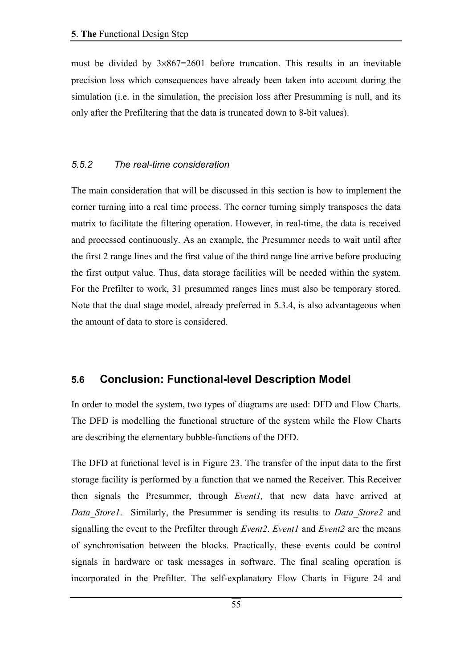must be divided by 3×867=2601 before truncation. This results in an inevitable precision loss which consequences have already been taken into account during the simulation (i.e. in the simulation, the precision loss after Presumming is null, and its only after the Prefiltering that the data is truncated down to 8-bit values).

### *5.5.2 The real-time consideration*

The main consideration that will be discussed in this section is how to implement the corner turning into a real time process. The corner turning simply transposes the data matrix to facilitate the filtering operation. However, in real-time, the data is received and processed continuously. As an example, the Presummer needs to wait until after the first 2 range lines and the first value of the third range line arrive before producing the first output value. Thus, data storage facilities will be needed within the system. For the Prefilter to work, 31 presummed ranges lines must also be temporary stored. Note that the dual stage model, already preferred in 5.3.4, is also advantageous when the amount of data to store is considered.

## **5.6 Conclusion: Functional-level Description Model**

In order to model the system, two types of diagrams are used: DFD and Flow Charts. The DFD is modelling the functional structure of the system while the Flow Charts are describing the elementary bubble-functions of the DFD.

The DFD at functional level is in Figure 23. The transfer of the input data to the first storage facility is performed by a function that we named the Receiver. This Receiver then signals the Presummer, through *Event1,* that new data have arrived at *Data\_Store1*. Similarly, the Presummer is sending its results to *Data\_Store2* and signalling the event to the Prefilter through *Event2*. *Event1* and *Event2* are the means of synchronisation between the blocks. Practically, these events could be control signals in hardware or task messages in software. The final scaling operation is incorporated in the Prefilter. The self-explanatory Flow Charts in Figure 24 and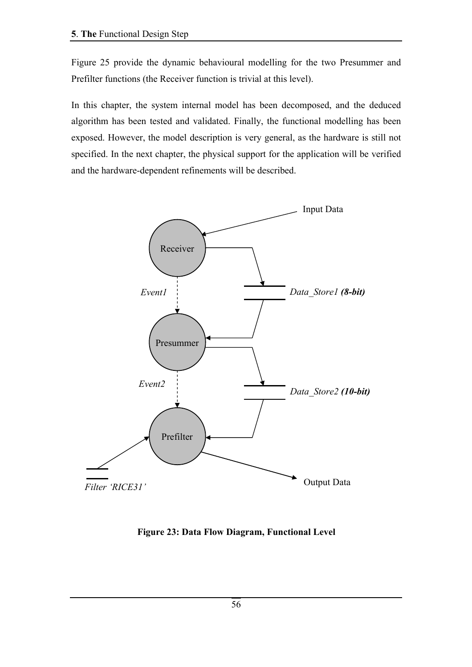Figure 25 provide the dynamic behavioural modelling for the two Presummer and Prefilter functions (the Receiver function is trivial at this level).

In this chapter, the system internal model has been decomposed, and the deduced algorithm has been tested and validated. Finally, the functional modelling has been exposed. However, the model description is very general, as the hardware is still not specified. In the next chapter, the physical support for the application will be verified and the hardware-dependent refinements will be described.



**Figure 23: Data Flow Diagram, Functional Level**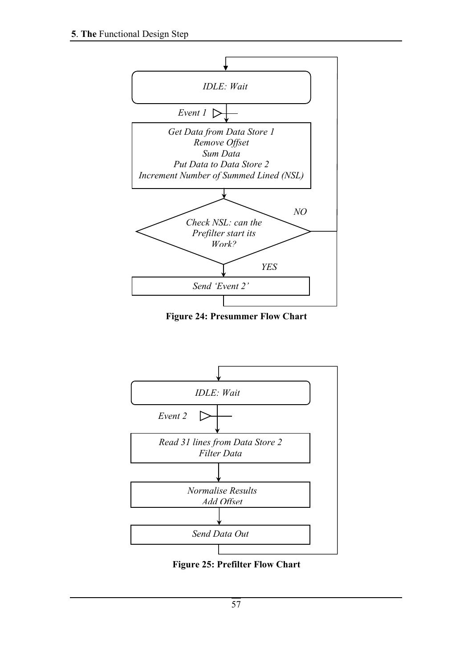

**Figure 24: Presummer Flow Chart** 



**Figure 25: Prefilter Flow Chart**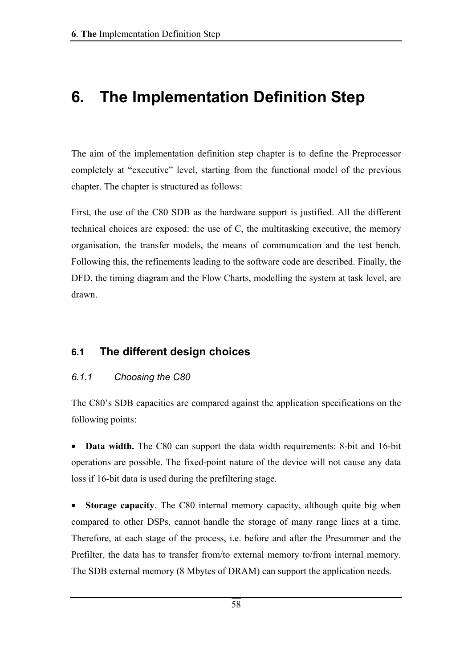# **6. The Implementation Definition Step**

The aim of the implementation definition step chapter is to define the Preprocessor completely at "executive" level, starting from the functional model of the previous chapter. The chapter is structured as follows:

First, the use of the C80 SDB as the hardware support is justified. All the different technical choices are exposed: the use of C, the multitasking executive, the memory organisation, the transfer models, the means of communication and the test bench. Following this, the refinements leading to the software code are described. Finally, the DFD, the timing diagram and the Flow Charts, modelling the system at task level, are drawn.

## **6.1 The different design choices**

## *6.1.1 Choosing the C80*

The C80's SDB capacities are compared against the application specifications on the following points:

• **Data width.** The C80 can support the data width requirements: 8-bit and 16-bit operations are possible. The fixed-point nature of the device will not cause any data loss if 16-bit data is used during the prefiltering stage.

• **Storage capacity**. The C80 internal memory capacity, although quite big when compared to other DSPs, cannot handle the storage of many range lines at a time. Therefore, at each stage of the process, i.e. before and after the Presummer and the Prefilter, the data has to transfer from/to external memory to/from internal memory. The SDB external memory (8 Mbytes of DRAM) can support the application needs.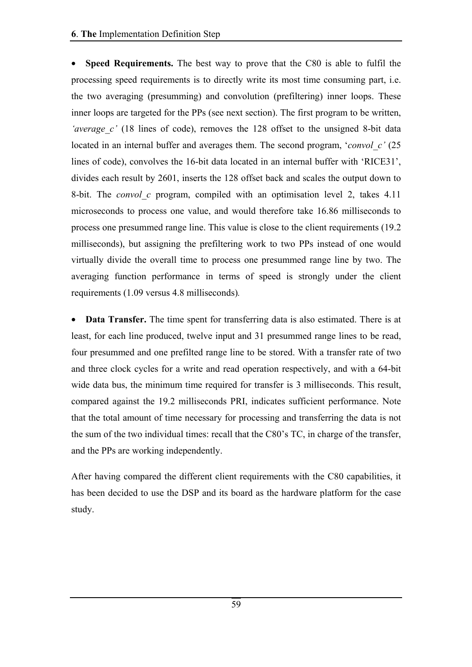• **Speed Requirements.** The best way to prove that the C80 is able to fulfil the processing speed requirements is to directly write its most time consuming part, i.e. the two averaging (presumming) and convolution (prefiltering) inner loops. These inner loops are targeted for the PPs (see next section). The first program to be written, *'average c'* (18 lines of code), removes the 128 offset to the unsigned 8-bit data located in an internal buffer and averages them. The second program, '*convol\_c'* (25 lines of code), convolves the 16-bit data located in an internal buffer with 'RICE31', divides each result by 2601, inserts the 128 offset back and scales the output down to 8-bit. The *convol\_c* program, compiled with an optimisation level 2, takes 4.11 microseconds to process one value, and would therefore take 16.86 milliseconds to process one presummed range line. This value is close to the client requirements (19.2 milliseconds), but assigning the prefiltering work to two PPs instead of one would virtually divide the overall time to process one presummed range line by two. The averaging function performance in terms of speed is strongly under the client requirements (1.09 versus 4.8 milliseconds)*.*

• **Data Transfer.** The time spent for transferring data is also estimated. There is at least, for each line produced, twelve input and 31 presummed range lines to be read, four presummed and one prefilted range line to be stored. With a transfer rate of two and three clock cycles for a write and read operation respectively, and with a 64-bit wide data bus, the minimum time required for transfer is 3 milliseconds. This result, compared against the 19.2 milliseconds PRI, indicates sufficient performance. Note that the total amount of time necessary for processing and transferring the data is not the sum of the two individual times: recall that the C80's TC, in charge of the transfer, and the PPs are working independently.

After having compared the different client requirements with the C80 capabilities, it has been decided to use the DSP and its board as the hardware platform for the case study.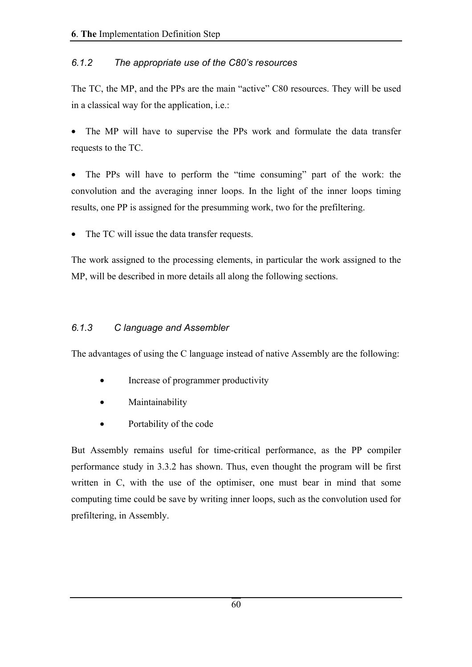## *6.1.2 The appropriate use of the C80's resources*

The TC, the MP, and the PPs are the main "active" C80 resources. They will be used in a classical way for the application, i.e.:

• The MP will have to supervise the PPs work and formulate the data transfer requests to the TC.

- The PPs will have to perform the "time consuming" part of the work: the convolution and the averaging inner loops. In the light of the inner loops timing results, one PP is assigned for the presumming work, two for the prefiltering.
- The TC will issue the data transfer requests.

The work assigned to the processing elements, in particular the work assigned to the MP, will be described in more details all along the following sections.

## *6.1.3 C language and Assembler*

The advantages of using the C language instead of native Assembly are the following:

- Increase of programmer productivity
- **Maintainability**
- Portability of the code

But Assembly remains useful for time-critical performance, as the PP compiler performance study in 3.3.2 has shown. Thus, even thought the program will be first written in C, with the use of the optimiser, one must bear in mind that some computing time could be save by writing inner loops, such as the convolution used for prefiltering, in Assembly.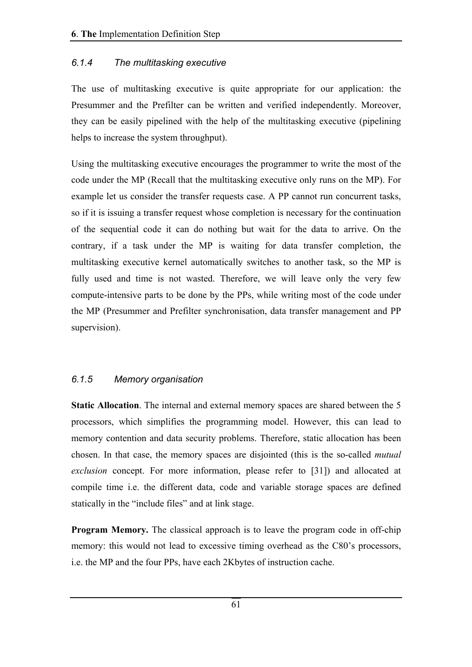### *6.1.4 The multitasking executive*

The use of multitasking executive is quite appropriate for our application: the Presummer and the Prefilter can be written and verified independently. Moreover, they can be easily pipelined with the help of the multitasking executive (pipelining helps to increase the system throughput).

Using the multitasking executive encourages the programmer to write the most of the code under the MP (Recall that the multitasking executive only runs on the MP). For example let us consider the transfer requests case. A PP cannot run concurrent tasks, so if it is issuing a transfer request whose completion is necessary for the continuation of the sequential code it can do nothing but wait for the data to arrive. On the contrary, if a task under the MP is waiting for data transfer completion, the multitasking executive kernel automatically switches to another task, so the MP is fully used and time is not wasted. Therefore, we will leave only the very few compute-intensive parts to be done by the PPs, while writing most of the code under the MP (Presummer and Prefilter synchronisation, data transfer management and PP supervision).

## *6.1.5 Memory organisation*

**Static Allocation**. The internal and external memory spaces are shared between the 5 processors, which simplifies the programming model. However, this can lead to memory contention and data security problems. Therefore, static allocation has been chosen. In that case, the memory spaces are disjointed (this is the so-called *mutual exclusion* concept. For more information, please refer to [31]) and allocated at compile time i.e. the different data, code and variable storage spaces are defined statically in the "include files" and at link stage.

**Program Memory.** The classical approach is to leave the program code in off-chip memory: this would not lead to excessive timing overhead as the C80's processors, i.e. the MP and the four PPs, have each 2Kbytes of instruction cache.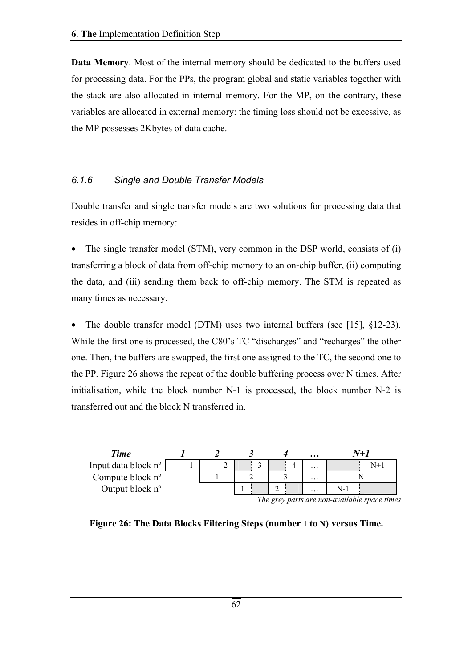**Data Memory**. Most of the internal memory should be dedicated to the buffers used for processing data. For the PPs, the program global and static variables together with the stack are also allocated in internal memory. For the MP, on the contrary, these variables are allocated in external memory: the timing loss should not be excessive, as the MP possesses 2Kbytes of data cache.

#### *6.1.6 Single and Double Transfer Models*

Double transfer and single transfer models are two solutions for processing data that resides in off-chip memory:

• The single transfer model (STM), very common in the DSP world, consists of (i) transferring a block of data from off-chip memory to an on-chip buffer, (ii) computing the data, and (iii) sending them back to off-chip memory. The STM is repeated as many times as necessary.

• The double transfer model (DTM) uses two internal buffers (see [15], §12-23). While the first one is processed, the C80's TC "discharges" and "recharges" the other one. Then, the buffers are swapped, the first one assigned to the TC, the second one to the PP. Figure 26 shows the repeat of the double buffering process over N times. After initialisation, while the block number N-1 is processed, the block number N-2 is transferred out and the block N transferred in.



*The grey parts are non-available space times* 

**Figure 26: The Data Blocks Filtering Steps (number 1 to N) versus Time.**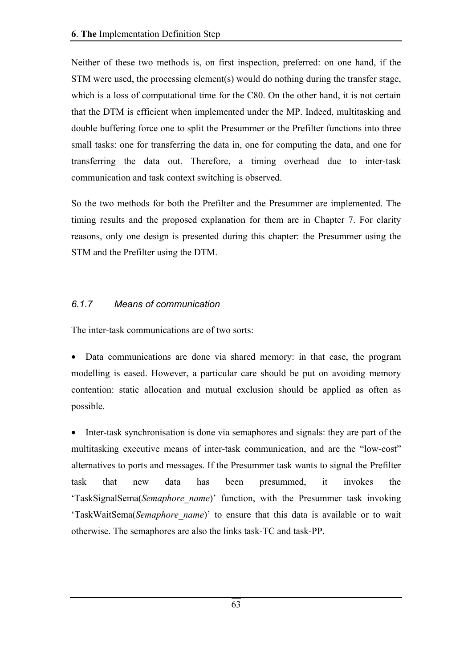Neither of these two methods is, on first inspection, preferred: on one hand, if the STM were used, the processing element(s) would do nothing during the transfer stage, which is a loss of computational time for the C80. On the other hand, it is not certain that the DTM is efficient when implemented under the MP. Indeed, multitasking and double buffering force one to split the Presummer or the Prefilter functions into three small tasks: one for transferring the data in, one for computing the data, and one for transferring the data out. Therefore, a timing overhead due to inter-task communication and task context switching is observed.

So the two methods for both the Prefilter and the Presummer are implemented. The timing results and the proposed explanation for them are in Chapter 7. For clarity reasons, only one design is presented during this chapter: the Presummer using the STM and the Prefilter using the DTM.

### *6.1.7 Means of communication*

The inter-task communications are of two sorts:

• Data communications are done via shared memory: in that case, the program modelling is eased. However, a particular care should be put on avoiding memory contention: static allocation and mutual exclusion should be applied as often as possible.

• Inter-task synchronisation is done via semaphores and signals: they are part of the multitasking executive means of inter-task communication, and are the "low-cost" alternatives to ports and messages. If the Presummer task wants to signal the Prefilter task that new data has been presummed, it invokes the 'TaskSignalSema(*Semaphore\_name*)' function, with the Presummer task invoking 'TaskWaitSema(*Semaphore\_name*)' to ensure that this data is available or to wait otherwise. The semaphores are also the links task-TC and task-PP.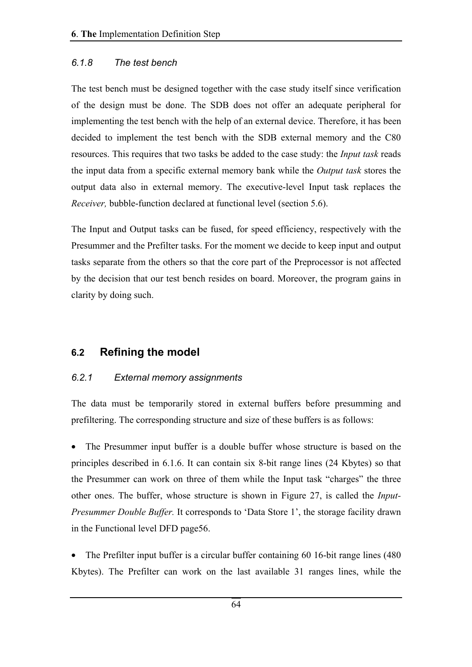## *6.1.8 The test bench*

The test bench must be designed together with the case study itself since verification of the design must be done. The SDB does not offer an adequate peripheral for implementing the test bench with the help of an external device. Therefore, it has been decided to implement the test bench with the SDB external memory and the C80 resources. This requires that two tasks be added to the case study: the *Input task* reads the input data from a specific external memory bank while the *Output task* stores the output data also in external memory. The executive-level Input task replaces the *Receiver,* bubble-function declared at functional level (section 5.6).

The Input and Output tasks can be fused, for speed efficiency, respectively with the Presummer and the Prefilter tasks. For the moment we decide to keep input and output tasks separate from the others so that the core part of the Preprocessor is not affected by the decision that our test bench resides on board. Moreover, the program gains in clarity by doing such.

## **6.2 Refining the model**

## *6.2.1 External memory assignments*

The data must be temporarily stored in external buffers before presumming and prefiltering. The corresponding structure and size of these buffers is as follows:

• The Presummer input buffer is a double buffer whose structure is based on the principles described in 6.1.6. It can contain six 8-bit range lines (24 Kbytes) so that the Presummer can work on three of them while the Input task "charges" the three other ones. The buffer, whose structure is shown in Figure 27, is called the *Input-Presummer Double Buffer.* It corresponds to 'Data Store 1', the storage facility drawn in the Functional level DFD page56.

• The Prefilter input buffer is a circular buffer containing 60 16-bit range lines (480) Kbytes). The Prefilter can work on the last available 31 ranges lines, while the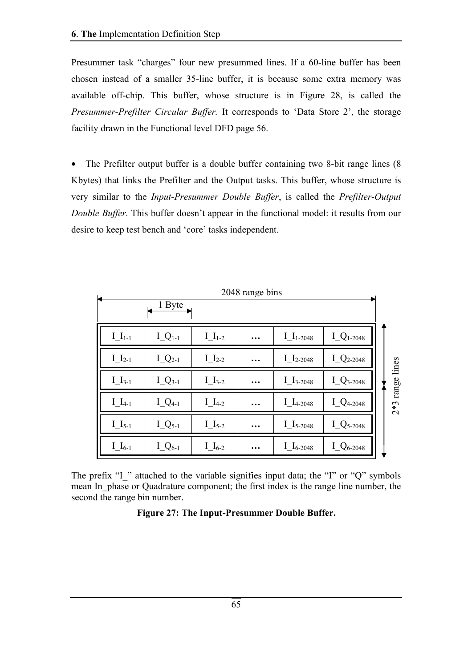Presummer task "charges" four new presummed lines. If a 60-line buffer has been chosen instead of a smaller 35-line buffer, it is because some extra memory was available off-chip. This buffer, whose structure is in Figure 28, is called the *Presummer-Prefilter Circular Buffer.* It corresponds to 'Data Store 2', the storage facility drawn in the Functional level DFD page 56.

• The Prefilter output buffer is a double buffer containing two 8-bit range lines (8) Kbytes) that links the Prefilter and the Output tasks. This buffer, whose structure is very similar to the *Input-Presummer Double Buffer*, is called the *Prefilter-Output Double Buffer.* This buffer doesn't appear in the functional model: it results from our desire to keep test bench and 'core' tasks independent.

| 2048 range bins |                                       |                |           |                   |                                     |             |
|-----------------|---------------------------------------|----------------|-----------|-------------------|-------------------------------------|-------------|
|                 | 1 Byte                                |                |           |                   |                                     |             |
| $I_{1-1}$       | $I_{Q_{1-1}}$                         | $I_{1-2}$      | $\ddotsc$ | $I_{1-2048}$      | $I_{Q1-2048}$                       |             |
| $I_{12-1}$      | $I_{\underline{\hspace{1pt}}}Q_{2-1}$ | $I_{2-2}$      | $\ddotsc$ | $I_{2-2048}$      | $I_{Q_{2-2048}}$                    |             |
| $I_{13-1}$      | $I_{Q_{3-1}}$                         | $I_{3-2}$      | $\ddotsc$ | $I_{13-2048}$     | $I_{\underline{\text{}}Q_{3-2048}}$ | range lines |
| $I_{-}I_{4-1}$  | $I_{Q_{4-1}}$                         | $I_{4-2}$      | $\ddotsc$ | $I_{4-2048}$      | $I_{\_\_4-2048}$                    | $2*3$       |
| $I_{I5-1}$      | $I_{Q_{5-1}}$                         | $I_{5-2}$      |           | $I_{.}I_{5-2048}$ | $I_{Q5-2048}$                       |             |
| $I_{-}I_{6-1}$  | $I_{Q_{6-1}}$                         | $I_{-}I_{6-2}$ | $\ddotsc$ | $I_{6-2048}$      | $I_{Q_{6-2048}}$                    |             |

The prefix "I\_" attached to the variable signifies input data; the "I" or "Q" symbols mean In phase or Quadrature component; the first index is the range line number, the second the range bin number.

#### **Figure 27: The Input-Presummer Double Buffer.**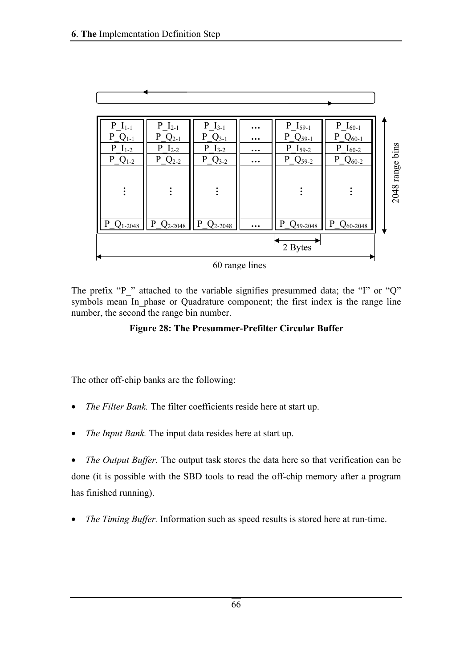

The prefix "P" attached to the variable signifies presummed data; the "I" or "Q" symbols mean In phase or Quadrature component; the first index is the range line number, the second the range bin number.

#### **Figure 28: The Presummer-Prefilter Circular Buffer**

The other off-chip banks are the following:

- *The Filter Bank.* The filter coefficients reside here at start up.
- *The Input Bank.* The input data resides here at start up.

• *The Output Buffer*. The output task stores the data here so that verification can be done (it is possible with the SBD tools to read the off-chip memory after a program has finished running).

• *The Timing Buffer.* Information such as speed results is stored here at run-time.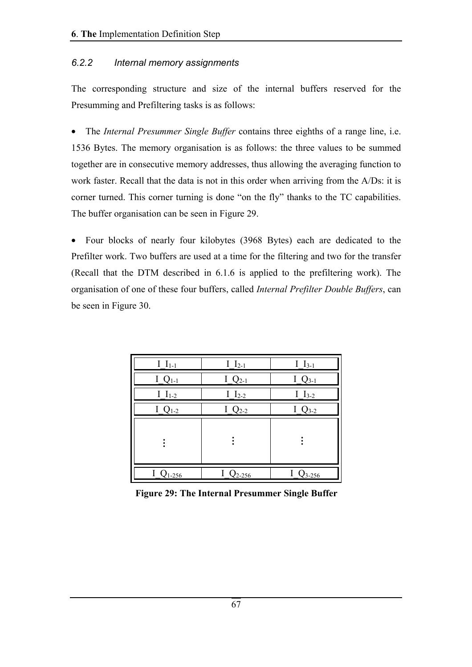#### *6.2.2 Internal memory assignments*

The corresponding structure and size of the internal buffers reserved for the Presumming and Prefiltering tasks is as follows:

• The *Internal Presummer Single Buffer* contains three eighths of a range line, i.e. 1536 Bytes. The memory organisation is as follows: the three values to be summed together are in consecutive memory addresses, thus allowing the averaging function to work faster. Recall that the data is not in this order when arriving from the A/Ds: it is corner turned. This corner turning is done "on the fly" thanks to the TC capabilities. The buffer organisation can be seen in Figure 29.

• Four blocks of nearly four kilobytes (3968 Bytes) each are dedicated to the Prefilter work. Two buffers are used at a time for the filtering and two for the transfer (Recall that the DTM described in 6.1.6 is applied to the prefiltering work). The organisation of one of these four buffers, called *Internal Prefilter Double Buffers*, can be seen in Figure 30.

| $I_{1-1}$      | $I_{12-1}$                | $I_{13-1}$        |
|----------------|---------------------------|-------------------|
| $I_{Q_{1-1}}$  | $I_{\underline{Q_{2-1}}}$ | $I_{Q_{3-1}}$     |
| $I_{1-2}$      | $I_{2-2}$                 | $I_{3-2}$         |
| $I_{.}Q_{1-2}$ | $I_{\_\_Q_{2-2}}$         | $I_{\_\_Q_{3-2}}$ |
|                |                           |                   |
| $Q_{1-256}$    | $Q_{2-256}$               | $Q_{3-256}$       |

**Figure 29: The Internal Presummer Single Buffer**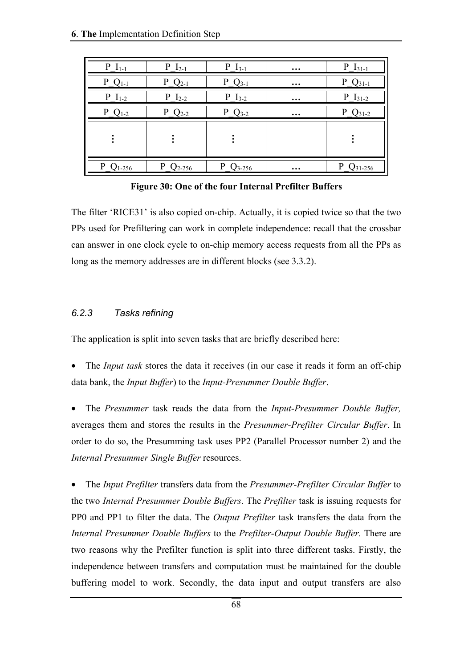| $P_{I-1}$          | $P_{12-1}$     | $P_{13-1}$       | $\cdots$                | $P_{131-1}$       |
|--------------------|----------------|------------------|-------------------------|-------------------|
| <b>P</b> $Q_{1-1}$ | $Q_{2-1}$      | P<br>$Q_{3-1}$   | $\cdots$                | P<br>$Q_{31-1}$   |
| $P_{1-2}$          | $P_{12-2}$     | $P_{13-2}$       | $\cdots$                | $P_{131-2}$       |
| P<br>$Q_{1-2}$     | P<br>$Q_{2-2}$ | P<br>$Q_{3-2}$   | $\cdots$                | P<br>$Q_{31-2}$   |
|                    |                |                  |                         |                   |
| P<br>$21 - 256$    | $Q_{2-256}$    | P<br>$Q_{3-256}$ | $\bullet\bullet\bullet$ | D<br>$Q_{31-256}$ |

**Figure 30: One of the four Internal Prefilter Buffers** 

The filter 'RICE31' is also copied on-chip. Actually, it is copied twice so that the two PPs used for Prefiltering can work in complete independence: recall that the crossbar can answer in one clock cycle to on-chip memory access requests from all the PPs as long as the memory addresses are in different blocks (see 3.3.2).

## *6.2.3 Tasks refining*

The application is split into seven tasks that are briefly described here:

• The *Input task* stores the data it receives (in our case it reads it form an off-chip data bank, the *Input Buffer*) to the *Input-Presummer Double Buffer*.

• The *Presummer* task reads the data from the *Input-Presummer Double Buffer,*  averages them and stores the results in the *Presummer-Prefilter Circular Buffer*. In order to do so, the Presumming task uses PP2 (Parallel Processor number 2) and the *Internal Presummer Single Buffer* resources.

• The *Input Prefilter* transfers data from the *Presummer-Prefilter Circular Buffer* to the two *Internal Presummer Double Buffers*. The *Prefilter* task is issuing requests for PP0 and PP1 to filter the data. The *Output Prefilter* task transfers the data from the *Internal Presummer Double Buffers* to the *Prefilter-Output Double Buffer.* There are two reasons why the Prefilter function is split into three different tasks. Firstly, the independence between transfers and computation must be maintained for the double buffering model to work. Secondly, the data input and output transfers are also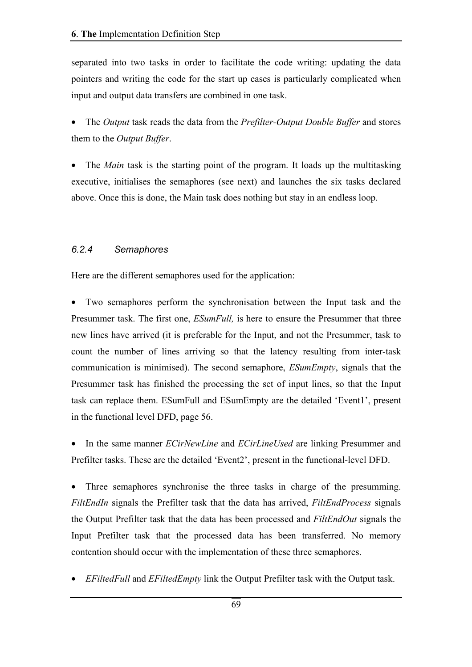separated into two tasks in order to facilitate the code writing: updating the data pointers and writing the code for the start up cases is particularly complicated when input and output data transfers are combined in one task.

• The *Output* task reads the data from the *Prefilter-Output Double Buffer* and stores them to the *Output Buffer*.

• The *Main* task is the starting point of the program. It loads up the multitasking executive, initialises the semaphores (see next) and launches the six tasks declared above. Once this is done, the Main task does nothing but stay in an endless loop.

#### *6.2.4 Semaphores*

Here are the different semaphores used for the application:

• Two semaphores perform the synchronisation between the Input task and the Presummer task. The first one, *ESumFull,* is here to ensure the Presummer that three new lines have arrived (it is preferable for the Input, and not the Presummer, task to count the number of lines arriving so that the latency resulting from inter-task communication is minimised). The second semaphore, *ESumEmpty*, signals that the Presummer task has finished the processing the set of input lines, so that the Input task can replace them. ESumFull and ESumEmpty are the detailed 'Event1', present in the functional level DFD, page 56.

• In the same manner *ECirNewLine* and *ECirLineUsed* are linking Presummer and Prefilter tasks. These are the detailed 'Event2', present in the functional-level DFD.

• Three semaphores synchronise the three tasks in charge of the presumming. *FiltEndIn* signals the Prefilter task that the data has arrived, *FiltEndProcess* signals the Output Prefilter task that the data has been processed and *FiltEndOut* signals the Input Prefilter task that the processed data has been transferred. No memory contention should occur with the implementation of these three semaphores.

• *EFiltedFull* and *EFiltedEmpty* link the Output Prefilter task with the Output task.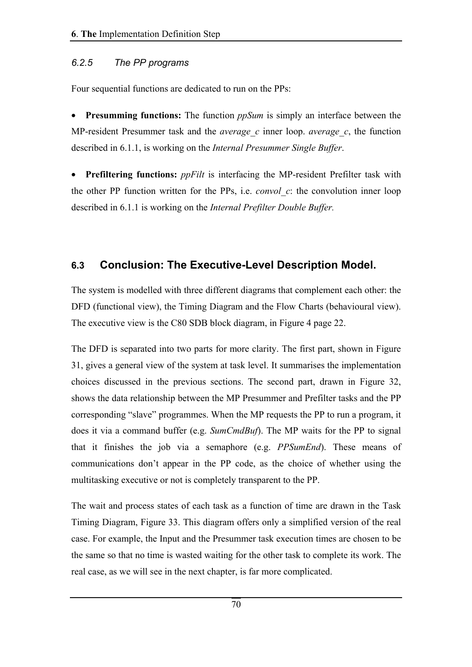#### *6.2.5 The PP programs*

Four sequential functions are dedicated to run on the PPs:

• **Presumming functions:** The function *ppSum* is simply an interface between the MP-resident Presummer task and the *average c* inner loop. *average c*, the function described in 6.1.1, is working on the *Internal Presummer Single Buffer*.

• **Prefiltering functions:** *ppFilt* is interfacing the MP-resident Prefilter task with the other PP function written for the PPs, i.e. *convol\_c*: the convolution inner loop described in 6.1.1 is working on the *Internal Prefilter Double Buffer.*

## **6.3 Conclusion: The Executive-Level Description Model.**

The system is modelled with three different diagrams that complement each other: the DFD (functional view), the Timing Diagram and the Flow Charts (behavioural view). The executive view is the C80 SDB block diagram, in Figure 4 page 22.

The DFD is separated into two parts for more clarity. The first part, shown in Figure 31, gives a general view of the system at task level. It summarises the implementation choices discussed in the previous sections. The second part, drawn in Figure 32, shows the data relationship between the MP Presummer and Prefilter tasks and the PP corresponding "slave" programmes. When the MP requests the PP to run a program, it does it via a command buffer (e.g. *SumCmdBuf*). The MP waits for the PP to signal that it finishes the job via a semaphore (e.g. *PPSumEnd*). These means of communications don't appear in the PP code, as the choice of whether using the multitasking executive or not is completely transparent to the PP.

The wait and process states of each task as a function of time are drawn in the Task Timing Diagram, Figure 33. This diagram offers only a simplified version of the real case. For example, the Input and the Presummer task execution times are chosen to be the same so that no time is wasted waiting for the other task to complete its work. The real case, as we will see in the next chapter, is far more complicated.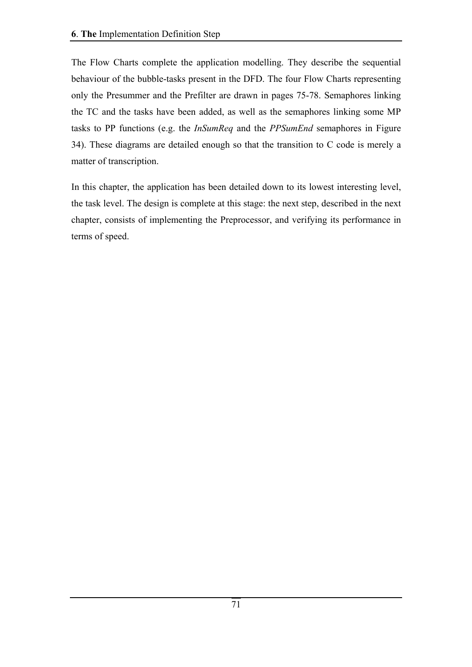The Flow Charts complete the application modelling. They describe the sequential behaviour of the bubble-tasks present in the DFD. The four Flow Charts representing only the Presummer and the Prefilter are drawn in pages 75-78. Semaphores linking the TC and the tasks have been added, as well as the semaphores linking some MP tasks to PP functions (e.g. the *InSumReq* and the *PPSumEnd* semaphores in Figure 34). These diagrams are detailed enough so that the transition to C code is merely a matter of transcription.

In this chapter, the application has been detailed down to its lowest interesting level, the task level. The design is complete at this stage: the next step, described in the next chapter, consists of implementing the Preprocessor, and verifying its performance in terms of speed.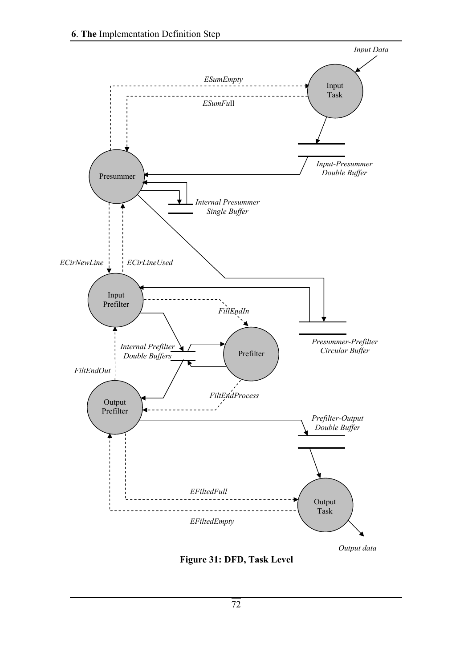

**Figure 31: DFD, Task Level**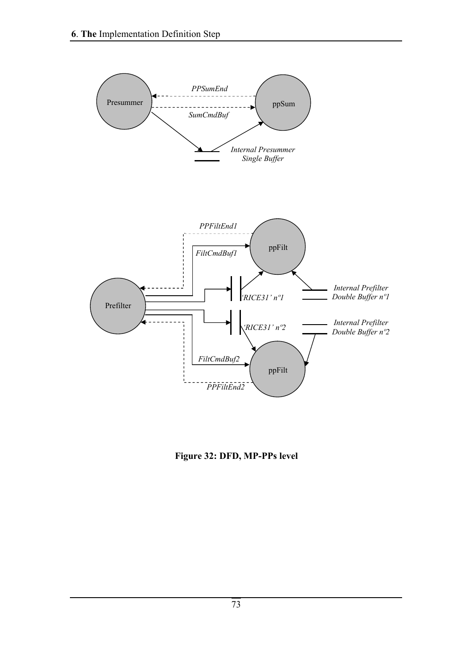

**Figure 32: DFD, MP-PPs level**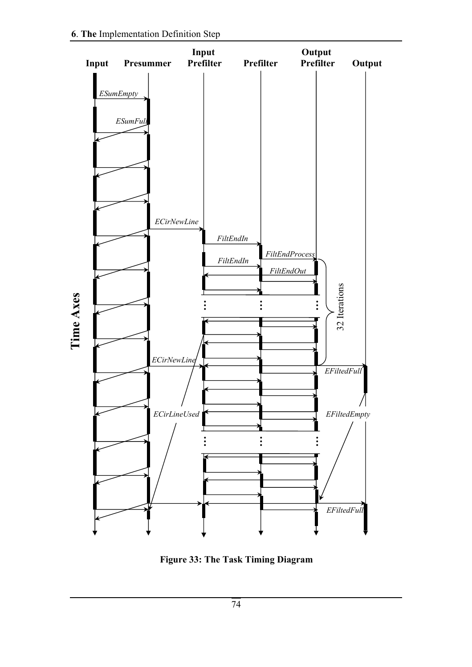

**Figure 33: The Task Timing Diagram**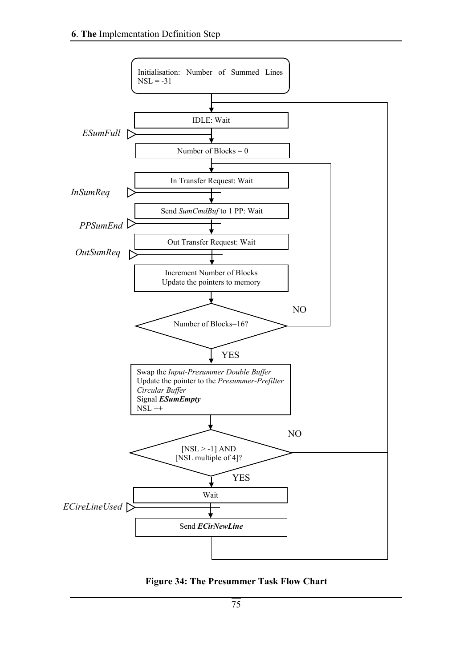

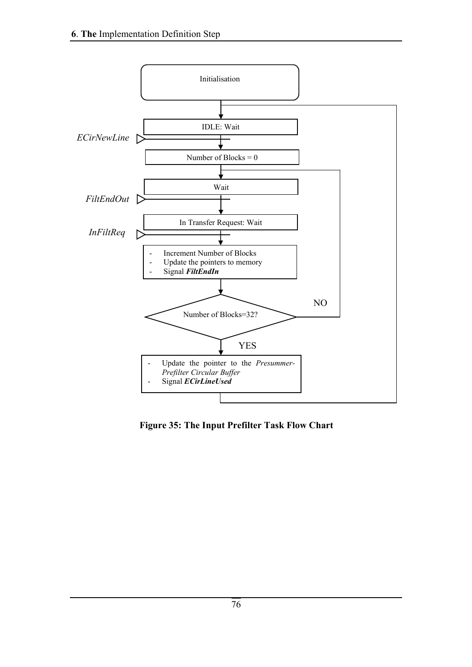

**Figure 35: The Input Prefilter Task Flow Chart**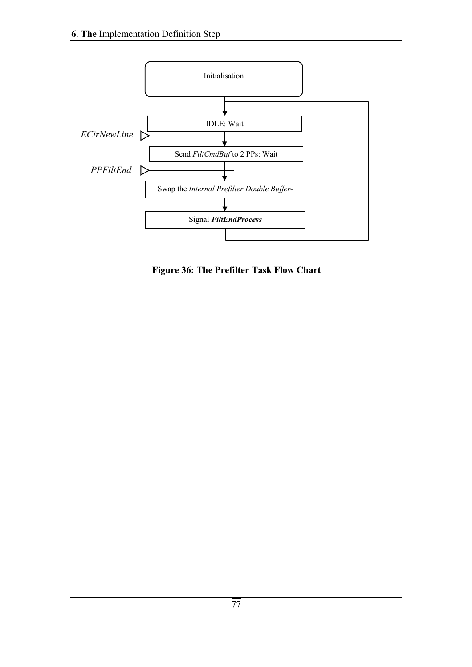

**Figure 36: The Prefilter Task Flow Chart**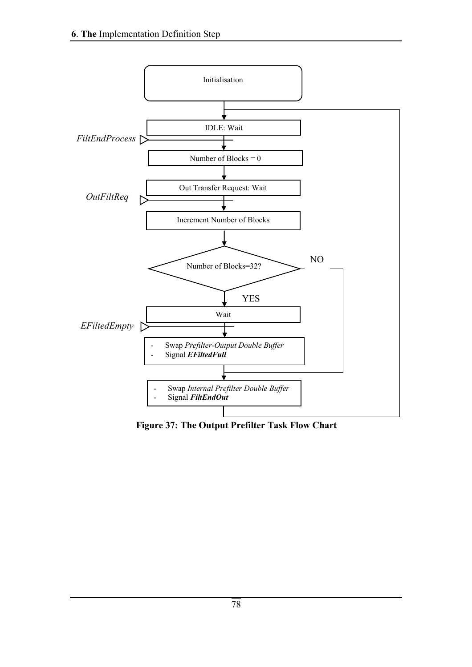

**Figure 37: The Output Prefilter Task Flow Chart**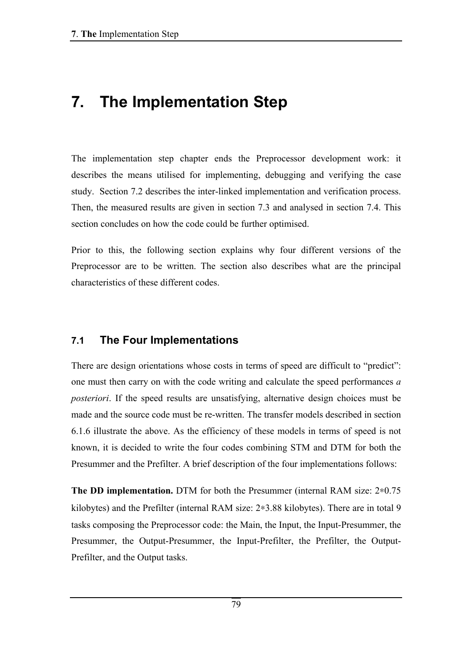# **7. The Implementation Step**

The implementation step chapter ends the Preprocessor development work: it describes the means utilised for implementing, debugging and verifying the case study. Section 7.2 describes the inter-linked implementation and verification process. Then, the measured results are given in section 7.3 and analysed in section 7.4. This section concludes on how the code could be further optimised.

Prior to this, the following section explains why four different versions of the Preprocessor are to be written. The section also describes what are the principal characteristics of these different codes.

### **7.1 The Four Implementations**

There are design orientations whose costs in terms of speed are difficult to "predict": one must then carry on with the code writing and calculate the speed performances *a posteriori*. If the speed results are unsatisfying, alternative design choices must be made and the source code must be re-written. The transfer models described in section 6.1.6 illustrate the above. As the efficiency of these models in terms of speed is not known, it is decided to write the four codes combining STM and DTM for both the Presummer and the Prefilter. A brief description of the four implementations follows:

**The DD implementation.** DTM for both the Presummer (internal RAM size: 2∗0.75 kilobytes) and the Prefilter (internal RAM size: 2∗3.88 kilobytes). There are in total 9 tasks composing the Preprocessor code: the Main, the Input, the Input-Presummer, the Presummer, the Output-Presummer, the Input-Prefilter, the Prefilter, the Output-Prefilter, and the Output tasks.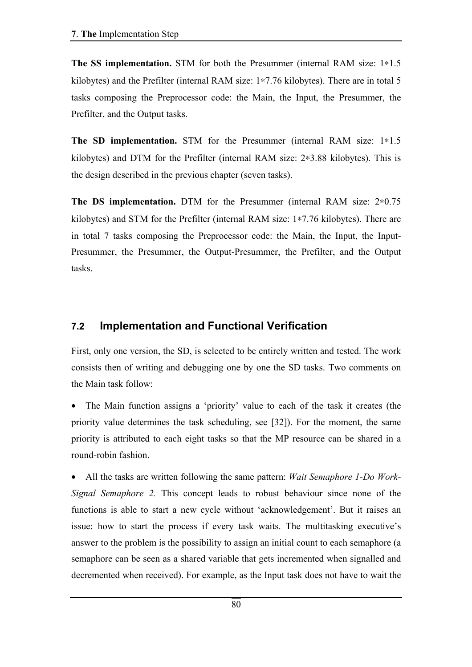**The SS implementation.** STM for both the Presummer (internal RAM size: 1∗1.5 kilobytes) and the Prefilter (internal RAM size: 1∗7.76 kilobytes). There are in total 5 tasks composing the Preprocessor code: the Main, the Input, the Presummer, the Prefilter, and the Output tasks.

**The SD implementation.** STM for the Presummer (internal RAM size: 1∗1.5 kilobytes) and DTM for the Prefilter (internal RAM size: 2∗3.88 kilobytes). This is the design described in the previous chapter (seven tasks).

**The DS implementation.** DTM for the Presummer (internal RAM size: 2∗0.75 kilobytes) and STM for the Prefilter (internal RAM size: 1∗7.76 kilobytes). There are in total 7 tasks composing the Preprocessor code: the Main, the Input, the Input-Presummer, the Presummer, the Output-Presummer, the Prefilter, and the Output tasks.

### **7.2 Implementation and Functional Verification**

First, only one version, the SD, is selected to be entirely written and tested. The work consists then of writing and debugging one by one the SD tasks. Two comments on the Main task follow:

• The Main function assigns a 'priority' value to each of the task it creates (the priority value determines the task scheduling, see [32]). For the moment, the same priority is attributed to each eight tasks so that the MP resource can be shared in a round-robin fashion.

• All the tasks are written following the same pattern: *Wait Semaphore 1-Do Work-Signal Semaphore 2.* This concept leads to robust behaviour since none of the functions is able to start a new cycle without 'acknowledgement'. But it raises an issue: how to start the process if every task waits. The multitasking executive's answer to the problem is the possibility to assign an initial count to each semaphore (a semaphore can be seen as a shared variable that gets incremented when signalled and decremented when received). For example, as the Input task does not have to wait the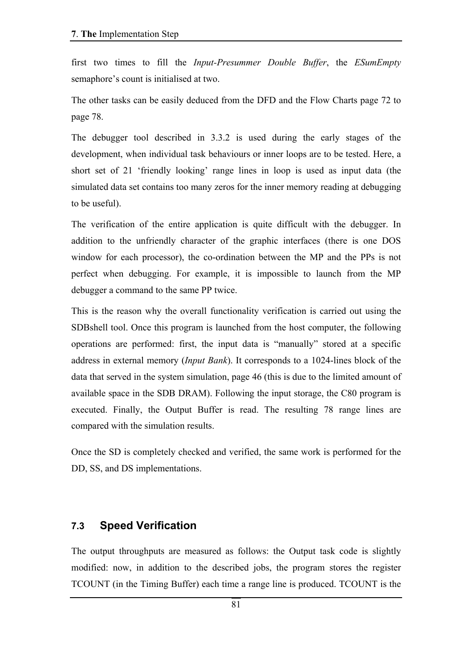first two times to fill the *Input-Presummer Double Buffer*, the *ESumEmpty*  semaphore's count is initialised at two.

The other tasks can be easily deduced from the DFD and the Flow Charts page 72 to page 78.

The debugger tool described in 3.3.2 is used during the early stages of the development, when individual task behaviours or inner loops are to be tested. Here, a short set of 21 'friendly looking' range lines in loop is used as input data (the simulated data set contains too many zeros for the inner memory reading at debugging to be useful).

The verification of the entire application is quite difficult with the debugger. In addition to the unfriendly character of the graphic interfaces (there is one DOS window for each processor), the co-ordination between the MP and the PPs is not perfect when debugging. For example, it is impossible to launch from the MP debugger a command to the same PP twice.

This is the reason why the overall functionality verification is carried out using the SDBshell tool. Once this program is launched from the host computer, the following operations are performed: first, the input data is "manually" stored at a specific address in external memory (*Input Bank*). It corresponds to a 1024-lines block of the data that served in the system simulation, page 46 (this is due to the limited amount of available space in the SDB DRAM). Following the input storage, the C80 program is executed. Finally, the Output Buffer is read. The resulting 78 range lines are compared with the simulation results.

Once the SD is completely checked and verified, the same work is performed for the DD, SS, and DS implementations.

#### **7.3 Speed Verification**

The output throughputs are measured as follows: the Output task code is slightly modified: now, in addition to the described jobs, the program stores the register TCOUNT (in the Timing Buffer) each time a range line is produced. TCOUNT is the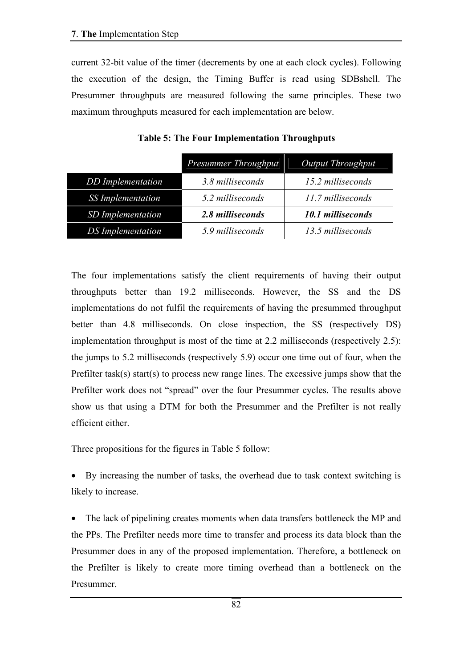current 32-bit value of the timer (decrements by one at each clock cycles). Following the execution of the design, the Timing Buffer is read using SDBshell. The Presummer throughputs are measured following the same principles. These two maximum throughputs measured for each implementation are below.

|                          | Presummer Throughput | Output Throughput |
|--------------------------|----------------------|-------------------|
| <b>DD</b> Implementation | 3.8 milliseconds     | 15.2 milliseconds |
| SS Implementation        | 5.2 milliseconds     | 11.7 milliseconds |
| <b>SD</b> Implementation | 2.8 milliseconds     | 10.1 milliseconds |
| <b>DS</b> Implementation | 5.9 milliseconds     | 13.5 milliseconds |

**Table 5: The Four Implementation Throughputs** 

The four implementations satisfy the client requirements of having their output throughputs better than 19.2 milliseconds. However, the SS and the DS implementations do not fulfil the requirements of having the presummed throughput better than 4.8 milliseconds. On close inspection, the SS (respectively DS) implementation throughput is most of the time at 2.2 milliseconds (respectively 2.5): the jumps to 5.2 milliseconds (respectively 5.9) occur one time out of four, when the Prefilter task(s) start(s) to process new range lines. The excessive jumps show that the Prefilter work does not "spread" over the four Presummer cycles. The results above show us that using a DTM for both the Presummer and the Prefilter is not really efficient either.

Three propositions for the figures in Table 5 follow:

• By increasing the number of tasks, the overhead due to task context switching is likely to increase.

• The lack of pipelining creates moments when data transfers bottleneck the MP and the PPs. The Prefilter needs more time to transfer and process its data block than the Presummer does in any of the proposed implementation. Therefore, a bottleneck on the Prefilter is likely to create more timing overhead than a bottleneck on the Presummer.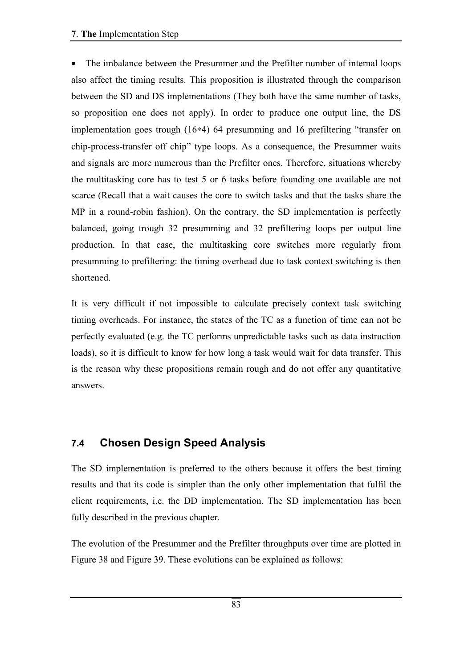• The imbalance between the Presummer and the Prefilter number of internal loops also affect the timing results. This proposition is illustrated through the comparison between the SD and DS implementations (They both have the same number of tasks, so proposition one does not apply). In order to produce one output line, the DS implementation goes trough (16∗4) 64 presumming and 16 prefiltering "transfer on chip-process-transfer off chip" type loops. As a consequence, the Presummer waits and signals are more numerous than the Prefilter ones. Therefore, situations whereby the multitasking core has to test 5 or 6 tasks before founding one available are not scarce (Recall that a wait causes the core to switch tasks and that the tasks share the MP in a round-robin fashion). On the contrary, the SD implementation is perfectly balanced, going trough 32 presumming and 32 prefiltering loops per output line production. In that case, the multitasking core switches more regularly from presumming to prefiltering: the timing overhead due to task context switching is then shortened.

It is very difficult if not impossible to calculate precisely context task switching timing overheads. For instance, the states of the TC as a function of time can not be perfectly evaluated (e.g. the TC performs unpredictable tasks such as data instruction loads), so it is difficult to know for how long a task would wait for data transfer. This is the reason why these propositions remain rough and do not offer any quantitative answers.

### **7.4 Chosen Design Speed Analysis**

The SD implementation is preferred to the others because it offers the best timing results and that its code is simpler than the only other implementation that fulfil the client requirements, i.e. the DD implementation. The SD implementation has been fully described in the previous chapter.

The evolution of the Presummer and the Prefilter throughputs over time are plotted in Figure 38 and Figure 39. These evolutions can be explained as follows: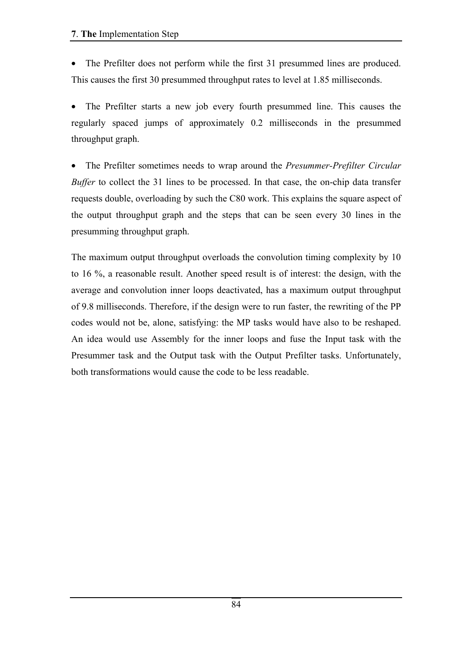• The Prefilter does not perform while the first 31 presummed lines are produced. This causes the first 30 presummed throughput rates to level at 1.85 milliseconds.

• The Prefilter starts a new job every fourth presummed line. This causes the regularly spaced jumps of approximately 0.2 milliseconds in the presummed throughput graph.

• The Prefilter sometimes needs to wrap around the *Presummer-Prefilter Circular Buffer* to collect the 31 lines to be processed. In that case, the on-chip data transfer requests double, overloading by such the C80 work. This explains the square aspect of the output throughput graph and the steps that can be seen every 30 lines in the presumming throughput graph.

The maximum output throughput overloads the convolution timing complexity by 10 to 16 %, a reasonable result. Another speed result is of interest: the design, with the average and convolution inner loops deactivated, has a maximum output throughput of 9.8 milliseconds. Therefore, if the design were to run faster, the rewriting of the PP codes would not be, alone, satisfying: the MP tasks would have also to be reshaped. An idea would use Assembly for the inner loops and fuse the Input task with the Presummer task and the Output task with the Output Prefilter tasks. Unfortunately, both transformations would cause the code to be less readable.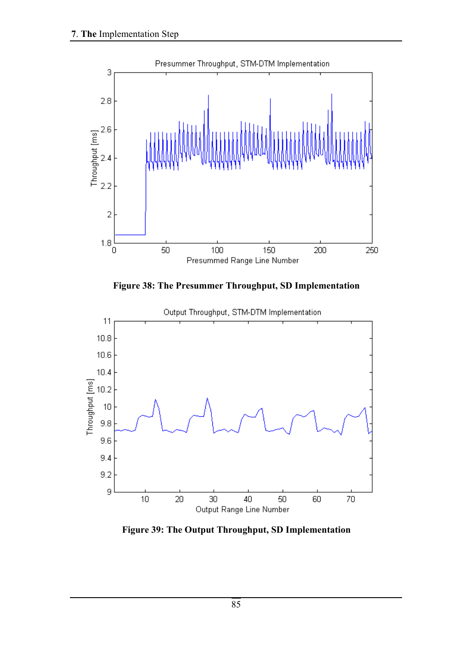

**Figure 38: The Presummer Throughput, SD Implementation** 



**Figure 39: The Output Throughput, SD Implementation**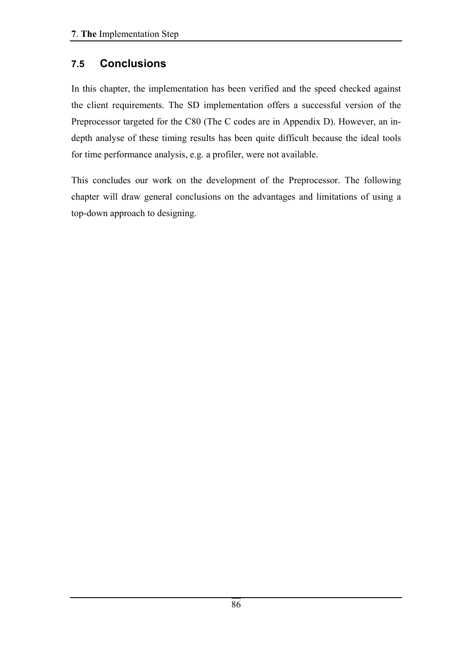### **7.5 Conclusions**

In this chapter, the implementation has been verified and the speed checked against the client requirements. The SD implementation offers a successful version of the Preprocessor targeted for the C80 (The C codes are in Appendix D). However, an indepth analyse of these timing results has been quite difficult because the ideal tools for time performance analysis, e.g. a profiler, were not available.

This concludes our work on the development of the Preprocessor. The following chapter will draw general conclusions on the advantages and limitations of using a top-down approach to designing.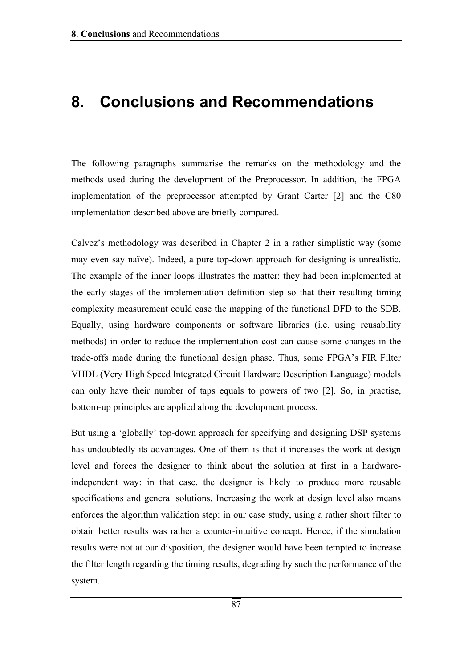## **8. Conclusions and Recommendations**

The following paragraphs summarise the remarks on the methodology and the methods used during the development of the Preprocessor. In addition, the FPGA implementation of the preprocessor attempted by Grant Carter [2] and the C80 implementation described above are briefly compared.

Calvez's methodology was described in Chapter 2 in a rather simplistic way (some may even say naïve). Indeed, a pure top-down approach for designing is unrealistic. The example of the inner loops illustrates the matter: they had been implemented at the early stages of the implementation definition step so that their resulting timing complexity measurement could ease the mapping of the functional DFD to the SDB. Equally, using hardware components or software libraries (i.e. using reusability methods) in order to reduce the implementation cost can cause some changes in the trade-offs made during the functional design phase. Thus, some FPGA's FIR Filter VHDL (**V**ery **H**igh Speed Integrated Circuit Hardware **D**escription **L**anguage) models can only have their number of taps equals to powers of two [2]. So, in practise, bottom-up principles are applied along the development process.

But using a 'globally' top-down approach for specifying and designing DSP systems has undoubtedly its advantages. One of them is that it increases the work at design level and forces the designer to think about the solution at first in a hardwareindependent way: in that case, the designer is likely to produce more reusable specifications and general solutions. Increasing the work at design level also means enforces the algorithm validation step: in our case study, using a rather short filter to obtain better results was rather a counter-intuitive concept. Hence, if the simulation results were not at our disposition, the designer would have been tempted to increase the filter length regarding the timing results, degrading by such the performance of the system.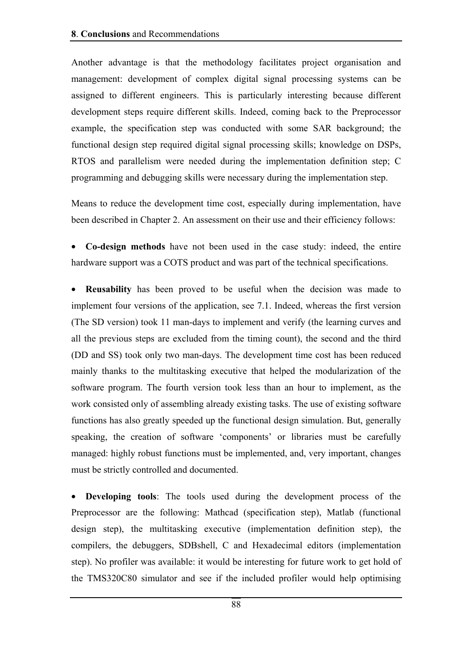Another advantage is that the methodology facilitates project organisation and management: development of complex digital signal processing systems can be assigned to different engineers. This is particularly interesting because different development steps require different skills. Indeed, coming back to the Preprocessor example, the specification step was conducted with some SAR background; the functional design step required digital signal processing skills; knowledge on DSPs, RTOS and parallelism were needed during the implementation definition step; C programming and debugging skills were necessary during the implementation step.

Means to reduce the development time cost, especially during implementation, have been described in Chapter 2. An assessment on their use and their efficiency follows:

• **Co-design methods** have not been used in the case study: indeed, the entire hardware support was a COTS product and was part of the technical specifications.

• **Reusability** has been proved to be useful when the decision was made to implement four versions of the application, see 7.1. Indeed, whereas the first version (The SD version) took 11 man-days to implement and verify (the learning curves and all the previous steps are excluded from the timing count), the second and the third (DD and SS) took only two man-days. The development time cost has been reduced mainly thanks to the multitasking executive that helped the modularization of the software program. The fourth version took less than an hour to implement, as the work consisted only of assembling already existing tasks. The use of existing software functions has also greatly speeded up the functional design simulation. But, generally speaking, the creation of software 'components' or libraries must be carefully managed: highly robust functions must be implemented, and, very important, changes must be strictly controlled and documented.

**Developing tools**: The tools used during the development process of the Preprocessor are the following: Mathcad (specification step), Matlab (functional design step), the multitasking executive (implementation definition step), the compilers, the debuggers, SDBshell, C and Hexadecimal editors (implementation step). No profiler was available: it would be interesting for future work to get hold of the TMS320C80 simulator and see if the included profiler would help optimising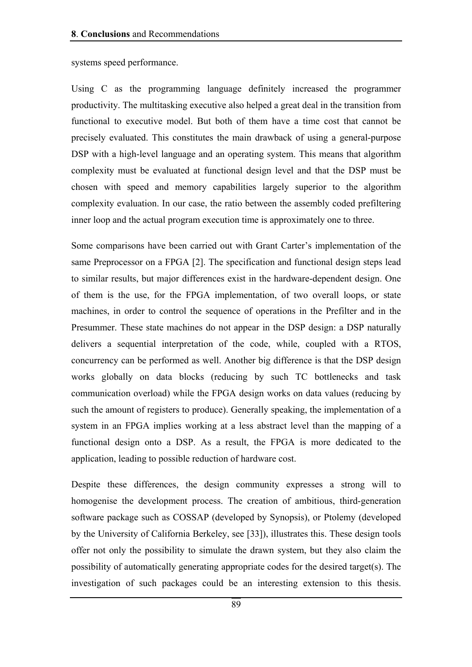systems speed performance.

Using C as the programming language definitely increased the programmer productivity. The multitasking executive also helped a great deal in the transition from functional to executive model. But both of them have a time cost that cannot be precisely evaluated. This constitutes the main drawback of using a general-purpose DSP with a high-level language and an operating system. This means that algorithm complexity must be evaluated at functional design level and that the DSP must be chosen with speed and memory capabilities largely superior to the algorithm complexity evaluation. In our case, the ratio between the assembly coded prefiltering inner loop and the actual program execution time is approximately one to three.

Some comparisons have been carried out with Grant Carter's implementation of the same Preprocessor on a FPGA [2]. The specification and functional design steps lead to similar results, but major differences exist in the hardware-dependent design. One of them is the use, for the FPGA implementation, of two overall loops, or state machines, in order to control the sequence of operations in the Prefilter and in the Presummer. These state machines do not appear in the DSP design: a DSP naturally delivers a sequential interpretation of the code, while, coupled with a RTOS, concurrency can be performed as well. Another big difference is that the DSP design works globally on data blocks (reducing by such TC bottlenecks and task communication overload) while the FPGA design works on data values (reducing by such the amount of registers to produce). Generally speaking, the implementation of a system in an FPGA implies working at a less abstract level than the mapping of a functional design onto a DSP. As a result, the FPGA is more dedicated to the application, leading to possible reduction of hardware cost.

Despite these differences, the design community expresses a strong will to homogenise the development process. The creation of ambitious, third-generation software package such as COSSAP (developed by Synopsis), or Ptolemy (developed by the University of California Berkeley, see [33]), illustrates this. These design tools offer not only the possibility to simulate the drawn system, but they also claim the possibility of automatically generating appropriate codes for the desired target(s). The investigation of such packages could be an interesting extension to this thesis.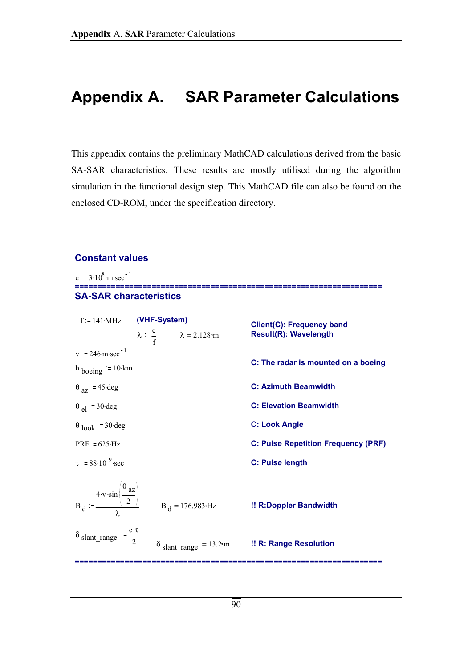## **Appendix A. SAR Parameter Calculations**

This appendix contains the preliminary MathCAD calculations derived from the basic SA-SAR characteristics. These results are mostly utilised during the algorithm simulation in the functional design step. This MathCAD file can also be found on the enclosed CD-ROM, under the specification directory.

#### **Constant values**

c  $= 3.10^8 \cdot \text{m} \cdot \text{sec}^{-1}$ 

#### **==================================================================== SA-SAR characteristics**

f 141 MHz . **(VHF-System) Client(C): Frequency band**  $\lambda := \frac{c}{\lambda}$  = 2.128 $m$  **Result(R): Wavelength** f  $λ = 2.128$  m  $v := 246$ ·m·sec<sup>-1</sup> **C: The radar is mounted on a boeing** h boeing  $\frac{1}{2}$  h boeing  $\frac{1}{2}$  h boeing  $\frac{1}{2}$  $\theta_{.97}$  = 45 deg ... **C: Azimuth Beamwidth C: Elevation Beamwidth C: Look Angle C: Pulse Repetition Frequency (PRF) C: Pulse length**  $\theta_{\text{el}}$  = 30 deg  $\theta$  look = 30 deg  $PRF = 625 \cdot Hz$  $\tau := 88.10^{-9}$  sec.  $B_{d}$  $4 \cdot v \cdot \sin \left( \frac{\theta}{2} a z \right)$ 2 .  $\frac{1}{\lambda}$  B<sub>d</sub> = 176.983°Hz **!! R:Doppler Bandwidth**  $\delta$  slant range  $=$   $\frac{c \cdot \tau}{2}$  $\delta$  slant range = 13.2 m **!! R: Range Resolution ====================================================================**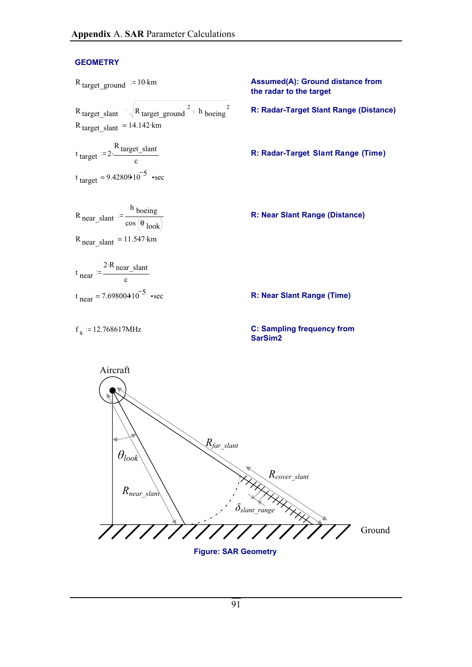#### **GEOMETRY**





**Figure: SAR Geometry**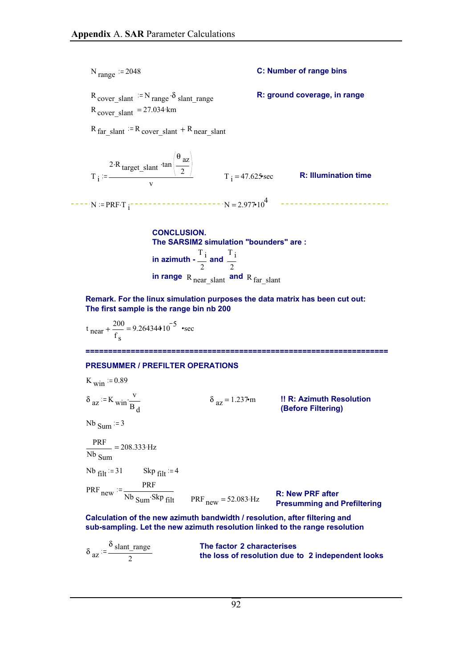$$
N_{range} := 2048
$$
\nC: Number of range bins  
\nR<sub>cover\_s</sub>slant := N<sub>range</sub> ∂ slant\_range R: ground coverage, in range  
\nR<sub>cover\_s</sub>slant = 27.034\*km  
\nR<sub>far\_s</sub>slant := R<sub>cover\_s</sub>slant + R<sub>near\_s</sub>slant  
\n
$$
T_i := \frac{2 \cdot R_{target_s} \cdot \text{slant} \cdot \text{tan} \left(\frac{\theta_{az}}{2}\right)}{v}
$$
\nT<sub>i</sub> = 47.625 sec  
\nR: Illumination time  
\n
$$
T_i := N_i = PRF \cdot T_i
$$
\nCONCLUSION.  
\nThe SARSIM2 simulation "boundary" are :  
\nin azimuth - $\frac{T_i}{2}$  and  $\frac{T_i}{2}$   
\nin range R<sub>near\_s</sub>slant and R<sub>far\_s</sub>slant  
\nRemark. For the Linux simulation purposes the data matrix has been cut out:  
\nThe first sample is the range bin nb 200

$$
t_{\text{near}} + \frac{200}{f_s} = 9.26434410^{-5}
$$
 **•**sec

**===================================================================**

#### **PRESUMMER / PREFILTER OPERATIONS**

K 
$$
_{\text{win}} := 0.89
$$
  
\n $\delta_{\text{az}} := K_{\text{win}} \cdot \frac{v}{B_d}$   
\n $\delta_{\text{az}} = 1.237 \text{ m}$  **!! R: Azimuth Resolution**  
\nNb  $\text{Sum} := 3$   
\n $\frac{\text{PRF}}{\text{Nb Sum}} = 208.333 \text{ Hz}$   
\nNb  $\text{film}$   
\n $\text{SRF}_{\text{new}} := \frac{\text{PRF}}{\text{Nb sum}} \cdot \text{SRF}_{\text{filter}} + 4$   
\n $\text{PRF}_{\text{new}} = 52.083 \text{ Hz}$   
\nR: New PRF after  
\nPresumming and Prefiltering

**Calculation of the new azimuth bandwidth / resolution, after filtering and sub-sampling. Let the new azimuth resolution linked to the range resolution**

$$
\delta_{az} := \frac{\delta_{\text{slant\_range}}}{2}
$$
 The factor 2 characteristics  
the loss of resolution due to 2 independent looks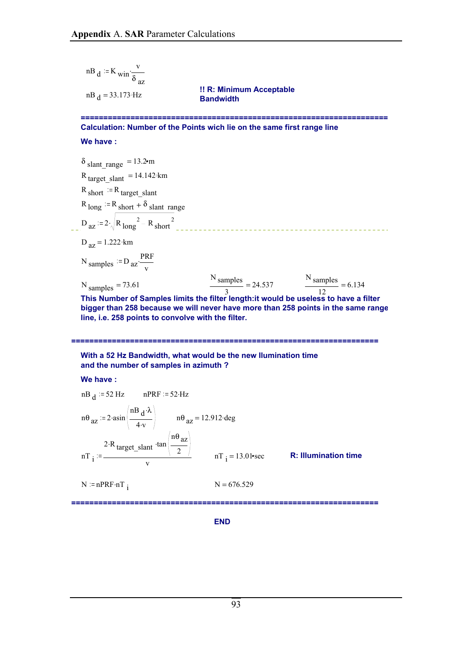nB d := K 
$$
\sin \frac{v}{\delta_{az}}
$$
  
\n11 R: Minimum Acceptable  
\n $11 \text{ R: Minimum Acceptable}$   
\n $11 \text{ R: Minimum Acceptable}$   
\n $11 \text{ R: Minimum Acceptable}$   
\n $11 \text{ R: Minimum Acceptable}$   
\n $11 \text{ R: Minimum Acceptable}$   
\n $11 \text{ R: Minimum Acceptable}$   
\n $11 \text{ R: Number of the Points with lie on the same first range line}$   
\n $11 \text{ R: Number of the Points with lie on the same first range line}$   
\n $11 \text{ R: Number of target, and the sum of the same first range line}$   
\n $11 \text{ R: Number of target, and the sum of the same first range line}$   
\n $11 \text{ R: Number of } 3 \text{ and the sum of the same right, and the sum of the same right, and the sum of the same right, and the sum of the same right, and the sum of the same right, and the sum of the same right, and the sum of the same right, and the sum of the same right, and the sum of the same right, and the sum of the same right, and the sum of the same right, and the sum of the same right, and the sum of the same right, and the sum of the same right, and the sum of the same right, and the sum of the same right, and the sum of the same right, and the sum of the same right, and the sum of the same right, and the sum of the same right, and the sum of the same right, and the sum of the same right, and the sum of the same right, and the sum of the same right, and the sum of the same right, and the sum of the same right, and the sum of the same right, and the sum of the same right, and the sum of the same right, and the sum of the same right, and the sum of the same right, and the sum of the same right, and the sum of the same right, and the sum of the same right, and the sum of the same right, and the sum of the same right, and the sum of the same right, and the sum of the same right, and the sum of the same right, and the sum of the same right, and the sum of the same right, and the sum of the same right, and the sum of the same right, and the sum of the same right, and the sum of the same right, and the sum of the same right, and the sum of the same right, and the sum of the same right, and the sum of the same right, and the sum of the same right, and the sum of the same right, and the sum of the same right, and the sum of the same right, and the sum of the same right, and the sum of the same right, and the sum of the same right, and the sum of the same right, and the sum of the same right, and the sum of the same right, and the sum of the same right, and the sum of the$ 

**bigger than 258 because we will never have more than 258 points in the same range line, i.e. 258 points to convolve with the filter.**

#### **====================================================================**

#### **With a 52 Hz Bandwidth, what would be the new Ilumination time and the number of samples in azimuth ?**

**We have :**

nB 
$$
d := 52
$$
 Hz  
\nn $\theta_{az} := 2 \cdot \operatorname{asin} \left( \frac{nB}{4 \cdot v} \frac{d \cdot \lambda}{4 \cdot v} \right)$   $n\theta_{az} = 12.912 \cdot \operatorname{deg}$   
\n $nT_i := \frac{2 \cdot R \text{ target\_slant} \cdot \tan \left( \frac{n\theta_{az}}{2} \right)}{v}$   $nT_i = 13.01 \cdot \sec$  R: Illumination time

 $N := nPRF \cdot nT_i$   $N = 676.529$ 

**====================================================================**

**END**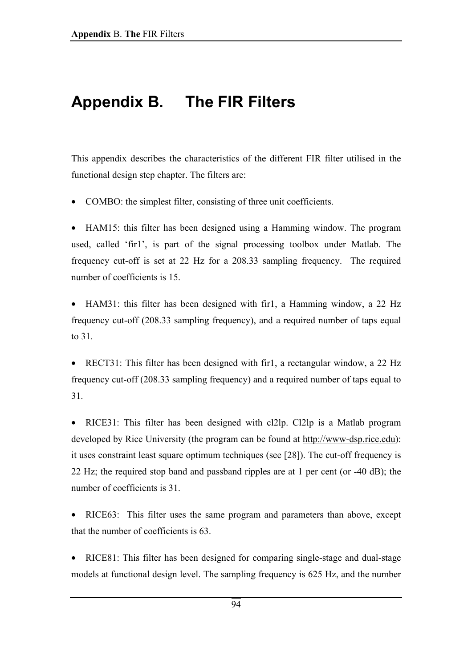# **Appendix B. The FIR Filters**

This appendix describes the characteristics of the different FIR filter utilised in the functional design step chapter. The filters are:

• COMBO: the simplest filter, consisting of three unit coefficients.

• HAM15: this filter has been designed using a Hamming window. The program used, called 'fir1', is part of the signal processing toolbox under Matlab. The frequency cut-off is set at 22 Hz for a 208.33 sampling frequency. The required number of coefficients is 15.

• HAM31: this filter has been designed with fir1, a Hamming window, a 22 Hz frequency cut-off (208.33 sampling frequency), and a required number of taps equal to 31.

• RECT31: This filter has been designed with fir1, a rectangular window, a 22 Hz frequency cut-off (208.33 sampling frequency) and a required number of taps equal to 31.

• RICE31: This filter has been designed with cl2lp. Cl2lp is a Matlab program developed by Rice University (the program can be found at http://www-dsp.rice.edu): it uses constraint least square optimum techniques (see [28]). The cut-off frequency is 22 Hz; the required stop band and passband ripples are at 1 per cent (or -40 dB); the number of coefficients is 31.

RICE63: This filter uses the same program and parameters than above, except that the number of coefficients is 63.

RICE81: This filter has been designed for comparing single-stage and dual-stage models at functional design level. The sampling frequency is 625 Hz, and the number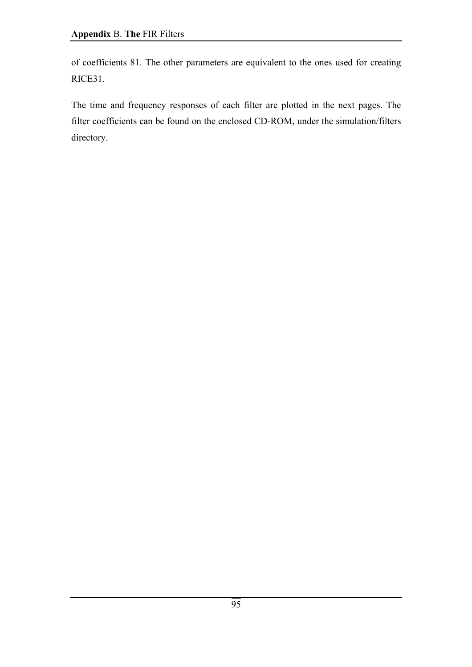of coefficients 81. The other parameters are equivalent to the ones used for creating RICE31.

The time and frequency responses of each filter are plotted in the next pages. The filter coefficients can be found on the enclosed CD-ROM, under the simulation/filters directory.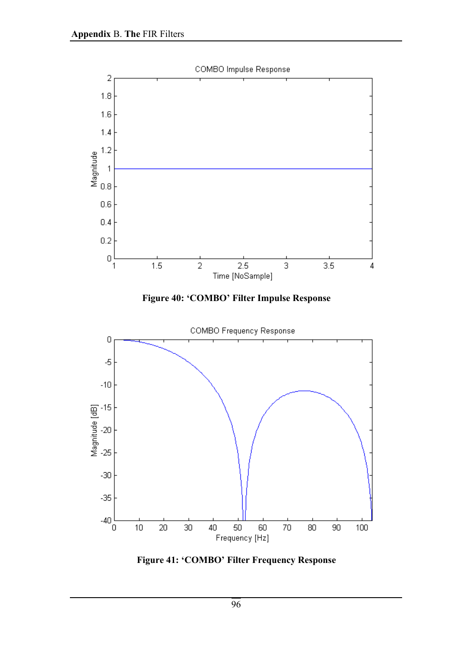





**Figure 41: 'COMBO' Filter Frequency Response** 

96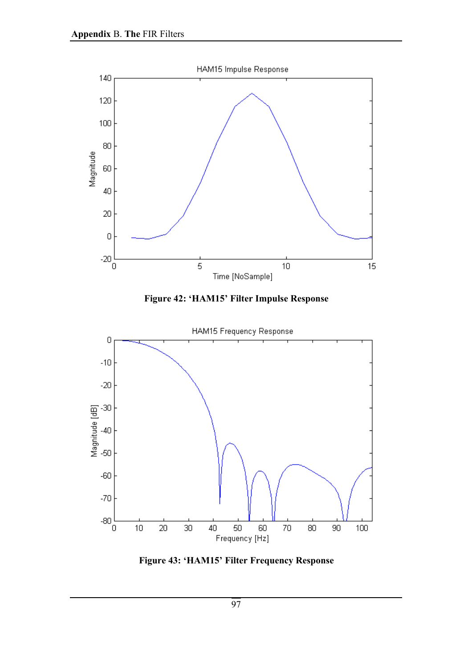

**Figure 42: 'HAM15' Filter Impulse Response** 



**Figure 43: 'HAM15' Filter Frequency Response**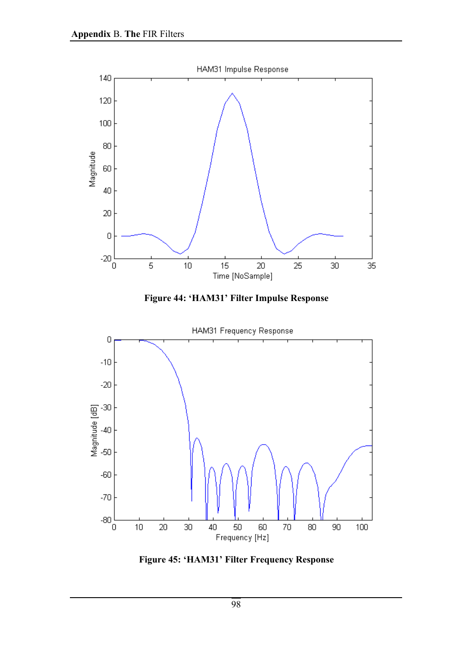





**Figure 45: 'HAM31' Filter Frequency Response**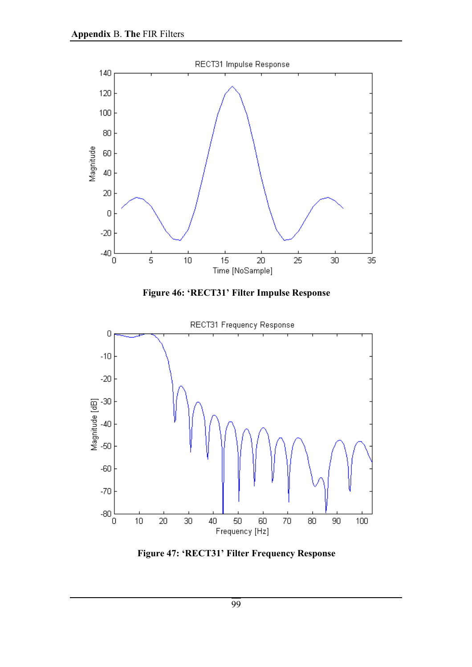





**Figure 47: 'RECT31' Filter Frequency Response**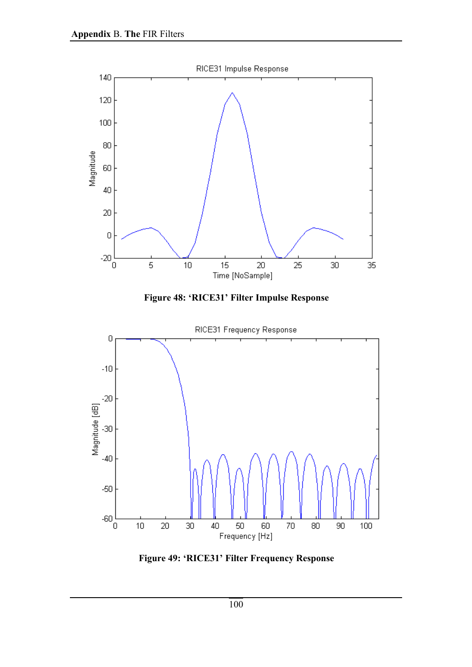

**Figure 48: 'RICE31' Filter Impulse Response** 



**Figure 49: 'RICE31' Filter Frequency Response**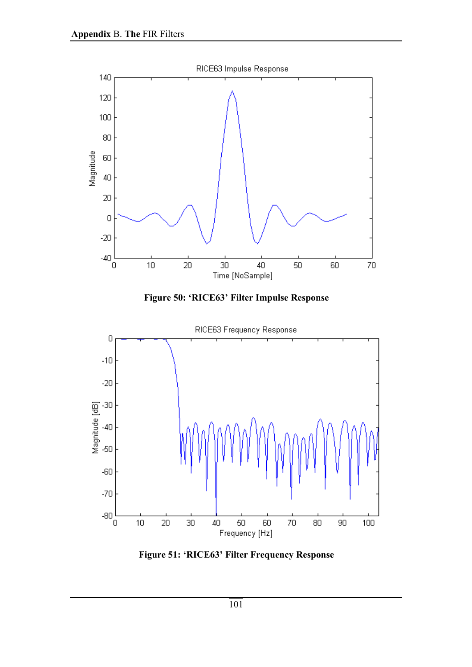

**Figure 50: 'RICE63' Filter Impulse Response** 



**Figure 51: 'RICE63' Filter Frequency Response**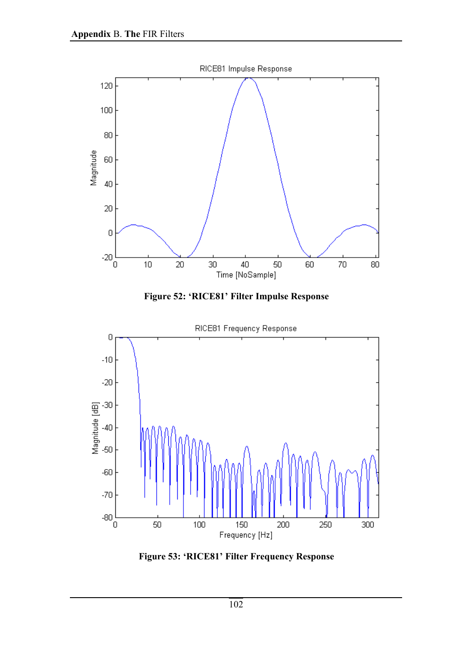





**Figure 53: 'RICE81' Filter Frequency Response**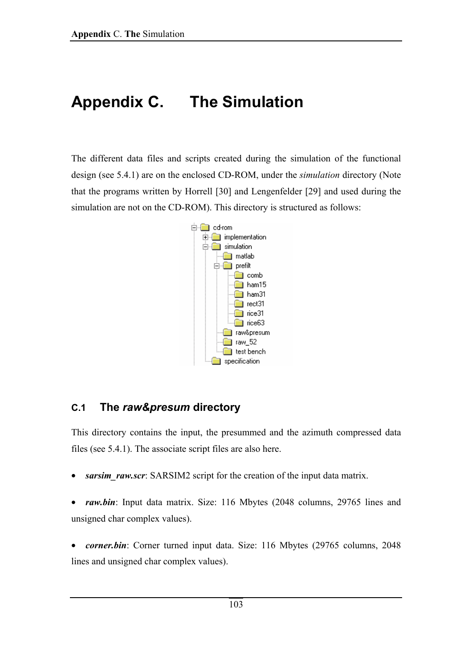# **Appendix C. The Simulation**

The different data files and scripts created during the simulation of the functional design (see 5.4.1) are on the enclosed CD-ROM, under the *simulation* directory (Note that the programs written by Horrell [30] and Lengenfelder [29] and used during the simulation are not on the CD-ROM). This directory is structured as follows:



#### **C.1 The** *raw&presum* **directory**

This directory contains the input, the presummed and the azimuth compressed data files (see 5.4.1). The associate script files are also here.

- *sarsim raw.scr*: SARSIM2 script for the creation of the input data matrix.
- *raw.bin*: Input data matrix. Size: 116 Mbytes (2048 columns, 29765 lines and unsigned char complex values).
- *corner.bin*: Corner turned input data. Size: 116 Mbytes (29765 columns, 2048 lines and unsigned char complex values).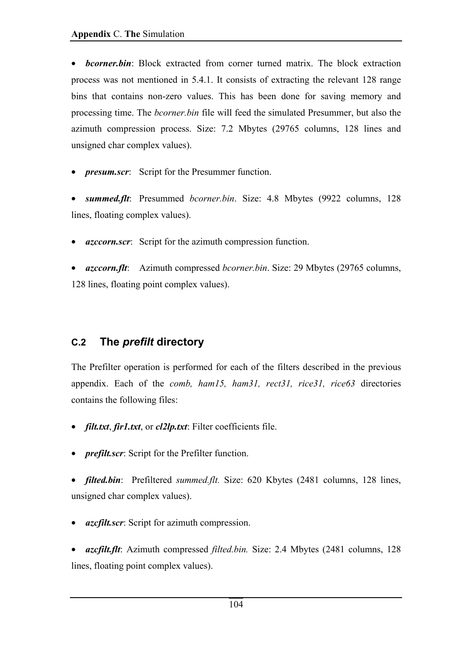• *bcorner.bin*: Block extracted from corner turned matrix. The block extraction process was not mentioned in 5.4.1. It consists of extracting the relevant 128 range bins that contains non-zero values. This has been done for saving memory and processing time. The *bcorner.bin* file will feed the simulated Presummer, but also the azimuth compression process. Size: 7.2 Mbytes (29765 columns, 128 lines and unsigned char complex values).

- *presum.scr*: Script for the Presummer function.
- *summed.flt*: Presummed *bcorner.bin*. Size: 4.8 Mbytes (9922 columns, 128 lines, floating complex values).
- *azccorn.scr*: Script for the azimuth compression function.

• *azccorn.flt*: Azimuth compressed *bcorner.bin*. Size: 29 Mbytes (29765 columns, 128 lines, floating point complex values).

## **C.2 The** *prefilt* **directory**

The Prefilter operation is performed for each of the filters described in the previous appendix. Each of the *comb, ham15, ham31, rect31, rice31, rice63* directories contains the following files:

- *filt.txt*, *fir1.txt*, or *cl2lp.txt*: Filter coefficients file.
- *prefilt.scr*: Script for the Prefilter function.

• *filted.bin*: Prefiltered *summed.flt.* Size: 620 Kbytes (2481 columns, 128 lines, unsigned char complex values).

• *azcfilt.scr*: Script for azimuth compression.

• *azcfilt.flt*: Azimuth compressed *filted.bin.* Size: 2.4 Mbytes (2481 columns, 128 lines, floating point complex values).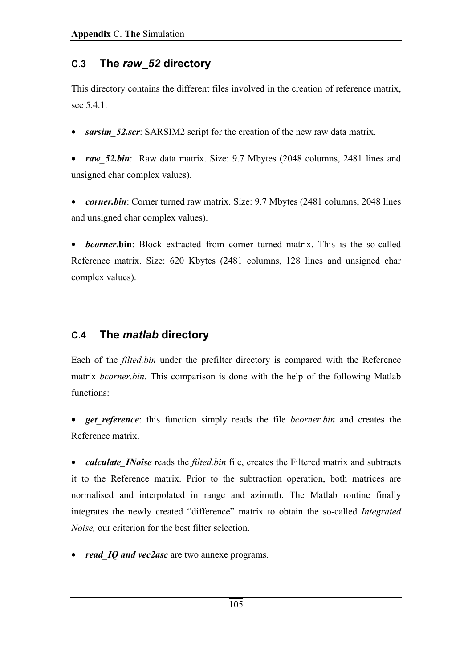## **C.3 The** *raw\_52* **directory**

This directory contains the different files involved in the creation of reference matrix, see 5.4.1.

sarsim 52.scr: SARSIM2 script for the creation of the new raw data matrix.

*raw* 52.bin: Raw data matrix. Size: 9.7 Mbytes (2048 columns, 2481 lines and unsigned char complex values).

• *corner.bin*: Corner turned raw matrix. Size: 9.7 Mbytes (2481 columns, 2048 lines and unsigned char complex values).

• *bcorner***.bin**: Block extracted from corner turned matrix. This is the so-called Reference matrix. Size: 620 Kbytes (2481 columns, 128 lines and unsigned char complex values).

# **C.4 The** *matlab* **directory**

Each of the *filted.bin* under the prefilter directory is compared with the Reference matrix *bcorner.bin*. This comparison is done with the help of the following Matlab functions:

• *get reference*: this function simply reads the file *bcorner.bin* and creates the Reference matrix.

• *calculate INoise* reads the *filted.bin* file, creates the Filtered matrix and subtracts it to the Reference matrix. Prior to the subtraction operation, both matrices are normalised and interpolated in range and azimuth. The Matlab routine finally integrates the newly created "difference" matrix to obtain the so-called *Integrated Noise,* our criterion for the best filter selection.

• *read IQ and vec2asc* are two annexe programs.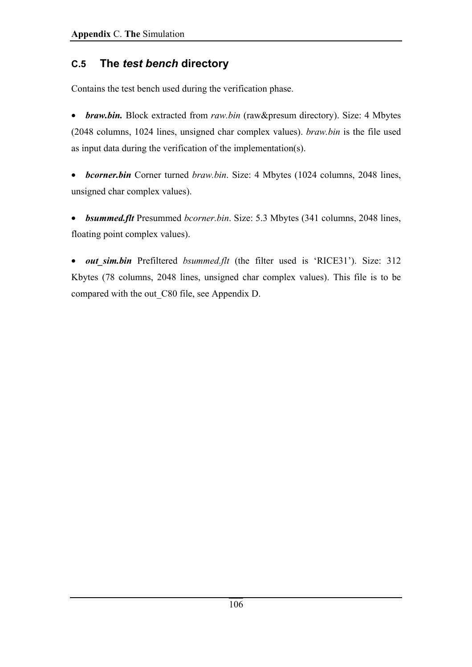## **C.5 The** *test bench* **directory**

Contains the test bench used during the verification phase.

• *braw.bin.* Block extracted from *raw.bin* (raw&presum directory). Size: 4 Mbytes (2048 columns, 1024 lines, unsigned char complex values). *braw.bin* is the file used as input data during the verification of the implementation(s).

• *bcorner.bin* Corner turned *braw.bin*. Size: 4 Mbytes (1024 columns, 2048 lines, unsigned char complex values).

• *bsummed.flt* Presummed *bcorner.bin*. Size: 5.3 Mbytes (341 columns, 2048 lines, floating point complex values).

• *out sim.bin* Prefiltered *bsummed.flt* (the filter used is 'RICE31'). Size: 312 Kbytes (78 columns, 2048 lines, unsigned char complex values). This file is to be compared with the out\_C80 file, see Appendix D.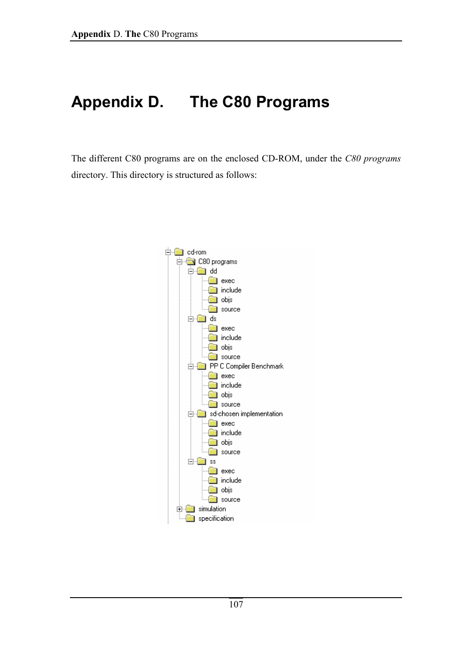# **Appendix D. The C80 Programs**

The different C80 programs are on the enclosed CD-ROM, under the *C80 programs*  directory. This directory is structured as follows:

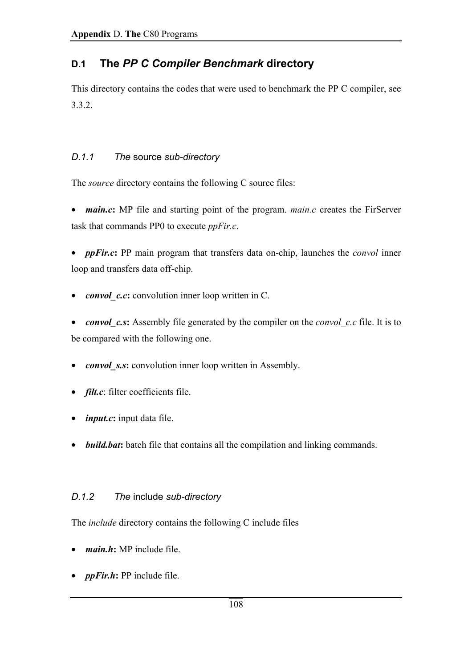# **D.1 The** *PP C Compiler Benchmark* **directory**

This directory contains the codes that were used to benchmark the PP C compiler, see 3.3.2.

#### *D.1.1 The* source *sub-directory*

The *source* directory contains the following C source files:

• *main.c***:** MP file and starting point of the program. *main.c* creates the FirServer task that commands PP0 to execute *ppFir.c*.

• *ppFir.c***:** PP main program that transfers data on-chip, launches the *convol* inner loop and transfers data off-chip.

• *convol c.c***:** convolution inner loop written in C.

*convol* c.s: Assembly file generated by the compiler on the *convol* c.c file. It is to be compared with the following one.

- *convol* s.s: convolution inner loop written in Assembly.
- *filt.c*: filter coefficients file.
- *input.c***:** input data file.
- *build.bat***:** batch file that contains all the compilation and linking commands.

#### *D.1.2 The* include *sub-directory*

The *include* directory contains the following C include files

- *main.h***:** MP include file.
- *ppFir.h*: PP include file.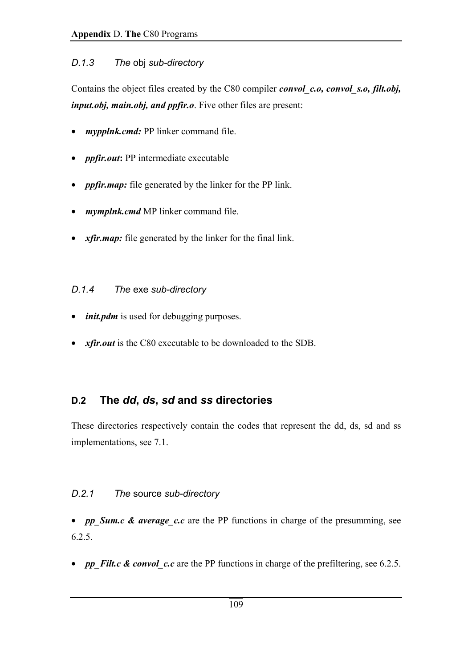#### *D.1.3 The* obj *sub-directory*

Contains the object files created by the C80 compiler *convol\_c.o, convol\_s.o, filt.obj, input.obj, main.obj, and ppfir.o*. Five other files are present:

- *mypplnk.cmd:* PP linker command file.
- *ppfir.out***:** PP intermediate executable
- *ppfir.map:* file generated by the linker for the PP link.
- *mymplnk.cmd* MP linker command file.
- *xfir.map*: file generated by the linker for the final link.

#### *D.1.4 The* exe *sub-directory*

- *init.pdm* is used for debugging purposes.
- *xfir.out* is the C80 executable to be downloaded to the SDB.

## **D.2 The** *dd***,** *ds***,** *sd* **and** *ss* **directories**

These directories respectively contain the codes that represent the dd, ds, sd and ss implementations, see 7.1.

#### *D.2.1 The* source *sub-directory*

• *pp\_Sum.c & average\_c.c* are the PP functions in charge of the presumming, see 6.2.5.

• *pp\_Filt.c & convol\_c.c* are the PP functions in charge of the prefiltering, see 6.2.5.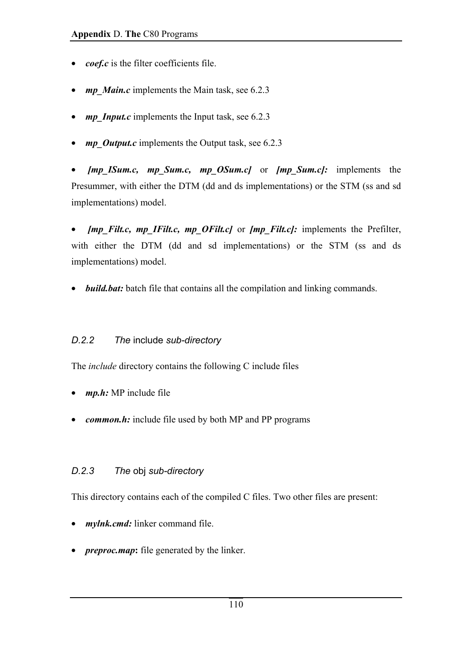- *coef.c* is the filter coefficients file.
- *mp Main.c* implements the Main task, see 6.2.3
- *mp\_Input.c* implements the Input task, see 6.2.3
- *mp Output.c* implements the Output task, see 6.2.3

• *[mp\_ISum.c, mp\_Sum.c, mp\_OSum.c]* or *[mp\_Sum.c]:* implements the Presummer, with either the DTM (dd and ds implementations) or the STM (ss and sd implementations) model.

• *[mp\_Filt.c, mp\_IFilt.c, mp\_OFilt.c]* or *[mp\_Filt.c]:* implements the Prefilter, with either the DTM (dd and sd implementations) or the STM (ss and ds implementations) model.

• *build.bat:* batch file that contains all the compilation and linking commands.

#### *D.2.2 The* include *sub-directory*

The *include* directory contains the following C include files

- *mp.h:* MP include file
- *common.h:* include file used by both MP and PP programs

#### *D.2.3 The* obj *sub-directory*

This directory contains each of the compiled C files. Two other files are present:

- *mylnk.cmd:* linker command file.
- *preproc.map***:** file generated by the linker.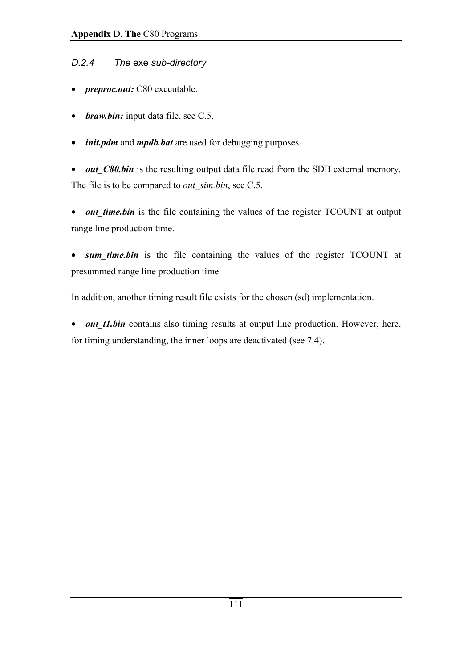#### *D.2.4 The* exe *sub-directory*

- *preproc.out:* C80 executable.
- *braw.bin:* input data file, see C.5.
- *init.pdm* and *mpdb.bat* are used for debugging purposes.

• *out* C80.bin is the resulting output data file read from the SDB external memory. The file is to be compared to *out\_sim.bin*, see C.5.

• *out time.bin* is the file containing the values of the register TCOUNT at output range line production time.

• *sum time.bin* is the file containing the values of the register TCOUNT at presummed range line production time.

In addition, another timing result file exists for the chosen (sd) implementation.

• *out\_t1.bin* contains also timing results at output line production. However, here, for timing understanding, the inner loops are deactivated (see 7.4).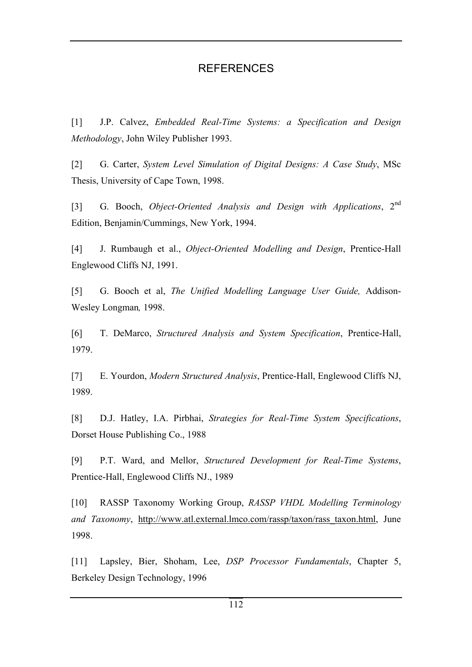#### **REFERENCES**

[1] J.P. Calvez, *Embedded Real-Time Systems: a Specification and Design Methodology*, John Wiley Publisher 1993.

[2] G. Carter, *System Level Simulation of Digital Designs: A Case Study*, MSc Thesis, University of Cape Town, 1998.

[3] G. Booch, *Object-Oriented Analysis and Design with Applications*, 2nd Edition, Benjamin/Cummings, New York, 1994.

[4] J. Rumbaugh et al., *Object-Oriented Modelling and Design*, Prentice-Hall Englewood Cliffs NJ, 1991.

[5] G. Booch et al, *The Unified Modelling Language User Guide,* Addison-Wesley Longman*,* 1998.

[6] T. DeMarco, *Structured Analysis and System Specification*, Prentice-Hall, 1979.

[7] E. Yourdon, *Modern Structured Analysis*, Prentice-Hall, Englewood Cliffs NJ, 1989.

[8] D.J. Hatley, I.A. Pirbhai, *Strategies for Real-Time System Specifications*, Dorset House Publishing Co., 1988

[9] P.T. Ward, and Mellor, *Structured Development for Real-Time Systems*, Prentice-Hall, Englewood Cliffs NJ., 1989

[10] RASSP Taxonomy Working Group, *RASSP VHDL Modelling Terminology and Taxonomy*, http://www.atl.external.lmco.com/rassp/taxon/rass\_taxon.html, June 1998.

[11] Lapsley, Bier, Shoham, Lee, *DSP Processor Fundamentals*, Chapter 5, Berkeley Design Technology, 1996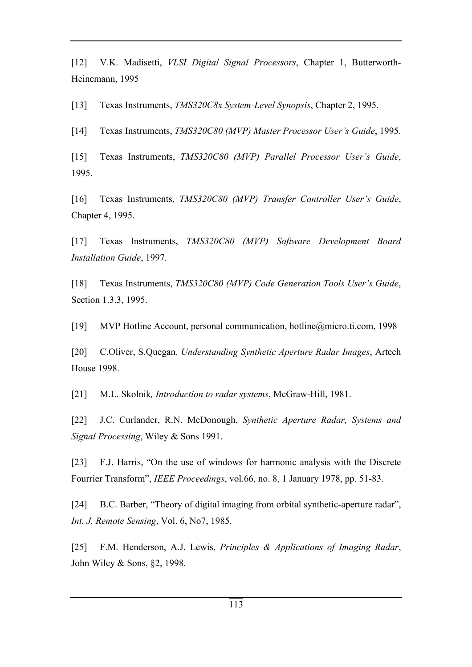[12] V.K. Madisetti, *VLSI Digital Signal Processors*, Chapter 1, Butterworth-Heinemann, 1995

[13] Texas Instruments, *TMS320C8x System-Level Synopsis*, Chapter 2, 1995.

[14] Texas Instruments, *TMS320C80 (MVP) Master Processor User's Guide*, 1995.

[15] Texas Instruments, *TMS320C80 (MVP) Parallel Processor User's Guide*, 1995.

[16] Texas Instruments, *TMS320C80 (MVP) Transfer Controller User's Guide*, Chapter 4, 1995.

[17] Texas Instruments, *TMS320C80 (MVP) Software Development Board Installation Guide*, 1997.

[18] Texas Instruments, *TMS320C80 (MVP) Code Generation Tools User's Guide*, Section 1.3.3, 1995.

[19] MVP Hotline Account, personal communication, hotline@micro.ti.com, 1998

[20] C.Oliver, S.Quegan*, Understanding Synthetic Aperture Radar Images*, Artech House 1998.

[21] M.L. Skolnik*, Introduction to radar systems*, McGraw-Hill, 1981.

[22] J.C. Curlander, R.N. McDonough, *Synthetic Aperture Radar, Systems and Signal Processing*, Wiley & Sons 1991.

[23] F.J. Harris, "On the use of windows for harmonic analysis with the Discrete Fourrier Transform", *IEEE Proceedings*, vol.66, no. 8, 1 January 1978, pp. 51-83.

[24] B.C. Barber, "Theory of digital imaging from orbital synthetic-aperture radar", *Int. J. Remote Sensing*, Vol. 6, No7, 1985.

[25] F.M. Henderson, A.J. Lewis, *Principles & Applications of Imaging Radar*, John Wiley & Sons, §2, 1998.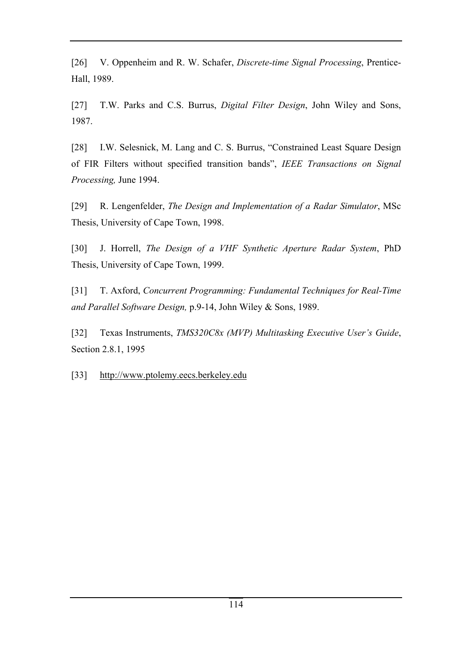[26] V. Oppenheim and R. W. Schafer, *Discrete-time Signal Processing*, Prentice-Hall, 1989.

[27] T.W. Parks and C.S. Burrus, *Digital Filter Design*, John Wiley and Sons, 1987.

[28] I.W. Selesnick, M. Lang and C. S. Burrus, "Constrained Least Square Design of FIR Filters without specified transition bands", *IEEE Transactions on Signal Processing,* June 1994.

[29] R. Lengenfelder, *The Design and Implementation of a Radar Simulator*, MSc Thesis, University of Cape Town, 1998.

[30] J. Horrell, *The Design of a VHF Synthetic Aperture Radar System*, PhD Thesis, University of Cape Town, 1999.

[31] T. Axford, *Concurrent Programming: Fundamental Techniques for Real-Time and Parallel Software Design,* p.9-14, John Wiley & Sons, 1989.

[32] Texas Instruments, *TMS320C8x (MVP) Multitasking Executive User's Guide*, Section 2.8.1, 1995

[33] http://www.ptolemy.eecs.berkeley.edu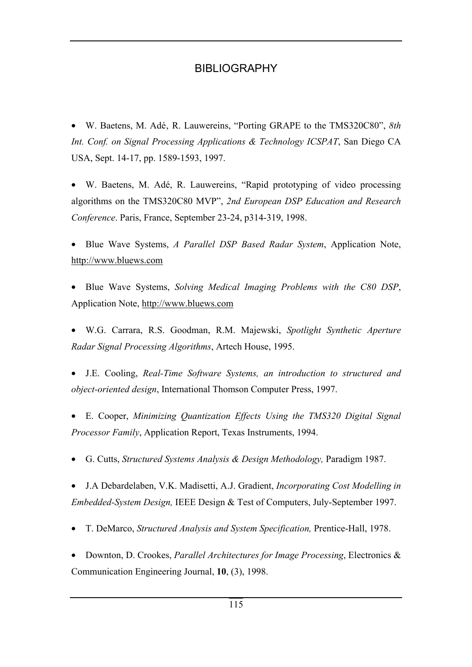# BIBLIOGRAPHY

• W. Baetens, M. Adé, R. Lauwereins, "Porting GRAPE to the TMS320C80", 8th *Int. Conf. on Signal Processing Applications & Technology ICSPAT*, San Diego CA USA, Sept. 14-17, pp. 1589-1593, 1997.

• W. Baetens, M. Adé, R. Lauwereins, "Rapid prototyping of video processing algorithms on the TMS320C80 MVP", *2nd European DSP Education and Research Conference*. Paris, France, September 23-24, p314-319, 1998.

• Blue Wave Systems, *A Parallel DSP Based Radar System*, Application Note, http://www.bluews.com

• Blue Wave Systems, *Solving Medical Imaging Problems with the C80 DSP*, Application Note, http://www.bluews.com

• W.G. Carrara, R.S. Goodman, R.M. Majewski, *Spotlight Synthetic Aperture Radar Signal Processing Algorithms*, Artech House, 1995.

• J.E. Cooling, *Real-Time Software Systems, an introduction to structured and object-oriented design*, International Thomson Computer Press, 1997.

• E. Cooper, *Minimizing Quantization Effects Using the TMS320 Digital Signal Processor Family*, Application Report, Texas Instruments, 1994.

• G. Cutts, *Structured Systems Analysis & Design Methodology,* Paradigm 1987.

• J.A Debardelaben, V.K. Madisetti, A.J. Gradient, *Incorporating Cost Modelling in Embedded-System Design,* IEEE Design & Test of Computers, July-September 1997.

• T. DeMarco, *Structured Analysis and System Specification,* Prentice-Hall, 1978.

• Downton, D. Crookes, *Parallel Architectures for Image Processing*, Electronics & Communication Engineering Journal, **10**, (3), 1998.